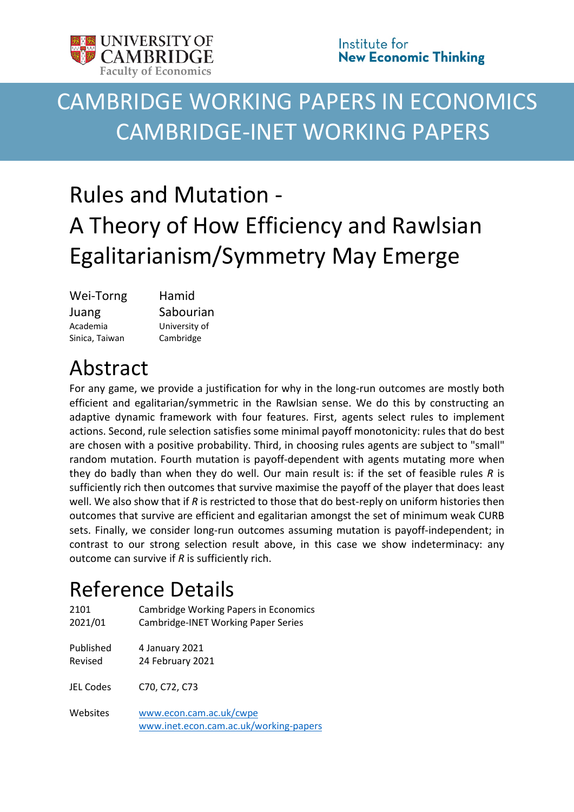

# CAMBRIDGE WORKING PAPERS IN ECONOMICS CAMBRIDGE-INET WORKING PAPERS

# Rules and Mutation - A Theory of How Efficiency and Rawlsian Egalitarianism/Symmetry May Emerge

| Wei-Torng      | Hamid         |
|----------------|---------------|
| Juang          | Sabourian     |
| Academia       | University of |
| Sinica, Taiwan | Cambridge     |
|                |               |

# Abstract

For any game, we provide a justification for why in the long-run outcomes are mostly both efficient and egalitarian/symmetric in the Rawlsian sense. We do this by constructing an adaptive dynamic framework with four features. First, agents select rules to implement actions. Second, rule selection satisfies some minimal payoff monotonicity: rules that do best are chosen with a positive probability. Third, in choosing rules agents are subject to "small" random mutation. Fourth mutation is payoff-dependent with agents mutating more when they do badly than when they do well. Our main result is: if the set of feasible rules *R* is sufficiently rich then outcomes that survive maximise the payoff of the player that does least well. We also show that if *R* is restricted to those that do best-reply on uniform histories then outcomes that survive are efficient and egalitarian amongst the set of minimum weak CURB sets. Finally, we consider long-run outcomes assuming mutation is payoff-independent; in contrast to our strong selection result above, in this case we show indeterminacy: any outcome can survive if *R* is sufficiently rich.

# Reference Details

| 2101      | Cambridge Working Papers in Economics                             |
|-----------|-------------------------------------------------------------------|
| 2021/01   | Cambridge-INET Working Paper Series                               |
| Published | 4 January 2021                                                    |
| Revised   | 24 February 2021                                                  |
| JEL Codes | C70, C72, C73                                                     |
| Websites  | www.econ.cam.ac.uk/cwpe<br>www.inet.econ.cam.ac.uk/working-papers |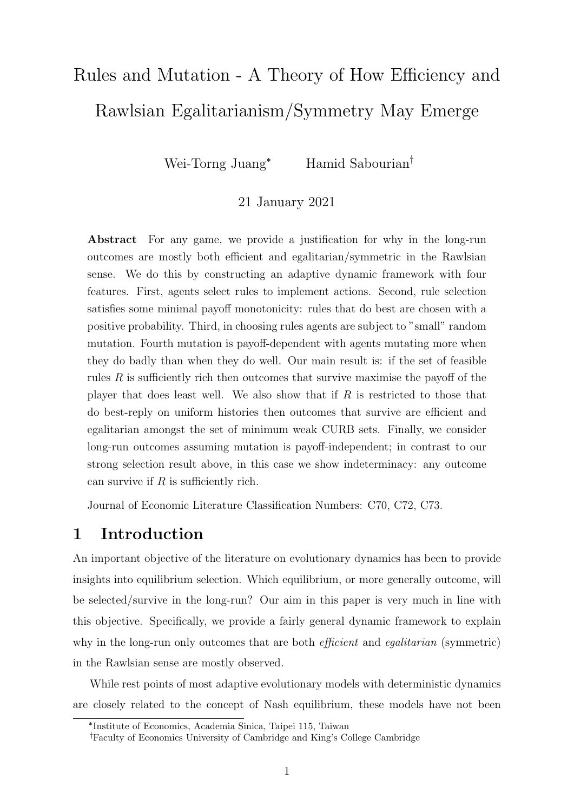# Rules and Mutation - A Theory of How Efficiency and Rawlsian Egalitarianism/Symmetry May Emerge

Wei-Torng Juang<sup>\*</sup> Hamid Sabourian<sup>†</sup>

### 21 January 2021

Abstract For any game, we provide a justification for why in the long-run outcomes are mostly both efficient and egalitarian/symmetric in the Rawlsian sense. We do this by constructing an adaptive dynamic framework with four features. First, agents select rules to implement actions. Second, rule selection satisfies some minimal payoff monotonicity: rules that do best are chosen with a positive probability. Third, in choosing rules agents are subject to "small" random mutation. Fourth mutation is payoff-dependent with agents mutating more when they do badly than when they do well. Our main result is: if the set of feasible rules  $R$  is sufficiently rich then outcomes that survive maximise the payoff of the player that does least well. We also show that if  $R$  is restricted to those that do best-reply on uniform histories then outcomes that survive are efficient and egalitarian amongst the set of minimum weak CURB sets. Finally, we consider long-run outcomes assuming mutation is payoff-independent; in contrast to our strong selection result above, in this case we show indeterminacy: any outcome can survive if  $R$  is sufficiently rich.

Journal of Economic Literature Classification Numbers: C70, C72, C73.

### 1 Introduction

An important objective of the literature on evolutionary dynamics has been to provide insights into equilibrium selection. Which equilibrium, or more generally outcome, will be selected/survive in the long-run? Our aim in this paper is very much in line with this objective. Specifically, we provide a fairly general dynamic framework to explain why in the long-run only outcomes that are both *efficient* and *equlitarian* (symmetric) in the Rawlsian sense are mostly observed.

While rest points of most adaptive evolutionary models with deterministic dynamics are closely related to the concept of Nash equilibrium, these models have not been

<sup>\*</sup> Institute of Economics, Academia Sinica, Taipei 115, Taiwan

Faculty of Economics University of Cambridge and King's College Cambridge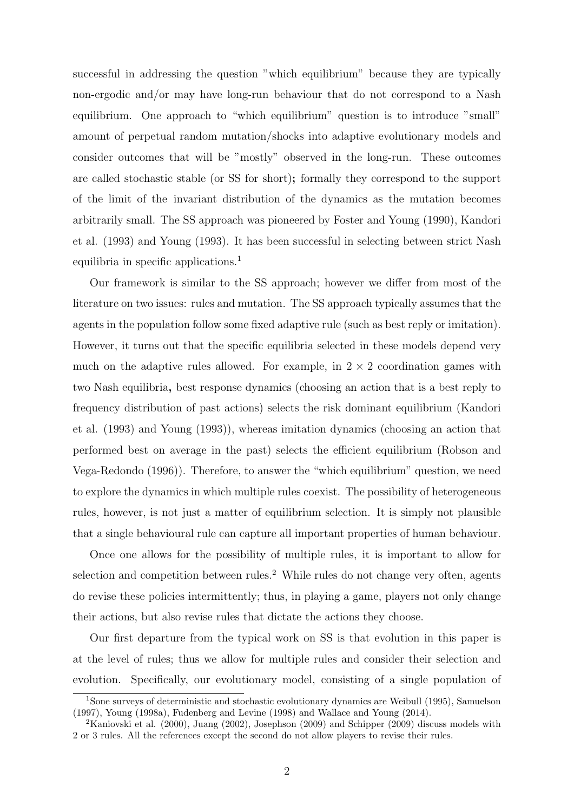successful in addressing the question "which equilibrium" because they are typically non-ergodic and/or may have long-run behaviour that do not correspond to a Nash equilibrium. One approach to "which equilibrium" question is to introduce "small" amount of perpetual random mutation/shocks into adaptive evolutionary models and consider outcomes that will be "mostly" observed in the long-run. These outcomes are called stochastic stable (or SS for short); formally they correspond to the support of the limit of the invariant distribution of the dynamics as the mutation becomes arbitrarily small. The SS approach was pioneered by Foster and Young (1990), Kandori et al. (1993) and Young (1993). It has been successful in selecting between strict Nash equilibria in specific applications.<sup>1</sup>

Our framework is similar to the SS approach; however we differ from most of the literature on two issues: rules and mutation. The SS approach typically assumes that the agents in the population follow some fixed adaptive rule (such as best reply or imitation). However, it turns out that the specific equilibria selected in these models depend very much on the adaptive rules allowed. For example, in  $2 \times 2$  coordination games with two Nash equilibria, best response dynamics (choosing an action that is a best reply to frequency distribution of past actions) selects the risk dominant equilibrium (Kandori et al. (1993) and Young (1993)), whereas imitation dynamics (choosing an action that performed best on average in the past) selects the efficient equilibrium (Robson and Vega-Redondo (1996)). Therefore, to answer the "which equilibrium" question, we need to explore the dynamics in which multiple rules coexist. The possibility of heterogeneous rules, however, is not just a matter of equilibrium selection. It is simply not plausible that a single behavioural rule can capture all important properties of human behaviour.

Once one allows for the possibility of multiple rules, it is important to allow for selection and competition between rules. $2$  While rules do not change very often, agents do revise these policies intermittently; thus, in playing a game, players not only change their actions, but also revise rules that dictate the actions they choose.

Our first departure from the typical work on SS is that evolution in this paper is at the level of rules; thus we allow for multiple rules and consider their selection and evolution. Specifically, our evolutionary model, consisting of a single population of

<sup>1</sup>Sone surveys of deterministic and stochastic evolutionary dynamics are Weibull (1995), Samuelson (1997), Young (1998a), Fudenberg and Levine (1998) and Wallace and Young (2014).

<sup>&</sup>lt;sup>2</sup>Kaniovski et al. (2000), Juang (2002), Josephson (2009) and Schipper (2009) discuss models with 2 or 3 rules. All the references except the second do not allow players to revise their rules.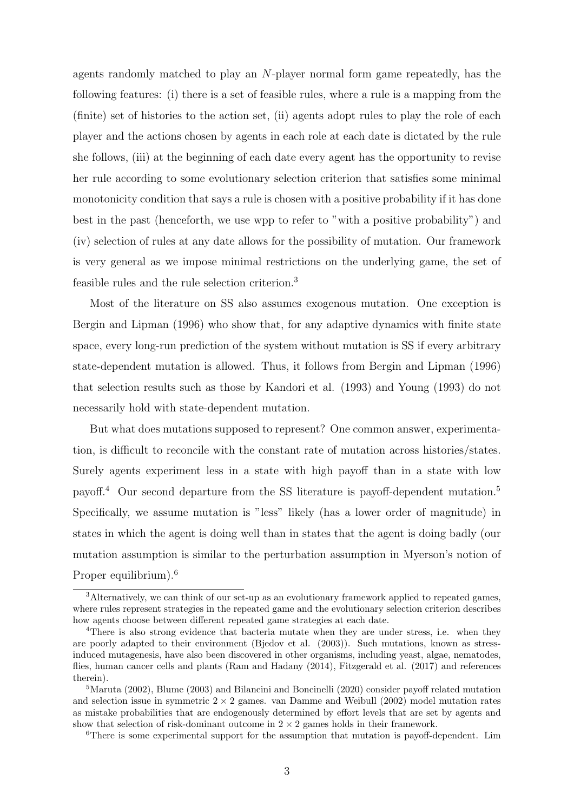agents randomly matched to play an N-player normal form game repeatedly, has the following features: (i) there is a set of feasible rules, where a rule is a mapping from the (finite) set of histories to the action set, (ii) agents adopt rules to play the role of each player and the actions chosen by agents in each role at each date is dictated by the rule she follows, (iii) at the beginning of each date every agent has the opportunity to revise her rule according to some evolutionary selection criterion that satisfies some minimal monotonicity condition that says a rule is chosen with a positive probability if it has done best in the past (henceforth, we use wpp to refer to "with a positive probability") and (iv) selection of rules at any date allows for the possibility of mutation. Our framework is very general as we impose minimal restrictions on the underlying game, the set of feasible rules and the rule selection criterion.<sup>3</sup>

Most of the literature on SS also assumes exogenous mutation. One exception is Bergin and Lipman (1996) who show that, for any adaptive dynamics with finite state space, every long-run prediction of the system without mutation is SS if every arbitrary state-dependent mutation is allowed. Thus, it follows from Bergin and Lipman (1996) that selection results such as those by Kandori et al. (1993) and Young (1993) do not necessarily hold with state-dependent mutation.

But what does mutations supposed to represent? One common answer, experimentation, is difficult to reconcile with the constant rate of mutation across histories/states. Surely agents experiment less in a state with high payoff than in a state with low payoff.<sup>4</sup> Our second departure from the SS literature is payoff-dependent mutation.<sup>5</sup> Specifically, we assume mutation is "less" likely (has a lower order of magnitude) in states in which the agent is doing well than in states that the agent is doing badly (our mutation assumption is similar to the perturbation assumption in Myerson's notion of Proper equilibrium).<sup>6</sup>

<sup>&</sup>lt;sup>3</sup>Alternatively, we can think of our set-up as an evolutionary framework applied to repeated games, where rules represent strategies in the repeated game and the evolutionary selection criterion describes how agents choose between different repeated game strategies at each date.

<sup>&</sup>lt;sup>4</sup>There is also strong evidence that bacteria mutate when they are under stress, i.e. when they are poorly adapted to their environment (Bjedov et al. (2003)). Such mutations, known as stressinduced mutagenesis, have also been discovered in other organisms, including yeast, algae, nematodes, flies, human cancer cells and plants (Ram and Hadany (2014), Fitzgerald et al. (2017) and references therein).

<sup>&</sup>lt;sup>5</sup>Maruta (2002), Blume (2003) and Bilancini and Boncinelli (2020) consider payoff related mutation and selection issue in symmetric  $2 \times 2$  games. van Damme and Weibull (2002) model mutation rates as mistake probabilities that are endogenously determined by effort levels that are set by agents and show that selection of risk-dominant outcome in  $2 \times 2$  games holds in their framework.

 $6$ There is some experimental support for the assumption that mutation is payoff-dependent. Lim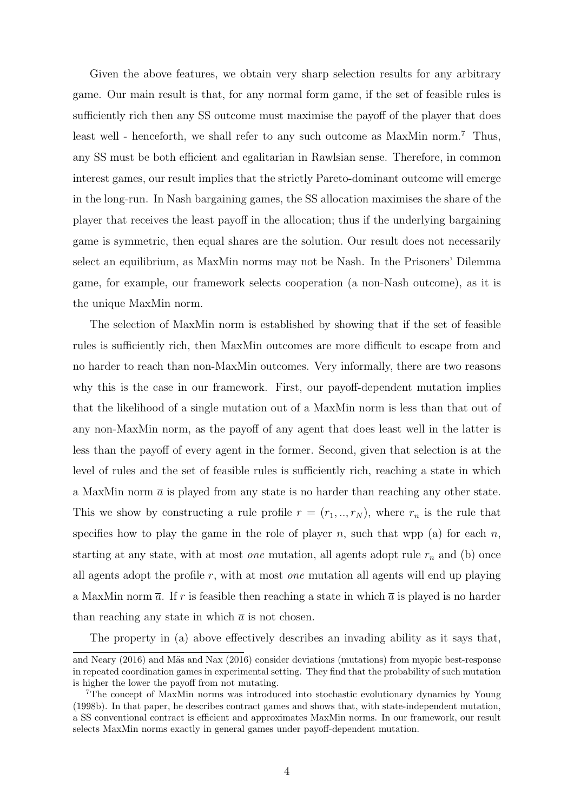Given the above features, we obtain very sharp selection results for any arbitrary game. Our main result is that, for any normal form game, if the set of feasible rules is sufficiently rich then any SS outcome must maximise the payoff of the player that does least well - henceforth, we shall refer to any such outcome as MaxMin norm.<sup>7</sup> Thus, any SS must be both efficient and egalitarian in Rawlsian sense. Therefore, in common interest games, our result implies that the strictly Pareto-dominant outcome will emerge in the long-run. In Nash bargaining games, the SS allocation maximises the share of the player that receives the least payoff in the allocation; thus if the underlying bargaining game is symmetric, then equal shares are the solution. Our result does not necessarily select an equilibrium, as MaxMin norms may not be Nash. In the Prisoners' Dilemma game, for example, our framework selects cooperation (a non-Nash outcome), as it is the unique MaxMin norm.

The selection of MaxMin norm is established by showing that if the set of feasible rules is sufficiently rich, then MaxMin outcomes are more difficult to escape from and no harder to reach than non-MaxMin outcomes. Very informally, there are two reasons why this is the case in our framework. First, our payoff-dependent mutation implies that the likelihood of a single mutation out of a MaxMin norm is less than that out of any non-MaxMin norm, as the payoff of any agent that does least well in the latter is less than the payoff of every agent in the former. Second, given that selection is at the level of rules and the set of feasible rules is sufficiently rich, reaching a state in which a MaxMin norm  $\bar{a}$  is played from any state is no harder than reaching any other state. This we show by constructing a rule profile  $r = (r_1, ..., r_N)$ , where  $r_n$  is the rule that specifies how to play the game in the role of player  $n$ , such that wpp (a) for each  $n$ , starting at any state, with at most *one* mutation, all agents adopt rule  $r_n$  and (b) once all agents adopt the profile  $r$ , with at most *one* mutation all agents will end up playing a MaxMin norm  $\bar{a}$ . If r is feasible then reaching a state in which  $\bar{a}$  is played is no harder than reaching any state in which  $\bar{a}$  is not chosen.

The property in (a) above effectively describes an invading ability as it says that,

and Neary  $(2016)$  and Mäs and Nax  $(2016)$  consider deviations (mutations) from myopic best-response in repeated coordination games in experimental setting. They find that the probability of such mutation is higher the lower the payoff from not mutating.

<sup>7</sup>The concept of MaxMin norms was introduced into stochastic evolutionary dynamics by Young (1998b). In that paper, he describes contract games and shows that, with state-independent mutation, a SS conventional contract is efficient and approximates MaxMin norms. In our framework, our result selects MaxMin norms exactly in general games under payoff-dependent mutation.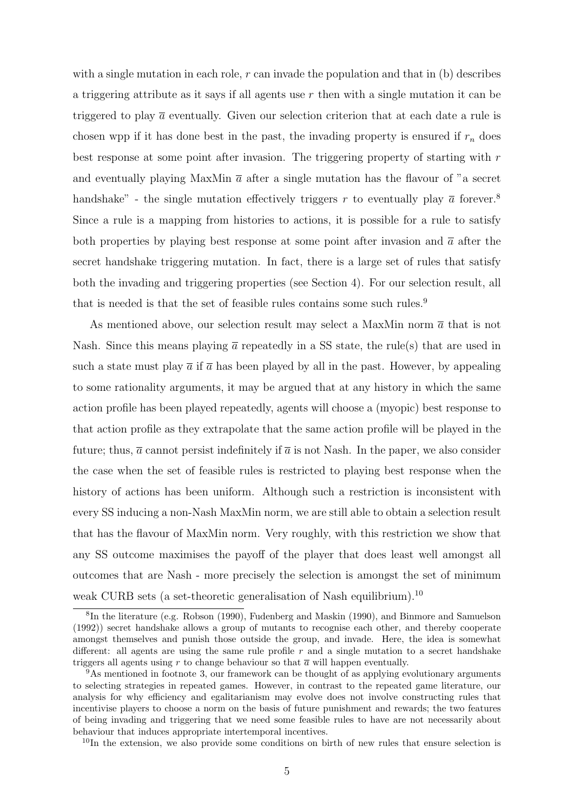with a single mutation in each role,  $r$  can invade the population and that in  $(b)$  describes a triggering attribute as it says if all agents use r then with a single mutation it can be triggered to play  $\bar{a}$  eventually. Given our selection criterion that at each date a rule is chosen wpp if it has done best in the past, the invading property is ensured if  $r_n$  does best response at some point after invasion. The triggering property of starting with  $r$ and eventually playing MaxMin  $\bar{a}$  after a single mutation has the flavour of "a secret handshake" - the single mutation effectively triggers r to eventually play  $\bar{a}$  forever.<sup>8</sup> Since a rule is a mapping from histories to actions, it is possible for a rule to satisfy both properties by playing best response at some point after invasion and  $\bar{a}$  after the secret handshake triggering mutation. In fact, there is a large set of rules that satisfy both the invading and triggering properties (see Section 4). For our selection result, all that is needed is that the set of feasible rules contains some such rules.<sup>9</sup>

As mentioned above, our selection result may select a MaxMin norm  $\bar{a}$  that is not Nash. Since this means playing  $\bar{a}$  repeatedly in a SS state, the rule(s) that are used in such a state must play  $\bar{a}$  if  $\bar{a}$  has been played by all in the past. However, by appealing to some rationality arguments, it may be argued that at any history in which the same action profile has been played repeatedly, agents will choose a (myopic) best response to that action profile as they extrapolate that the same action profile will be played in the future; thus,  $\bar{a}$  cannot persist indefinitely if  $\bar{a}$  is not Nash. In the paper, we also consider the case when the set of feasible rules is restricted to playing best response when the history of actions has been uniform. Although such a restriction is inconsistent with every SS inducing a non-Nash MaxMin norm, we are still able to obtain a selection result that has the flavour of MaxMin norm. Very roughly, with this restriction we show that any SS outcome maximises the payoff of the player that does least well amongst all outcomes that are Nash - more precisely the selection is amongst the set of minimum weak CURB sets (a set-theoretic generalisation of Nash equilibrium).<sup>10</sup>

 $10$ In the extension, we also provide some conditions on birth of new rules that ensure selection is

<sup>8</sup> In the literature (e.g. Robson (1990), Fudenberg and Maskin (1990), and Binmore and Samuelson (1992)) secret handshake allows a group of mutants to recognise each other, and thereby cooperate amongst themselves and punish those outside the group, and invade. Here, the idea is somewhat different: all agents are using the same rule profile  $r$  and a single mutation to a secret handshake triggers all agents using r to change behaviour so that  $\bar{a}$  will happen eventually.

<sup>&</sup>lt;sup>9</sup>As mentioned in footnote 3, our framework can be thought of as applying evolutionary arguments to selecting strategies in repeated games. However, in contrast to the repeated game literature, our analysis for why efficiency and egalitarianism may evolve does not involve constructing rules that incentivise players to choose a norm on the basis of future punishment and rewards; the two features of being invading and triggering that we need some feasible rules to have are not necessarily about behaviour that induces appropriate intertemporal incentives.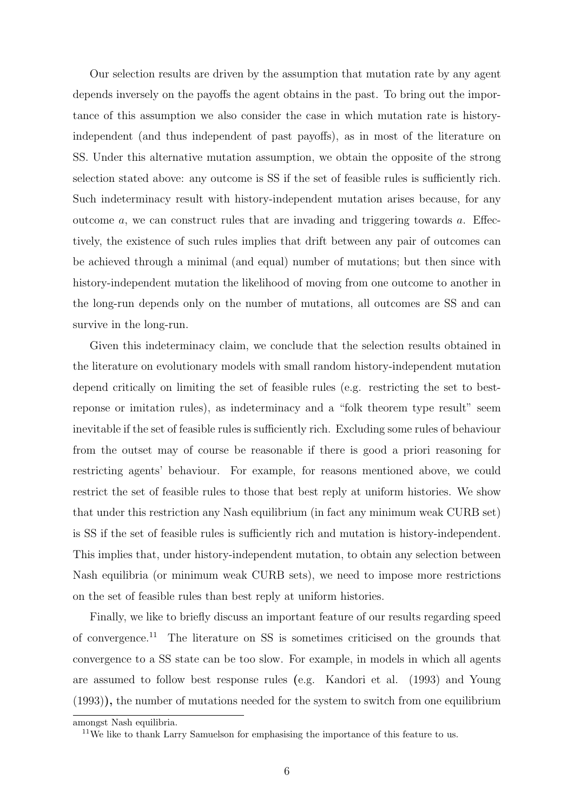Our selection results are driven by the assumption that mutation rate by any agent depends inversely on the payoffs the agent obtains in the past. To bring out the importance of this assumption we also consider the case in which mutation rate is historyindependent (and thus independent of past payoffs), as in most of the literature on SS. Under this alternative mutation assumption, we obtain the opposite of the strong selection stated above: any outcome is SS if the set of feasible rules is sufficiently rich. Such indeterminacy result with history-independent mutation arises because, for any outcome a, we can construct rules that are invading and triggering towards a. Effectively, the existence of such rules implies that drift between any pair of outcomes can be achieved through a minimal (and equal) number of mutations; but then since with history-independent mutation the likelihood of moving from one outcome to another in the long-run depends only on the number of mutations, all outcomes are SS and can survive in the long-run.

Given this indeterminacy claim, we conclude that the selection results obtained in the literature on evolutionary models with small random history-independent mutation depend critically on limiting the set of feasible rules (e.g. restricting the set to bestreponse or imitation rules), as indeterminacy and a "folk theorem type result" seem inevitable if the set of feasible rules is sufficiently rich. Excluding some rules of behaviour from the outset may of course be reasonable if there is good a priori reasoning for restricting agents' behaviour. For example, for reasons mentioned above, we could restrict the set of feasible rules to those that best reply at uniform histories. We show that under this restriction any Nash equilibrium (in fact any minimum weak CURB set) is SS if the set of feasible rules is sufficiently rich and mutation is history-independent. This implies that, under history-independent mutation, to obtain any selection between Nash equilibria (or minimum weak CURB sets), we need to impose more restrictions on the set of feasible rules than best reply at uniform histories.

Finally, we like to briefly discuss an important feature of our results regarding speed of convergence.<sup>11</sup> The literature on SS is sometimes criticised on the grounds that convergence to a SS state can be too slow. For example, in models in which all agents are assumed to follow best response rules (e.g. Kandori et al. (1993) and Young (1993)), the number of mutations needed for the system to switch from one equilibrium

amongst Nash equilibria.

 $11$ We like to thank Larry Samuelson for emphasising the importance of this feature to us.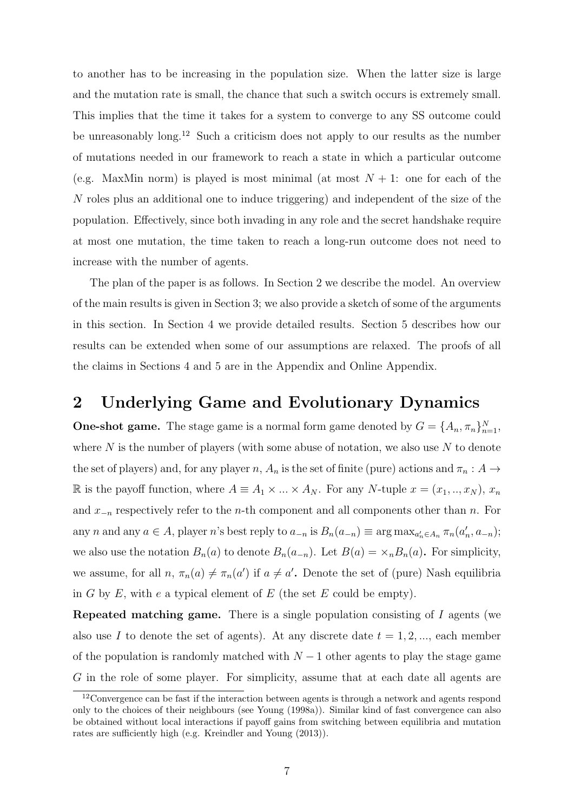to another has to be increasing in the population size. When the latter size is large and the mutation rate is small, the chance that such a switch occurs is extremely small. This implies that the time it takes for a system to converge to any SS outcome could be unreasonably long.<sup>12</sup> Such a criticism does not apply to our results as the number of mutations needed in our framework to reach a state in which a particular outcome (e.g. MaxMin norm) is played is most minimal (at most  $N + 1$ : one for each of the N roles plus an additional one to induce triggering) and independent of the size of the population. Effectively, since both invading in any role and the secret handshake require at most one mutation, the time taken to reach a long-run outcome does not need to increase with the number of agents.

The plan of the paper is as follows. In Section 2 we describe the model. An overview of the main results is given in Section 3; we also provide a sketch of some of the arguments in this section. In Section 4 we provide detailed results. Section 5 describes how our results can be extended when some of our assumptions are relaxed. The proofs of all the claims in Sections 4 and 5 are in the Appendix and Online Appendix.

## 2 Underlying Game and Evolutionary Dynamics

**One-shot game.** The stage game is a normal form game denoted by  $G = \{A_n, \pi_n\}_{n=1}^N$ , where  $N$  is the number of players (with some abuse of notation, we also use  $N$  to denote the set of players) and, for any player n,  $A_n$  is the set of finite (pure) actions and  $\pi_n : A \to$ R is the payoff function, where  $A \equiv A_1 \times ... \times A_N$ . For any N-tuple  $x = (x_1, ..., x_N)$ ,  $x_n$ and  $x_{-n}$  respectively refer to the *n*-th component and all components other than *n*. For any n and any  $a \in A$ , player n's best reply to  $a_{-n}$  is  $B_n(a_{-n}) \equiv \arg \max_{a'_n \in A_n} \pi_n(a'_n, a_{-n});$ we also use the notation  $B_n(a)$  to denote  $B_n(a_{-n})$ . Let  $B(a) = \times_n B_n(a)$ . For simplicity, we assume, for all  $n, \pi_n(a) \neq \pi_n(a')$  if  $a \neq a'$ . Denote the set of (pure) Nash equilibria in G by E, with e a typical element of E (the set E could be empty).

Repeated matching game. There is a single population consisting of I agents (we also use I to denote the set of agents). At any discrete date  $t = 1, 2, \dots$ , each member of the population is randomly matched with  $N-1$  other agents to play the stage game G in the role of some player. For simplicity, assume that at each date all agents are

<sup>&</sup>lt;sup>12</sup>Convergence can be fast if the interaction between agents is through a network and agents respond only to the choices of their neighbours (see Young (1998a)). Similar kind of fast convergence can also be obtained without local interactions if payoff gains from switching between equilibria and mutation rates are sufficiently high (e.g. Kreindler and Young (2013)).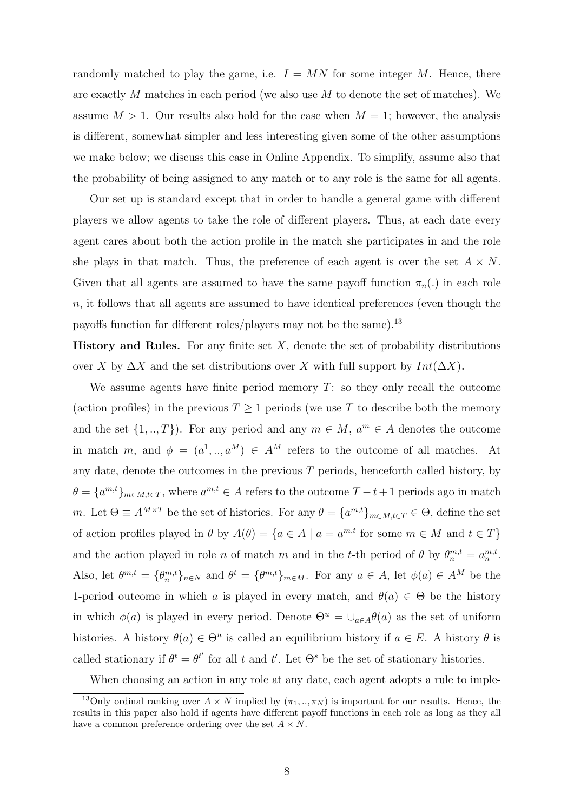randomly matched to play the game, i.e.  $I = MN$  for some integer M. Hence, there are exactly M matches in each period (we also use  $M$  to denote the set of matches). We assume  $M > 1$ . Our results also hold for the case when  $M = 1$ ; however, the analysis is different, somewhat simpler and less interesting given some of the other assumptions we make below; we discuss this case in Online Appendix. To simplify, assume also that the probability of being assigned to any match or to any role is the same for all agents.

Our set up is standard except that in order to handle a general game with different players we allow agents to take the role of different players. Thus, at each date every agent cares about both the action profile in the match she participates in and the role she plays in that match. Thus, the preference of each agent is over the set  $A \times N$ . Given that all agents are assumed to have the same payoff function  $\pi_n(.)$  in each role  $n$ , it follows that all agents are assumed to have identical preferences (even though the payoffs function for different roles/players may not be the same).<sup>13</sup>

**History and Rules.** For any finite set  $X$ , denote the set of probability distributions over X by  $\Delta X$  and the set distributions over X with full support by  $Int(\Delta X)$ .

We assume agents have finite period memory  $T$ : so they only recall the outcome (action profiles) in the previous  $T \geq 1$  periods (we use T to describe both the memory and the set  $\{1, ..., T\}$ . For any period and any  $m \in M$ ,  $a^m \in A$  denotes the outcome in match m, and  $\phi = (a^1, ..., a^M) \in A^M$  refers to the outcome of all matches. At any date, denote the outcomes in the previous  $T$  periods, henceforth called history, by  $\theta = \{a^{m,t}\}_{m \in M, t \in T}$ , where  $a^{m,t} \in A$  refers to the outcome  $T - t + 1$  periods ago in match m. Let  $\Theta \equiv A^{M \times T}$  be the set of histories. For any  $\theta = \{a^{m,t}\}_{m \in M, t \in T} \in \Theta$ , define the set of action profiles played in  $\theta$  by  $A(\theta) = \{a \in A \mid a = a^{m,t} \text{ for some } m \in M \text{ and } t \in T\}$ and the action played in role n of match m and in the t-th period of  $\theta$  by  $\theta_n^{m,t} = a_n^{m,t}$ . Also, let  $\theta^{m,t} = {\theta^{m,t}}_{n \in N}$  and  $\theta^t = {\theta^{m,t}}_{m \in M}$ . For any  $a \in A$ , let  $\phi(a) \in A^M$  be the 1-period outcome in which a is played in every match, and  $\theta(a) \in \Theta$  be the history in which  $\phi(a)$  is played in every period. Denote  $\Theta^u = \bigcup_{a \in A} \theta(a)$  as the set of uniform histories. A history  $\theta(a) \in \Theta^u$  is called an equilibrium history if  $a \in E$ . A history  $\theta$  is called stationary if  $\theta^t = \theta^{t'}$  for all t and t'. Let  $\Theta^s$  be the set of stationary histories.

When choosing an action in any role at any date, each agent adopts a rule to imple-

<sup>&</sup>lt;sup>13</sup>Only ordinal ranking over  $A \times N$  implied by  $(\pi_1, ..., \pi_N)$  is important for our results. Hence, the results in this paper also hold if agents have different payoff functions in each role as long as they all have a common preference ordering over the set  $A \times N$ .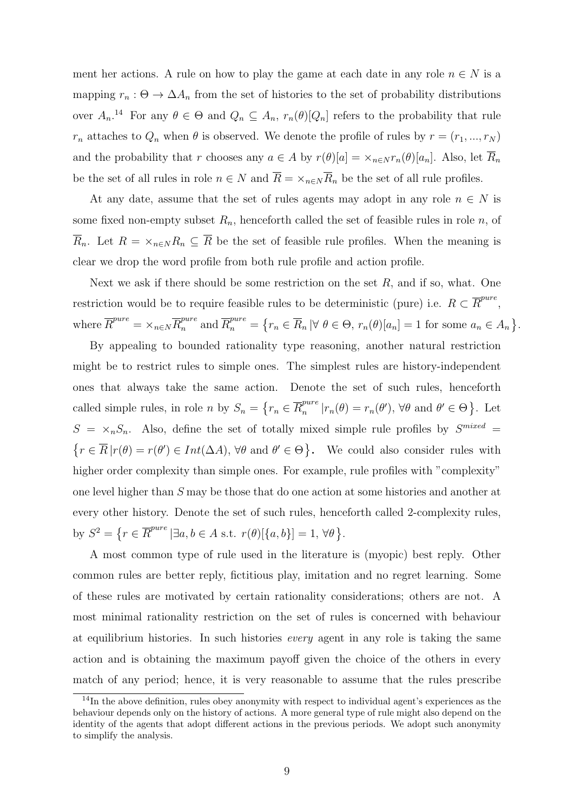ment her actions. A rule on how to play the game at each date in any role  $n \in N$  is a mapping  $r_n : \Theta \to \Delta A_n$  from the set of histories to the set of probability distributions over  $A_n$ <sup>14</sup> For any  $\theta \in \Theta$  and  $Q_n \subseteq A_n$ ,  $r_n(\theta)[Q_n]$  refers to the probability that rule  $r_n$  attaches to  $Q_n$  when  $\theta$  is observed. We denote the profile of rules by  $r = (r_1, ..., r_N)$ and the probability that r chooses any  $a \in A$  by  $r(\theta)[a] = \times_{n \in N} r_n(\theta)[a_n]$ . Also, let  $\overline{R}_n$ be the set of all rules in role  $n \in N$  and  $\overline{R} = \times_{n \in N} \overline{R}_n$  be the set of all rule profiles.

At any date, assume that the set of rules agents may adopt in any role  $n \in N$  is some fixed non-empty subset  $R_n$ , henceforth called the set of feasible rules in role n, of  $\overline{R}_n$ . Let  $R = \times_{n \in \mathbb{N}} R_n \subseteq \overline{R}$  be the set of feasible rule profiles. When the meaning is clear we drop the word profile from both rule profile and action profile.

Next we ask if there should be some restriction on the set  $R$ , and if so, what. One restriction would be to require feasible rules to be deterministic (pure) i.e.  $R \subset \overline{R}^{pure}$ , where  $\overline{R}^{pure} = \times_{n \in N} \overline{R}_n^{pure}$  $_n^{pure}$  and  $\overline{R}_n^{pure} = \{r_n \in \overline{R}_n \mid \forall \ \theta \in \Theta, r_n(\theta)[a_n] = 1 \text{ for some } a_n \in A_n \}.$ 

By appealing to bounded rationality type reasoning, another natural restriction might be to restrict rules to simple ones. The simplest rules are history-independent ones that always take the same action. Denote the set of such rules, henceforth called simple rules, in role *n* by  $S_n = \{r_n \in \overline{R}_n^{pure}\}$  $_{n}^{pure}$  | $r_n(\theta) = r_n(\theta')$ ,  $\forall \theta$  and  $\theta' \in \Theta$  }. Let  $S = \times_n S_n$ . Also, define the set of totally mixed simple rule profiles by  $S^{mixed} =$  $\{r \in \overline{R} | r(\theta) = r(\theta') \in Int(\Delta A), \forall \theta \text{ and } \theta' \in \Theta \}.$  We could also consider rules with higher order complexity than simple ones. For example, rule profiles with "complexity" one level higher than S may be those that do one action at some histories and another at every other history. Denote the set of such rules, henceforth called 2-complexity rules, by  $S^2 = \{r \in \overline{R}^{pure} | \exists a, b \in A \text{ s.t. } r(\theta)[\{a, b\}] = 1, \forall \theta \}.$ 

A most common type of rule used in the literature is (myopic) best reply. Other common rules are better reply, fictitious play, imitation and no regret learning. Some of these rules are motivated by certain rationality considerations; others are not. A most minimal rationality restriction on the set of rules is concerned with behaviour at equilibrium histories. In such histories every agent in any role is taking the same action and is obtaining the maximum payoff given the choice of the others in every match of any period; hence, it is very reasonable to assume that the rules prescribe

 $14$ In the above definition, rules obey anonymity with respect to individual agent's experiences as the behaviour depends only on the history of actions. A more general type of rule might also depend on the identity of the agents that adopt different actions in the previous periods. We adopt such anonymity to simplify the analysis.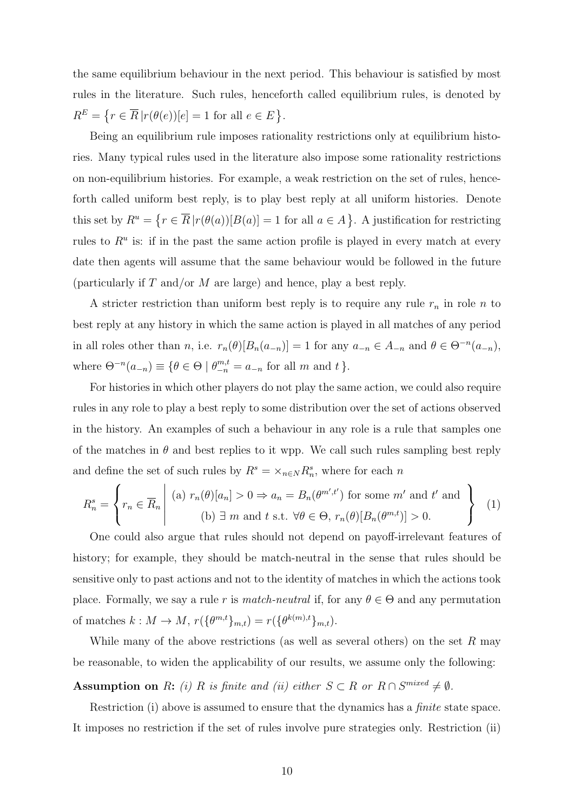the same equilibrium behaviour in the next period. This behaviour is satisfied by most rules in the literature. Such rules, henceforth called equilibrium rules, is denoted by  $R^E = \{r \in \overline{R} | r(\theta(e))[e] = 1 \text{ for all } e \in E \}.$ 

Being an equilibrium rule imposes rationality restrictions only at equilibrium histories. Many typical rules used in the literature also impose some rationality restrictions on non-equilibrium histories. For example, a weak restriction on the set of rules, henceforth called uniform best reply, is to play best reply at all uniform histories. Denote this set by  $R^u = \{r \in \overline{R} | r(\theta(a)) [B(a)] = 1 \text{ for all } a \in A \}$ . A justification for restricting rules to  $R<sup>u</sup>$  is: if in the past the same action profile is played in every match at every date then agents will assume that the same behaviour would be followed in the future (particularly if T and/or M are large) and hence, play a best reply.

A stricter restriction than uniform best reply is to require any rule  $r_n$  in role n to best reply at any history in which the same action is played in all matches of any period in all roles other than n, i.e.  $r_n(\theta)[B_n(a_{-n})] = 1$  for any  $a_{-n} \in A_{-n}$  and  $\theta \in \Theta^{-n}(a_{-n}),$ where  $\Theta^{-n}(a_{-n}) \equiv \{\theta \in \Theta \mid \theta_{-n}^{m,t} = a_{-n} \text{ for all } m \text{ and } t\}.$ 

For histories in which other players do not play the same action, we could also require rules in any role to play a best reply to some distribution over the set of actions observed in the history. An examples of such a behaviour in any role is a rule that samples one of the matches in  $\theta$  and best replies to it wpp. We call such rules sampling best reply and define the set of such rules by  $R^s = \times_{n \in N} R_n^s$ , where for each n

$$
R_n^s = \left\{ r_n \in \overline{R}_n \middle| \begin{array}{c} (\text{a}) \ r_n(\theta)[a_n] > 0 \Rightarrow a_n = B_n(\theta^{m',t'}) \text{ for some } m' \text{ and } t' \text{ and} \\ (\text{b}) \ \exists \ m \text{ and } t \text{ s.t. } \forall \theta \in \Theta, \ r_n(\theta)[B_n(\theta^{m,t})] > 0. \end{array} \right\} \tag{1}
$$

One could also argue that rules should not depend on payoff-irrelevant features of history; for example, they should be match-neutral in the sense that rules should be sensitive only to past actions and not to the identity of matches in which the actions took place. Formally, we say a rule r is match-neutral if, for any  $\theta \in \Theta$  and any permutation of matches  $k: M \to M$ ,  $r(\{\theta^{m,t}\}_{m,t}) = r(\{\theta^{k(m),t}\}_{m,t}).$ 

While many of the above restrictions (as well as several others) on the set  $R$  may be reasonable, to widen the applicability of our results, we assume only the following:

### Assumption on R: (i) R is finite and (ii) either  $S \subset R$  or  $R \cap S^{mixed} \neq \emptyset$ .

Restriction (i) above is assumed to ensure that the dynamics has a *finite* state space. It imposes no restriction if the set of rules involve pure strategies only. Restriction (ii)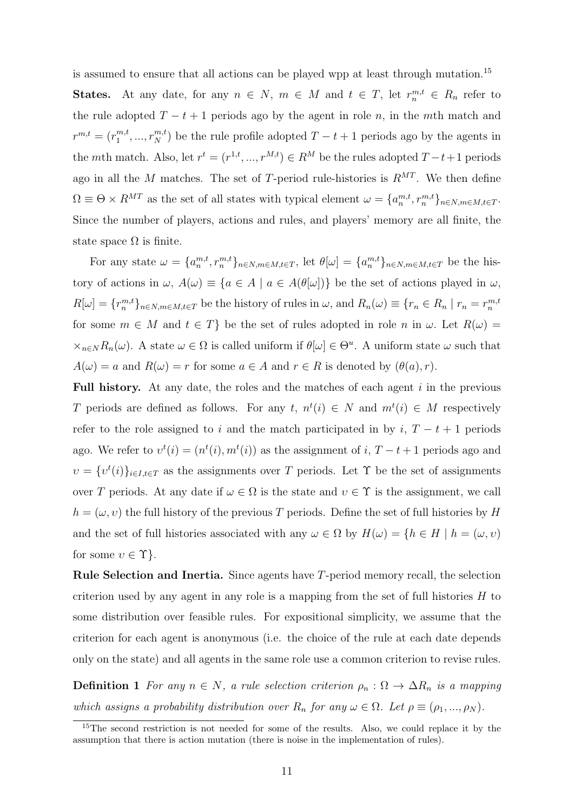is assumed to ensure that all actions can be played wpp at least through mutation.<sup>15</sup>

**States.** At any date, for any  $n \in N$ ,  $m \in M$  and  $t \in T$ , let  $r_n^{m,t} \in R_n$  refer to the rule adopted  $T - t + 1$  periods ago by the agent in role n, in the mth match and  $r^{m,t} = (r_1^{m,t})$  $\binom{m,t}{1}, \ldots, r_N^{m,t}$  be the rule profile adopted  $T - t + 1$  periods ago by the agents in the mth match. Also, let  $r^t = (r^{1,t}, ..., r^{M,t}) \in R^M$  be the rules adopted  $T-t+1$  periods ago in all the M matches. The set of T-period rule-histories is  $R^{MT}$ . We then define  $\Omega \equiv \Theta \times R^{MT}$  as the set of all states with typical element  $\omega = \{a_n^{m,t}, r_n^{m,t}\}_{n \in N, m \in M, t \in T}$ . Since the number of players, actions and rules, and players' memory are all finite, the state space  $\Omega$  is finite.

For any state  $\omega = \{a_m^{m,t}, r_n^{m,t}\}_{n \in N, m \in M, t \in T}$ , let  $\theta[\omega] = \{a_n^{m,t}\}_{n \in N, m \in M, t \in T}$  be the history of actions in  $\omega$ ,  $A(\omega) \equiv \{a \in A \mid a \in A(\theta[\omega])\}$  be the set of actions played in  $\omega$ ,  $R[\omega] = \{r_n^{m,t}\}_{n \in N, m \in M, t \in T}$  be the history of rules in  $\omega$ , and  $R_n(\omega) \equiv \{r_n \in R_n \mid r_n = r_n^{m,t}\}$ for some  $m \in M$  and  $t \in T$  be the set of rules adopted in role n in  $\omega$ . Let  $R(\omega)$  =  $\times_{n\in\mathbb{N}} R_n(\omega)$ . A state  $\omega \in \Omega$  is called uniform if  $\theta[\omega] \in \Theta^u$ . A uniform state  $\omega$  such that  $A(\omega) = a$  and  $R(\omega) = r$  for some  $a \in A$  and  $r \in R$  is denoted by  $(\theta(a), r)$ .

Full history. At any date, the roles and the matches of each agent  $i$  in the previous T periods are defined as follows. For any  $t, n^t(i) \in N$  and  $m^t(i) \in M$  respectively refer to the role assigned to i and the match participated in by i,  $T - t + 1$  periods ago. We refer to  $v^t(i) = (n^t(i), m^t(i))$  as the assignment of i,  $T - t + 1$  periods ago and  $v = \{v^t(i)\}_{i \in I, t \in T}$  as the assignments over T periods. Let  $\Upsilon$  be the set of assignments over T periods. At any date if  $\omega \in \Omega$  is the state and  $v \in \Upsilon$  is the assignment, we call  $h = (\omega, v)$  the full history of the previous T periods. Define the set of full histories by H and the set of full histories associated with any  $\omega \in \Omega$  by  $H(\omega) = \{h \in H \mid h = (\omega, v)\}$ for some  $v \in \Upsilon$ .

Rule Selection and Inertia. Since agents have T-period memory recall, the selection criterion used by any agent in any role is a mapping from the set of full histories  $H$  to some distribution over feasible rules. For expositional simplicity, we assume that the criterion for each agent is anonymous (i.e. the choice of the rule at each date depends only on the state) and all agents in the same role use a common criterion to revise rules.

**Definition 1** For any  $n \in N$ , a rule selection criterion  $\rho_n : \Omega \to \Delta R_n$  is a mapping which assigns a probability distribution over  $R_n$  for any  $\omega \in \Omega$ . Let  $\rho \equiv (\rho_1, ..., \rho_N)$ .

<sup>&</sup>lt;sup>15</sup>The second restriction is not needed for some of the results. Also, we could replace it by the assumption that there is action mutation (there is noise in the implementation of rules).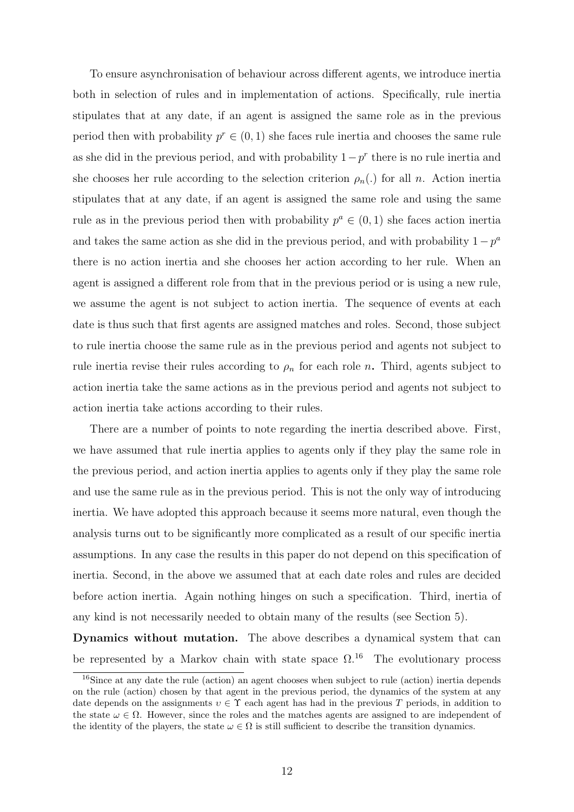To ensure asynchronisation of behaviour across different agents, we introduce inertia both in selection of rules and in implementation of actions. Specifically, rule inertia stipulates that at any date, if an agent is assigned the same role as in the previous period then with probability  $p^r \in (0, 1)$  she faces rule inertia and chooses the same rule as she did in the previous period, and with probability  $1-p^r$  there is no rule inertia and she chooses her rule according to the selection criterion  $\rho_n(.)$  for all n. Action inertia stipulates that at any date, if an agent is assigned the same role and using the same rule as in the previous period then with probability  $p^a \in (0,1)$  she faces action inertia and takes the same action as she did in the previous period, and with probability  $1-p^a$ there is no action inertia and she chooses her action according to her rule. When an agent is assigned a different role from that in the previous period or is using a new rule, we assume the agent is not subject to action inertia. The sequence of events at each date is thus such that first agents are assigned matches and roles. Second, those subject to rule inertia choose the same rule as in the previous period and agents not subject to rule inertia revise their rules according to  $\rho_n$  for each role n. Third, agents subject to action inertia take the same actions as in the previous period and agents not subject to action inertia take actions according to their rules.

There are a number of points to note regarding the inertia described above. First, we have assumed that rule inertia applies to agents only if they play the same role in the previous period, and action inertia applies to agents only if they play the same role and use the same rule as in the previous period. This is not the only way of introducing inertia. We have adopted this approach because it seems more natural, even though the analysis turns out to be significantly more complicated as a result of our specific inertia assumptions. In any case the results in this paper do not depend on this specification of inertia. Second, in the above we assumed that at each date roles and rules are decided before action inertia. Again nothing hinges on such a specification. Third, inertia of any kind is not necessarily needed to obtain many of the results (see Section 5).

Dynamics without mutation. The above describes a dynamical system that can be represented by a Markov chain with state space  $\Omega$ .<sup>16</sup> The evolutionary process

<sup>16</sup>Since at any date the rule (action) an agent chooses when subject to rule (action) inertia depends on the rule (action) chosen by that agent in the previous period, the dynamics of the system at any date depends on the assignments  $v \in \Upsilon$  each agent has had in the previous T periods, in addition to the state  $\omega \in \Omega$ . However, since the roles and the matches agents are assigned to are independent of the identity of the players, the state  $\omega \in \Omega$  is still sufficient to describe the transition dynamics.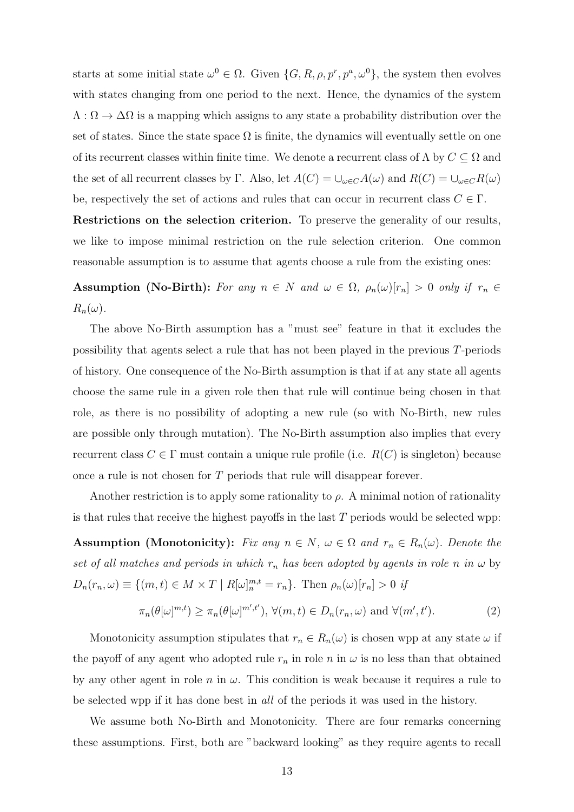starts at some initial state  $\omega^0 \in \Omega$ . Given  $\{G, R, \rho, p^r, p^a, \omega^0\}$ , the system then evolves with states changing from one period to the next. Hence, the dynamics of the system  $\Lambda : \Omega \to \Delta\Omega$  is a mapping which assigns to any state a probability distribution over the set of states. Since the state space  $\Omega$  is finite, the dynamics will eventually settle on one of its recurrent classes within finite time. We denote a recurrent class of  $\Lambda$  by  $C \subseteq \Omega$  and the set of all recurrent classes by Γ. Also, let  $A(C) = \bigcup_{\omega \in C} A(\omega)$  and  $R(C) = \bigcup_{\omega \in C} R(\omega)$ be, respectively the set of actions and rules that can occur in recurrent class  $C \in \Gamma$ .

Restrictions on the selection criterion. To preserve the generality of our results, we like to impose minimal restriction on the rule selection criterion. One common reasonable assumption is to assume that agents choose a rule from the existing ones:

Assumption (No-Birth): For any  $n \in N$  and  $\omega \in \Omega$ ,  $\rho_n(\omega)[r_n] > 0$  only if  $r_n \in$  $R_n(\omega)$ .

The above No-Birth assumption has a "must see" feature in that it excludes the possibility that agents select a rule that has not been played in the previous T-periods of history. One consequence of the No-Birth assumption is that if at any state all agents choose the same rule in a given role then that rule will continue being chosen in that role, as there is no possibility of adopting a new rule (so with No-Birth, new rules are possible only through mutation). The No-Birth assumption also implies that every recurrent class  $C \in \Gamma$  must contain a unique rule profile (i.e.  $R(C)$ ) is singleton) because once a rule is not chosen for T periods that rule will disappear forever.

Another restriction is to apply some rationality to  $\rho$ . A minimal notion of rationality is that rules that receive the highest payoffs in the last  $T$  periods would be selected wpp:

Assumption (Monotonicity): Fix any  $n \in N$ ,  $\omega \in \Omega$  and  $r_n \in R_n(\omega)$ . Denote the set of all matches and periods in which  $r_n$  has been adopted by agents in role n in  $\omega$  by  $D_n(r_n, \omega) \equiv \{(m, t) \in M \times T \mid R[\omega]_n^{m,t} = r_n\}.$  Then  $\rho_n(\omega)[r_n] > 0$  if

$$
\pi_n(\theta[\omega]^{m,t}) \ge \pi_n(\theta[\omega]^{m',t'}), \forall (m,t) \in D_n(r_n,\omega) \text{ and } \forall (m',t').
$$
 (2)

Monotonicity assumption stipulates that  $r_n \in R_n(\omega)$  is chosen wpp at any state  $\omega$  if the payoff of any agent who adopted rule  $r_n$  in role n in  $\omega$  is no less than that obtained by any other agent in role n in  $\omega$ . This condition is weak because it requires a rule to be selected wpp if it has done best in all of the periods it was used in the history.

We assume both No-Birth and Monotonicity. There are four remarks concerning these assumptions. First, both are "backward looking" as they require agents to recall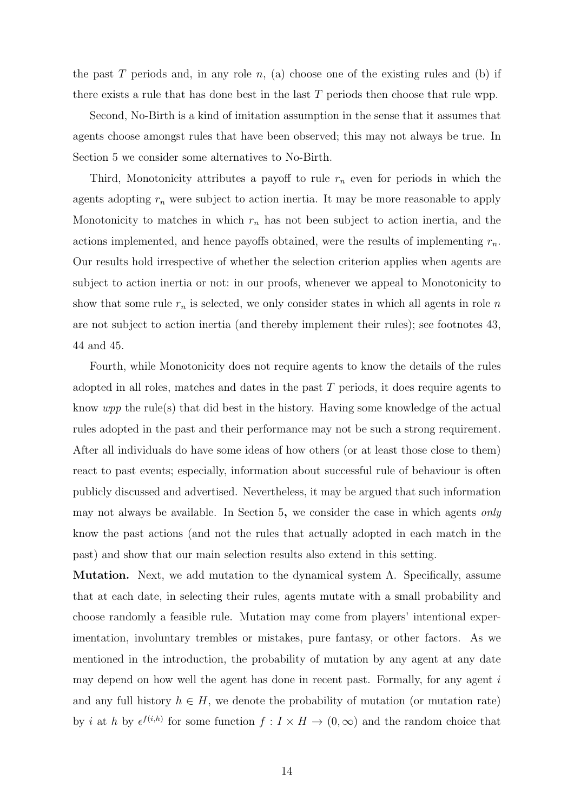the past  $T$  periods and, in any role  $n$ , (a) choose one of the existing rules and (b) if there exists a rule that has done best in the last T periods then choose that rule wpp.

Second, No-Birth is a kind of imitation assumption in the sense that it assumes that agents choose amongst rules that have been observed; this may not always be true. In Section 5 we consider some alternatives to No-Birth.

Third, Monotonicity attributes a payoff to rule  $r_n$  even for periods in which the agents adopting  $r_n$  were subject to action inertia. It may be more reasonable to apply Monotonicity to matches in which  $r_n$  has not been subject to action inertia, and the actions implemented, and hence payoffs obtained, were the results of implementing  $r_n$ . Our results hold irrespective of whether the selection criterion applies when agents are subject to action inertia or not: in our proofs, whenever we appeal to Monotonicity to show that some rule  $r_n$  is selected, we only consider states in which all agents in role n are not subject to action inertia (and thereby implement their rules); see footnotes 43, 44 and 45.

Fourth, while Monotonicity does not require agents to know the details of the rules adopted in all roles, matches and dates in the past T periods, it does require agents to know *wpp* the rule(s) that did best in the history. Having some knowledge of the actual rules adopted in the past and their performance may not be such a strong requirement. After all individuals do have some ideas of how others (or at least those close to them) react to past events; especially, information about successful rule of behaviour is often publicly discussed and advertised. Nevertheless, it may be argued that such information may not always be available. In Section 5, we consider the case in which agents only know the past actions (and not the rules that actually adopted in each match in the past) and show that our main selection results also extend in this setting.

**Mutation.** Next, we add mutation to the dynamical system  $\Lambda$ . Specifically, assume that at each date, in selecting their rules, agents mutate with a small probability and choose randomly a feasible rule. Mutation may come from players' intentional experimentation, involuntary trembles or mistakes, pure fantasy, or other factors. As we mentioned in the introduction, the probability of mutation by any agent at any date may depend on how well the agent has done in recent past. Formally, for any agent  $i$ and any full history  $h \in H$ , we denote the probability of mutation (or mutation rate) by *i* at *h* by  $\epsilon^{f(i,h)}$  for some function  $f: I \times H \to (0,\infty)$  and the random choice that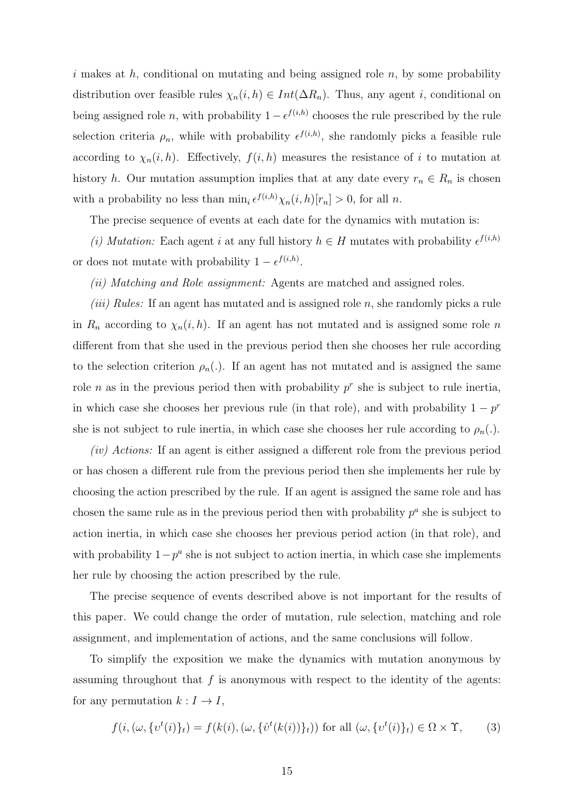i makes at  $h$ , conditional on mutating and being assigned role  $n$ , by some probability distribution over feasible rules  $\chi_n(i, h) \in Int(\Delta R_n)$ . Thus, any agent i, conditional on being assigned role n, with probability  $1 - e^{f(i,h)}$  chooses the rule prescribed by the rule selection criteria  $\rho_n$ , while with probability  $\epsilon^{f(i,h)}$ , she randomly picks a feasible rule according to  $\chi_n(i, h)$ . Effectively,  $f(i, h)$  measures the resistance of i to mutation at history h. Our mutation assumption implies that at any date every  $r_n \in R_n$  is chosen with a probability no less than  $\min_i \epsilon^{f(i,h)} \chi_n(i,h)[r_n] > 0$ , for all n.

The precise sequence of events at each date for the dynamics with mutation is:

(i) Mutation: Each agent i at any full history  $h \in H$  mutates with probability  $\epsilon^{f(i,h)}$ or does not mutate with probability  $1 - e^{f(i,h)}$ .

(ii) Matching and Role assignment: Agents are matched and assigned roles.

(iii) Rules: If an agent has mutated and is assigned role n, she randomly picks a rule in  $R_n$  according to  $\chi_n(i, h)$ . If an agent has not mutated and is assigned some role n different from that she used in the previous period then she chooses her rule according to the selection criterion  $\rho_n(.)$ . If an agent has not mutated and is assigned the same role *n* as in the previous period then with probability  $p<sup>r</sup>$  she is subject to rule inertia, in which case she chooses her previous rule (in that role), and with probability  $1 - p^r$ she is not subject to rule inertia, in which case she chooses her rule according to  $\rho_n(.)$ .

(iv) Actions: If an agent is either assigned a different role from the previous period or has chosen a different rule from the previous period then she implements her rule by choosing the action prescribed by the rule. If an agent is assigned the same role and has chosen the same rule as in the previous period then with probability  $p^a$  she is subject to action inertia, in which case she chooses her previous period action (in that role), and with probability  $1-p^a$  she is not subject to action inertia, in which case she implements her rule by choosing the action prescribed by the rule.

The precise sequence of events described above is not important for the results of this paper. We could change the order of mutation, rule selection, matching and role assignment, and implementation of actions, and the same conclusions will follow.

To simplify the exposition we make the dynamics with mutation anonymous by assuming throughout that  $f$  is anonymous with respect to the identity of the agents: for any permutation  $k : I \to I$ ,

$$
f(i, (\omega, \{v^t(i)\}_t) = f(k(i), (\omega, \{\hat{v}^t(k(i))\}_t)) \text{ for all } (\omega, \{v^t(i)\}_t) \in \Omega \times \Upsilon,
$$
 (3)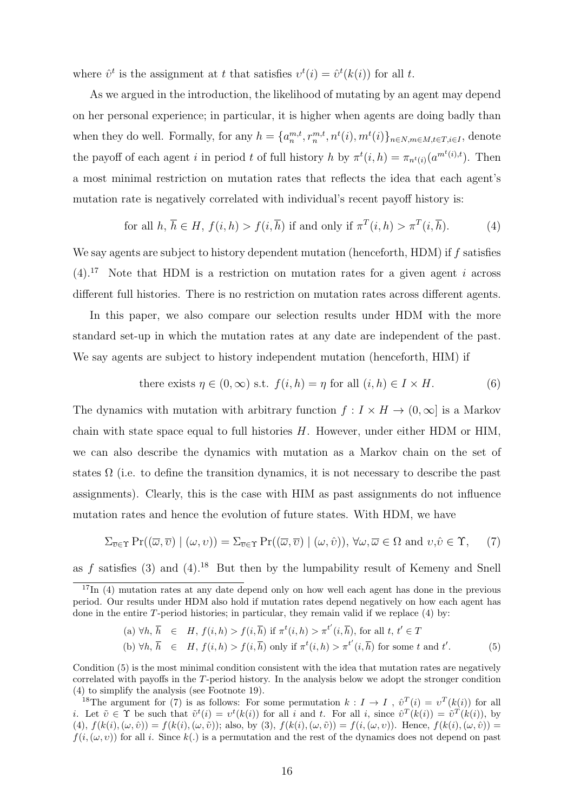where  $\hat{v}^t$  is the assignment at t that satisfies  $v^t(i) = \hat{v}^t(k(i))$  for all t.

As we argued in the introduction, the likelihood of mutating by an agent may depend on her personal experience; in particular, it is higher when agents are doing badly than when they do well. Formally, for any  $h = \{a_n^{m,t}, r_n^{m,t}, n^t(i), m^t(i)\}_{n \in N, m \in M, t \in T, i \in I}$ , denote the payoff of each agent i in period t of full history h by  $\pi^t(i, h) = \pi_{n^t(i)}(a^{m^t(i), t})$ . Then a most minimal restriction on mutation rates that reflects the idea that each agent's mutation rate is negatively correlated with individual's recent payoff history is:

for all 
$$
h, \overline{h} \in H
$$
,  $f(i, h) > f(i, \overline{h})$  if and only if  $\pi^T(i, h) > \pi^T(i, \overline{h})$ . (4)

We say agents are subject to history dependent mutation (henceforth, HDM) if f satisfies  $(4).$ <sup>17</sup> Note that HDM is a restriction on mutation rates for a given agent i across different full histories. There is no restriction on mutation rates across different agents.

In this paper, we also compare our selection results under HDM with the more standard set-up in which the mutation rates at any date are independent of the past. We say agents are subject to history independent mutation (henceforth, HIM) if

there exists 
$$
\eta \in (0, \infty)
$$
 s.t.  $f(i, h) = \eta$  for all  $(i, h) \in I \times H$ . (6)

The dynamics with mutation with arbitrary function  $f: I \times H \to (0, \infty]$  is a Markov chain with state space equal to full histories  $H$ . However, under either HDM or HIM, we can also describe the dynamics with mutation as a Markov chain on the set of states  $\Omega$  (i.e. to define the transition dynamics, it is not necessary to describe the past assignments). Clearly, this is the case with HIM as past assignments do not influence mutation rates and hence the evolution of future states. With HDM, we have

$$
\Sigma_{\overline{v}\in\Upsilon} \Pr((\overline{\omega}, \overline{v}) \mid (\omega, v)) = \Sigma_{\overline{v}\in\Upsilon} \Pr((\overline{\omega}, \overline{v}) \mid (\omega, \hat{v})), \forall \omega, \overline{\omega} \in \Omega \text{ and } v, \hat{v} \in \Upsilon,
$$
 (7)

as  $f$  satisfies (3) and (4).<sup>18</sup> But then by the lumpability result of Kemeny and Snell

(a) 
$$
\forall h, \overline{h} \in H, f(i, h) > f(i, \overline{h})
$$
 if  $\pi^t(i, h) > \pi^{t'}(i, \overline{h})$ , for all  $t, t' \in T$   
\n(b)  $\forall h, \overline{h} \in H, f(i, h) > f(i, \overline{h})$  only if  $\pi^t(i, h) > \pi^{t'}(i, \overline{h})$  for some  $t$  and  $t'$ . (5)

Condition (5) is the most minimal condition consistent with the idea that mutation rates are negatively correlated with payoffs in the T-period history. In the analysis below we adopt the stronger condition (4) to simplify the analysis (see Footnote 19).

<sup>18</sup>The argument for (7) is as follows: For some permutation  $k: I \to I$ ,  $\hat{v}^T(i) = v^T(k(i))$  for all *i*. Let  $\tilde{v} \in \Upsilon$  be such that  $\tilde{v}^t(i) = v^t(k(i))$  for all *i* and *t*. For all *i*, since  $\hat{v}^T(k(i)) = \tilde{v}^T(k(i))$ , by (4),  $f(k(i), (\omega, \hat{v})) = f(k(i), (\omega, \tilde{v}))$ ; also, by (3),  $f(k(i), (\omega, \tilde{v})) = f(i, (\omega, v))$ . Hence,  $f(k(i), (\omega, \hat{v})) = f(k(i), (\omega, \tilde{v}))$  $f(i,(\omega, v))$  for all i. Since  $k(.)$  is a permutation and the rest of the dynamics does not depend on past

 $17\text{In}$  (4) mutation rates at any date depend only on how well each agent has done in the previous period. Our results under HDM also hold if mutation rates depend negatively on how each agent has done in the entire  $T$ -period histories; in particular, they remain valid if we replace  $(4)$  by: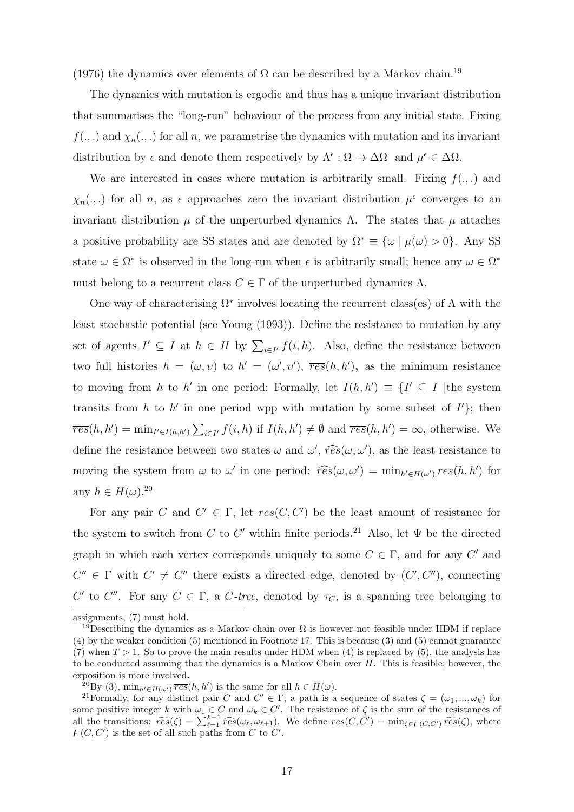(1976) the dynamics over elements of  $\Omega$  can be described by a Markov chain.<sup>19</sup>

The dynamics with mutation is ergodic and thus has a unique invariant distribution that summarises the "long-run" behaviour of the process from any initial state. Fixing  $f(.,.)$  and  $\chi_n(.,.)$  for all n, we parametrise the dynamics with mutation and its invariant distribution by  $\epsilon$  and denote them respectively by  $\Lambda^{\epsilon} : \Omega \to \Delta\Omega$  and  $\mu^{\epsilon} \in \Delta\Omega$ .

We are interested in cases where mutation is arbitrarily small. Fixing  $f(.,.)$  and  $\chi_n(.,.)$  for all n, as  $\epsilon$  approaches zero the invariant distribution  $\mu^{\epsilon}$  converges to an invariant distribution  $\mu$  of the unperturbed dynamics  $\Lambda$ . The states that  $\mu$  attaches a positive probability are SS states and are denoted by  $\Omega^* \equiv {\omega \mid \mu(\omega) > 0}$ . Any SS state  $\omega \in \Omega^*$  is observed in the long-run when  $\epsilon$  is arbitrarily small; hence any  $\omega \in \Omega^*$ must belong to a recurrent class  $C \in \Gamma$  of the unperturbed dynamics  $\Lambda$ .

One way of characterising  $\Omega^*$  involves locating the recurrent class(es) of  $\Lambda$  with the least stochastic potential (see Young (1993)). Define the resistance to mutation by any set of agents  $I' \subseteq I$  at  $h \in H$  by  $\sum_{i \in I'} f(i, h)$ . Also, define the resistance between two full histories  $h = (\omega, v)$  to  $h' = (\omega', v')$ ,  $\overline{res}(h, h')$ , as the minimum resistance to moving from h to h' in one period: Formally, let  $I(h, h') \equiv \{I' \subseteq I \text{ |the system} \}$ transits from h to h' in one period wpp with mutation by some subset of  $I'$ ; then  $\overline{res}(h, h') = \min_{I' \in I(h, h')} \sum_{i \in I'} f(i, h)$  if  $I(h, h') \neq \emptyset$  and  $\overline{res}(h, h') = \infty$ , otherwise. We define the resistance between two states  $\omega$  and  $\omega'$ ,  $\widehat{res}(\omega, \omega')$ , as the least resistance to moving the system from  $\omega$  to  $\omega'$  in one period:  $\widehat{res}(\omega, \omega') = \min_{h' \in H(\omega')} \overline{res}(h, h')$  for any  $h \in H(\omega)$ .<sup>20</sup>

For any pair C and  $C' \in \Gamma$ , let  $res(C, C')$  be the least amount of resistance for the system to switch from C to C' within finite periods.<sup>21</sup> Also, let  $\Psi$  be the directed graph in which each vertex corresponds uniquely to some  $C \in \Gamma$ , and for any  $C'$  and  $C'' \in \Gamma$  with  $C' \neq C''$  there exists a directed edge, denoted by  $(C', C'')$ , connecting C' to C''. For any  $C \in \Gamma$ , a C-tree, denoted by  $\tau_C$ , is a spanning tree belonging to

assignments, (7) must hold.

<sup>&</sup>lt;sup>19</sup>Describing the dynamics as a Markov chain over  $\Omega$  is however not feasible under HDM if replace (4) by the weaker condition (5) mentioned in Footnote 17. This is because (3) and (5) cannot guarantee (7) when  $T > 1$ . So to prove the main results under HDM when (4) is replaced by (5), the analysis has to be conducted assuming that the dynamics is a Markov Chain over  $H$ . This is feasible; however, the exposition is more involved.

<sup>&</sup>lt;sup>20</sup>By (3),  $\min_{h' \in H(\omega')} \overline{res}(h, h')$  is the same for all  $h \in H(\omega)$ .

<sup>&</sup>lt;sup>21</sup>Formally, for any distinct pair C and  $C' \in \Gamma$ , a path is a sequence of states  $\zeta = (\omega_1, ..., \omega_k)$  for some positive integer k with  $\omega_1 \in C$  and  $\omega_k \in C'$ . The resistance of  $\zeta$  is the sum of the resistances of all the transitions:  $\widetilde{res}(\zeta) = \sum_{\ell=1}^{k-1} \widehat{res}(\omega_{\ell}, \omega_{\ell+1})$ . We define  $res(C, C') = \min_{\zeta \in F(C, C')} \widetilde{res}(\zeta)$ , where  $F(C, C')$  is the set of all such paths from C to C'.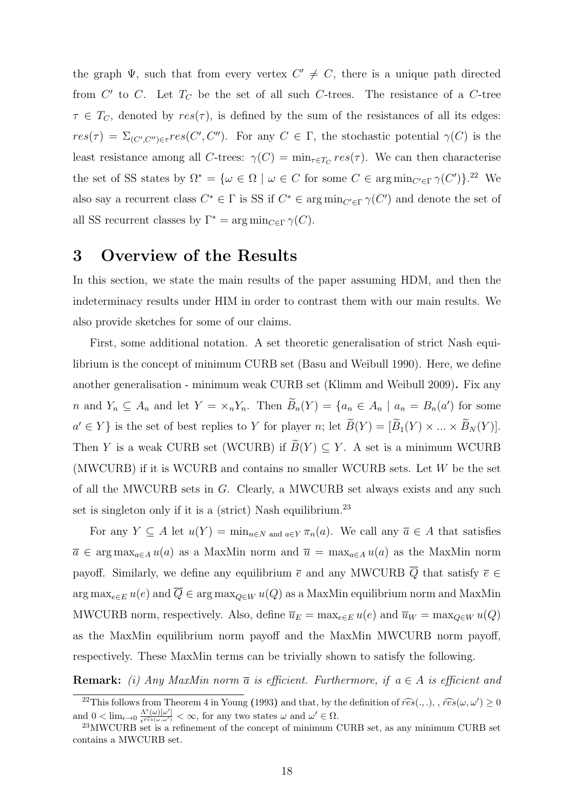the graph  $\Psi$ , such that from every vertex  $C' \neq C$ , there is a unique path directed from  $C'$  to  $C$ . Let  $T_C$  be the set of all such C-trees. The resistance of a C-tree  $\tau \in T_C$ , denoted by  $res(\tau)$ , is defined by the sum of the resistances of all its edges:  $res(\tau) = \sum_{(C',C'')\in \tau} res(C',C'')$ . For any  $C \in \Gamma$ , the stochastic potential  $\gamma(C)$  is the least resistance among all C-trees:  $\gamma(C) = \min_{\tau \in T_C} res(\tau)$ . We can then characterise the set of SS states by  $\Omega^* = \{ \omega \in \Omega \mid \omega \in C \text{ for some } C \in \text{arg min}_{C' \in \Gamma} \gamma(C') \}.^{22}$  We also say a recurrent class  $C^* \in \Gamma$  is SS if  $C^* \in \arg \min_{C' \in \Gamma} \gamma(C')$  and denote the set of all SS recurrent classes by  $\Gamma^* = \arg \min_{C \in \Gamma} \gamma(C)$ .

### 3 Overview of the Results

In this section, we state the main results of the paper assuming HDM, and then the indeterminacy results under HIM in order to contrast them with our main results. We also provide sketches for some of our claims.

First, some additional notation. A set theoretic generalisation of strict Nash equilibrium is the concept of minimum CURB set (Basu and Weibull 1990). Here, we define another generalisation - minimum weak CURB set (Klimm and Weibull 2009). Fix any n and  $Y_n \subseteq A_n$  and let  $Y = \times_n Y_n$ . Then  $\tilde{B}_n(Y) = \{a_n \in A_n \mid a_n = B_n(a')\}$  for some  $a' \in Y$  is the set of best replies to Y for player n; let  $B(Y) = [B_1(Y) \times ... \times B_N(Y)]$ . Then Y is a weak CURB set (WCURB) if  $\widetilde{B}(Y) \subseteq Y$ . A set is a minimum WCURB (MWCURB) if it is WCURB and contains no smaller WCURB sets. Let  $W$  be the set of all the MWCURB sets in G. Clearly, a MWCURB set always exists and any such set is singleton only if it is a (strict) Nash equilibrium.<sup>23</sup>

For any  $Y \subseteq A$  let  $u(Y) = \min_{n \in N} \text{ and } u \in Y$   $\pi_n(a)$ . We call any  $\overline{a} \in A$  that satisfies  $\overline{a} \in \arg \max_{a \in A} u(a)$  as a MaxMin norm and  $\overline{u} = \max_{a \in A} u(a)$  as the MaxMin norm payoff. Similarly, we define any equilibrium  $\bar{e}$  and any MWCURB  $\bar{Q}$  that satisfy  $\bar{e} \in$ arg max<sub>e∈E</sub> u(e) and  $\overline{Q} \in \arg \max_{Q \in W} u(Q)$  as a MaxMin equilibrium norm and MaxMin MWCURB norm, respectively. Also, define  $\overline{u}_E = \max_{e \in E} u(e)$  and  $\overline{u}_W = \max_{Q \in W} u(Q)$ as the MaxMin equilibrium norm payoff and the MaxMin MWCURB norm payoff, respectively. These MaxMin terms can be trivially shown to satisfy the following.

**Remark:** (i) Any MaxMin norm  $\overline{a}$  is efficient. Furthermore, if  $a \in A$  is efficient and

<sup>&</sup>lt;sup>22</sup>This follows from Theorem 4 in Young (1993) and that, by the definition of  $\widehat{res}(\cdot,\cdot),$ ,  $\widehat{res}(\omega,\omega') \ge 0$ and  $0 < \lim_{\epsilon \to 0} \frac{\Lambda^{\epsilon}(\omega)[\omega']}{\epsilon \widehat{res}(\omega,\omega')}$  $\frac{\Lambda^{\epsilon}(\omega)|\omega'|}{\epsilon^{\widehat{res}(\omega,\omega')}} < \infty$ , for any two states  $\omega$  and  $\omega' \in \Omega$ .

 $^{23}$ MWCURB set is a refinement of the concept of minimum CURB set, as any minimum CURB set contains a MWCURB set.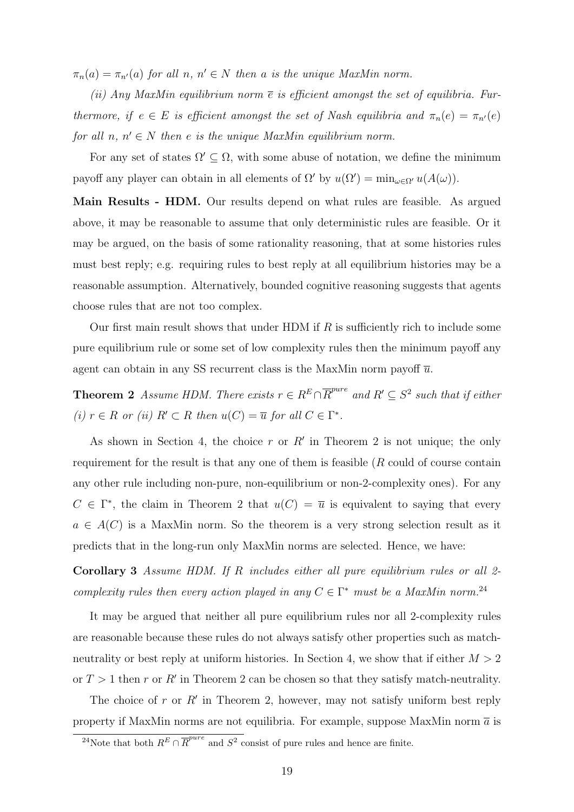$\pi_n(a) = \pi_{n'}(a)$  for all  $n, n' \in N$  then a is the unique MaxMin norm.

(ii) Any MaxMin equilibrium norm  $\overline{e}$  is efficient amongst the set of equilibria. Furthermore, if  $e \in E$  is efficient amongst the set of Nash equilibria and  $\pi_n(e) = \pi_{n'}(e)$ for all  $n, n' \in N$  then e is the unique MaxMin equilibrium norm.

For any set of states  $\Omega' \subseteq \Omega$ , with some abuse of notation, we define the minimum payoff any player can obtain in all elements of  $\Omega'$  by  $u(\Omega') = \min_{\omega \in \Omega'} u(A(\omega))$ .

Main Results - HDM. Our results depend on what rules are feasible. As argued above, it may be reasonable to assume that only deterministic rules are feasible. Or it may be argued, on the basis of some rationality reasoning, that at some histories rules must best reply; e.g. requiring rules to best reply at all equilibrium histories may be a reasonable assumption. Alternatively, bounded cognitive reasoning suggests that agents choose rules that are not too complex.

Our first main result shows that under HDM if  $R$  is sufficiently rich to include some pure equilibrium rule or some set of low complexity rules then the minimum payoff any agent can obtain in any SS recurrent class is the MaxMin norm payoff  $\bar{u}$ .

**Theorem 2** Assume HDM. There exists  $r \in R^E \cap \overline{R}^{pure}$  and  $R' \subseteq S^2$  such that if either (i)  $r \in R$  or (ii)  $R' \subset R$  then  $u(C) = \overline{u}$  for all  $C \in \Gamma^*$ .

As shown in Section 4, the choice  $r$  or  $R'$  in Theorem 2 is not unique; the only requirement for the result is that any one of them is feasible  $(R$  could of course contain any other rule including non-pure, non-equilibrium or non-2-complexity ones). For any  $C \in \Gamma^*$ , the claim in Theorem 2 that  $u(C) = \overline{u}$  is equivalent to saying that every  $a \in A(C)$  is a MaxMin norm. So the theorem is a very strong selection result as it predicts that in the long-run only MaxMin norms are selected. Hence, we have:

Corollary 3 Assume HDM. If R includes either all pure equilibrium rules or all 2 complexity rules then every action played in any  $C \in \Gamma^*$  must be a MaxMin norm.<sup>24</sup>

It may be argued that neither all pure equilibrium rules nor all 2-complexity rules are reasonable because these rules do not always satisfy other properties such as matchneutrality or best reply at uniform histories. In Section 4, we show that if either  $M > 2$ or  $T > 1$  then r or R' in Theorem 2 can be chosen so that they satisfy match-neutrality.

The choice of  $r$  or  $R'$  in Theorem 2, however, may not satisfy uniform best reply property if MaxMin norms are not equilibria. For example, suppose MaxMin norm  $\bar{a}$  is

<sup>&</sup>lt;sup>24</sup>Note that both  $R^E \cap \overline{R}^{pure}$  and  $S^2$  consist of pure rules and hence are finite.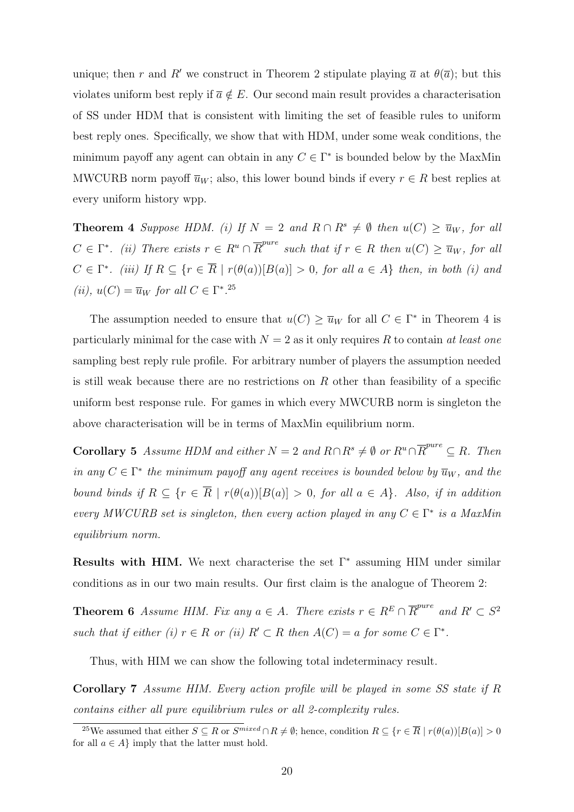unique; then r and R' we construct in Theorem 2 stipulate playing  $\bar{a}$  at  $\theta(\bar{a})$ ; but this violates uniform best reply if  $\bar{a} \notin E$ . Our second main result provides a characterisation of SS under HDM that is consistent with limiting the set of feasible rules to uniform best reply ones. Specifically, we show that with HDM, under some weak conditions, the minimum payoff any agent can obtain in any  $C \in \Gamma^*$  is bounded below by the MaxMin MWCURB norm payoff  $\overline{u}_W$ ; also, this lower bound binds if every  $r \in R$  best replies at every uniform history wpp.

**Theorem 4** Suppose HDM. (i) If  $N = 2$  and  $R \cap R^s \neq \emptyset$  then  $u(C) \geq \overline{u}_W$ , for all  $C \in \Gamma^*$ . (ii) There exists  $r \in R^u \cap \overline{R}^{pure}$  such that if  $r \in R$  then  $u(C) \geq \overline{u}_W$ , for all  $C \in \Gamma^*$ . (iii) If  $R \subseteq \{r \in \overline{R} \mid r(\theta(a)) |B(a)| > 0$ , for all  $a \in A\}$  then, in both (i) and (*ii*),  $u(C) = \overline{u}_W$  for all  $C \in \Gamma^{*}$ .<sup>25</sup>

The assumption needed to ensure that  $u(C) \geq \overline{u}_W$  for all  $C \in \Gamma^*$  in Theorem 4 is particularly minimal for the case with  $N = 2$  as it only requires R to contain at least one sampling best reply rule profile. For arbitrary number of players the assumption needed is still weak because there are no restrictions on  $R$  other than feasibility of a specific uniform best response rule. For games in which every MWCURB norm is singleton the above characterisation will be in terms of MaxMin equilibrium norm.

**Corollary 5** Assume HDM and either  $N = 2$  and  $R \cap R^s \neq \emptyset$  or  $R^u \cap \overline{R}^{pure} \subseteq R$ . Then in any  $C \in \Gamma^*$  the minimum payoff any agent receives is bounded below by  $\overline{u}_W$ , and the bound binds if  $R \subseteq \{r \in \overline{R} \mid r(\theta(a))[B(a)] > 0, \text{ for all } a \in A\}$ . Also, if in addition every MWCURB set is singleton, then every action played in any  $C \in \Gamma^*$  is a MaxMin equilibrium norm.

Results with HIM. We next characterise the set  $\Gamma^*$  assuming HIM under similar conditions as in our two main results. Our first claim is the analogue of Theorem 2:

**Theorem 6** Assume HIM. Fix any  $a \in A$ . There exists  $r \in R^E \cap \overline{R}^{pure}$  and  $R' \subset S^2$ such that if either (i)  $r \in R$  or (ii)  $R' \subset R$  then  $A(C) = a$  for some  $C \in \Gamma^*$ .

Thus, with HIM we can show the following total indeterminacy result.

Corollary 7 Assume HIM. Every action profile will be played in some SS state if R contains either all pure equilibrium rules or all 2-complexity rules.

<sup>&</sup>lt;sup>25</sup>We assumed that either  $S \subseteq R$  or  $S^{mixed} \cap R \neq \emptyset$ ; hence, condition  $R \subseteq \{r \in \overline{R} \mid r(\theta(a)) | B(a) \} > 0$ for all  $a \in A$ } imply that the latter must hold.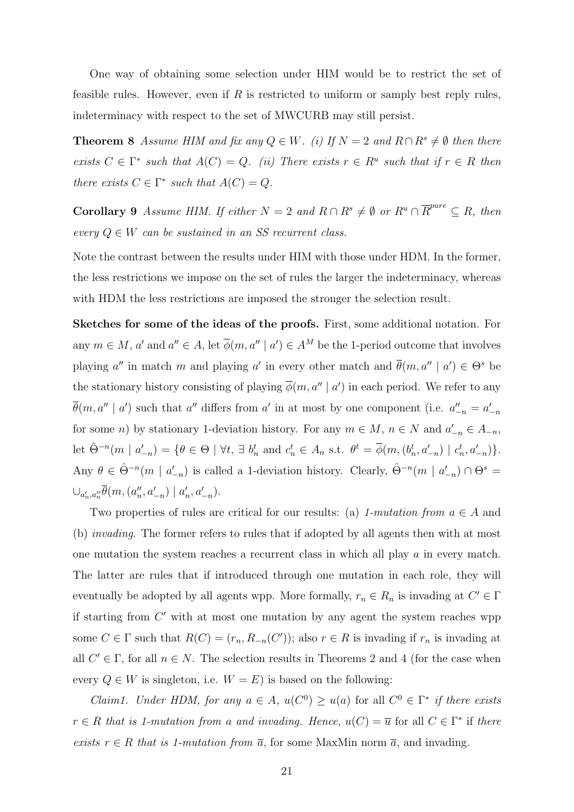One way of obtaining some selection under HIM would be to restrict the set of feasible rules. However, even if  $R$  is restricted to uniform or samply best reply rules, indeterminacy with respect to the set of MWCURB may still persist.

**Theorem 8** Assume HIM and fix any  $Q \in W$ . (i) If  $N = 2$  and  $R \cap R^s \neq \emptyset$  then there exists  $C \in \Gamma^*$  such that  $A(C) = Q$ . (ii) There exists  $r \in R^u$  such that if  $r \in R$  then there exists  $C \in \Gamma^*$  such that  $A(C) = Q$ .

**Corollary 9** Assume HIM. If either  $N = 2$  and  $R \cap R^s \neq \emptyset$  or  $R^u \cap \overline{R}^{pure} \subseteq R$ , then every  $Q \in W$  can be sustained in an SS recurrent class.

Note the contrast between the results under HIM with those under HDM. In the former, the less restrictions we impose on the set of rules the larger the indeterminacy, whereas with HDM the less restrictions are imposed the stronger the selection result.

Sketches for some of the ideas of the proofs. First, some additional notation. For any  $m \in M$ , a' and  $a'' \in A$ , let  $\overline{\phi}(m, a'' \mid a') \in A^M$  be the 1-period outcome that involves playing a'' in match m and playing a' in every other match and  $\bar{\theta}(m, a'' \mid a') \in \Theta^s$  be the stationary history consisting of playing  $\overline{\phi}(m, a'' | a')$  in each period. We refer to any  $\bar{\theta}(m, a'' \mid a')$  such that a'' differs from a' in at most by one component (i.e.  $a''_{-n} = a'_{-n}$ for some *n*) by stationary 1-deviation history. For any  $m \in M$ ,  $n \in N$  and  $a'_{-n} \in A_{-n}$ , let  $\hat{\Theta}^{-n}(m \mid a'_{-n}) = \{\theta \in \Theta \mid \forall t, \exists \ b_n^t \text{ and } c_n^t \in A_n \text{ s.t. } \theta^t = \overline{\phi}(m, (b_n^t, a'_{-n}) \mid c_n^t, a'_{-n})\}.$ Any  $\theta \in \hat{\Theta}^{-n}(m \mid a'_{-n})$  is called a 1-deviation history. Clearly,  $\hat{\Theta}^{-n}(m \mid a'_{-n}) \cap \Theta^s =$  $\cup_{a_n',a_n''}\overline{\theta}(m,(a_n'',a_{-n}')\mid a_n',a_{-n}').$ 

Two properties of rules are critical for our results: (a) 1-mutation from  $a \in A$  and (b) invading. The former refers to rules that if adopted by all agents then with at most one mutation the system reaches a recurrent class in which all play  $a$  in every match. The latter are rules that if introduced through one mutation in each role, they will eventually be adopted by all agents wpp. More formally,  $r_n \in R_n$  is invading at  $C' \in \Gamma$ if starting from  $C'$  with at most one mutation by any agent the system reaches wpp some  $C \in \Gamma$  such that  $R(C) = (r_n, R_{-n}(C'))$ ; also  $r \in R$  is invading if  $r_n$  is invading at all  $C' \in \Gamma$ , for all  $n \in N$ . The selection results in Theorems 2 and 4 (for the case when every  $Q \in W$  is singleton, i.e.  $W = E$ ) is based on the following:

*Claim1.* Under HDM, for any  $a \in A$ ,  $u(C^0) \geq u(a)$  for all  $C^0 \in \Gamma^*$  if there exists  $r \in R$  that is 1-mutation from a and invading. Hence,  $u(C) = \overline{u}$  for all  $C \in \Gamma^*$  if there exists  $r \in R$  that is 1-mutation from  $\bar{a}$ , for some MaxMin norm  $\bar{a}$ , and invading.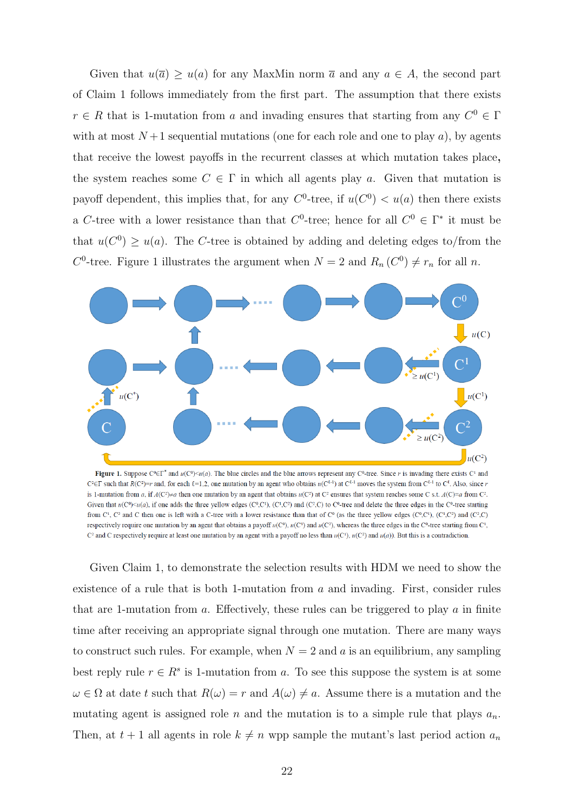Given that  $u(\overline{a}) \geq u(a)$  for any MaxMin norm  $\overline{a}$  and any  $a \in A$ , the second part of Claim 1 follows immediately from the first part. The assumption that there exists  $r \in R$  that is 1-mutation from a and invading ensures that starting from any  $C^0 \in \Gamma$ with at most  $N+1$  sequential mutations (one for each role and one to play a), by agents that receive the lowest payoffs in the recurrent classes at which mutation takes place, the system reaches some  $C \in \Gamma$  in which all agents play a. Given that mutation is payoff dependent, this implies that, for any  $C^0$ -tree, if  $u(C^0) < u(a)$  then there exists a C-tree with a lower resistance than that  $C^0$ -tree; hence for all  $C^0 \in \Gamma^*$  it must be that  $u(C^0) \geq u(a)$ . The C-tree is obtained by adding and deleting edges to/from the  $C^0$ -tree. Figure 1 illustrates the argument when  $N = 2$  and  $R_n(C^0) \neq r_n$  for all n.



Figure 1. Suppose  $C^0 \in \Gamma^*$  and  $u(C^0) \leq u(a)$ . The blue circles and the blue arrows represent any  $C^0$ -tree. Since r is invading there exists  $C^1$  and  $C^2 \in \Gamma$  such that  $R(C^2)=r$  and, for each  $\ell=1,2$ , one mutation by an agent who obtains  $u(C^{\ell-1})$  at  $C^{\ell-1}$  moves the system from  $C^{\ell-1}$  to  $C^{\ell}$ . Also, since r is 1-mutation from a, if  $A(C^2) \neq a$  then one mutation by an agent that obtains  $u(C^2)$  at  $C^2$  ensures that system reaches some C s.t.  $A(C)=a$  from  $C^2$ . Given that  $u(C^{\circ}) \leq u(a)$ , if one adds the three yellow edges (C°,C°), (C°,C°) and (C°,C) to C°-tree and delete the three edges in the C°-tree starting from  $C^1$ ,  $C^2$  and C then one is left with a C-tree with a lower resistance than that of  $C^0$  (as the three yellow edges  $(C^0,C^1)$ ,  $(C^1,C^2)$  and  $(C^2,C)$ respectively require one mutation by an agent that obtains a payoff  $u(C^0)$ ,  $u(C^1)$  and  $u(C^2)$ , whereas the three edges in the C<sup>0</sup>-tree starting from C<sup>1</sup>, C<sup>2</sup> and C respectively require at least one mutation by an agent with a payoff no less than  $u(C^1)$ ,  $u(C^2)$  and  $u(a)$ ). But this is a contradiction.

Given Claim 1, to demonstrate the selection results with HDM we need to show the existence of a rule that is both 1-mutation from  $a$  and invading. First, consider rules that are 1-mutation from  $a$ . Effectively, these rules can be triggered to play  $a$  in finite time after receiving an appropriate signal through one mutation. There are many ways to construct such rules. For example, when  $N = 2$  and a is an equilibrium, any sampling best reply rule  $r \in \mathbb{R}^s$  is 1-mutation from a. To see this suppose the system is at some  $\omega \in \Omega$  at date t such that  $R(\omega) = r$  and  $A(\omega) \neq a$ . Assume there is a mutation and the mutating agent is assigned role n and the mutation is to a simple rule that plays  $a_n$ . Then, at  $t + 1$  all agents in role  $k \neq n$  wpp sample the mutant's last period action  $a_n$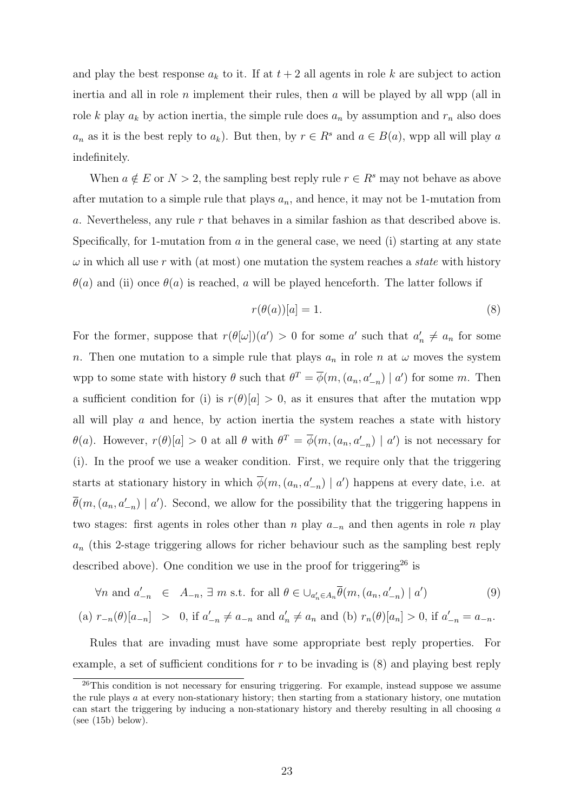and play the best response  $a_k$  to it. If at  $t + 2$  all agents in role k are subject to action inertia and all in role  $n$  implement their rules, then  $a$  will be played by all wpp (all in role k play  $a_k$  by action inertia, the simple rule does  $a_n$  by assumption and  $r_n$  also does  $a_n$  as it is the best reply to  $a_k$ ). But then, by  $r \in R^s$  and  $a \in B(a)$ , wpp all will play a indefinitely.

When  $a \notin E$  or  $N > 2$ , the sampling best reply rule  $r \in R^s$  may not behave as above after mutation to a simple rule that plays  $a_n$ , and hence, it may not be 1-mutation from a. Nevertheless, any rule r that behaves in a similar fashion as that described above is. Specifically, for 1-mutation from  $\alpha$  in the general case, we need (i) starting at any state  $\omega$  in which all use r with (at most) one mutation the system reaches a *state* with history  $\theta(a)$  and (ii) once  $\theta(a)$  is reached, a will be played henceforth. The latter follows if

$$
r(\theta(a))[a] = 1.
$$
\n(8)

For the former, suppose that  $r(\theta[\omega])(a') > 0$  for some a' such that  $a'_n \neq a_n$  for some n. Then one mutation to a simple rule that plays  $a_n$  in role n at  $\omega$  moves the system wpp to some state with history  $\theta$  such that  $\theta^T = \overline{\phi}(m,(a_n,a'_{-n}) \mid a')$  for some m. Then a sufficient condition for (i) is  $r(\theta)[a] > 0$ , as it ensures that after the mutation wpp all will play a and hence, by action inertia the system reaches a state with history  $\theta(a)$ . However,  $r(\theta)[a] > 0$  at all  $\theta$  with  $\theta^T = \overline{\phi}(m,(a_n,a'_{-n}) | a')$  is not necessary for (i). In the proof we use a weaker condition. First, we require only that the triggering starts at stationary history in which  $\overline{\phi}(m,(a_n,a'_{-n}) | a')$  happens at every date, i.e. at  $\overline{\theta}(m,(a_n,a'_{-n})\mid a')$ . Second, we allow for the possibility that the triggering happens in two stages: first agents in roles other than n play  $a_{-n}$  and then agents in role n play  $a_n$  (this 2-stage triggering allows for richer behaviour such as the sampling best reply described above). One condition we use in the proof for triggering<sup>26</sup> is

$$
\forall n \text{ and } a'_{-n} \in A_{-n}, \exists m \text{ s.t. for all } \theta \in \bigcup_{a'_n \in A_n} \overline{\theta}(m, (a_n, a'_{-n}) \mid a')
$$
\n
$$
(a) \ r_{-n}(\theta)[a_{-n}] > 0, \text{ if } a'_{-n} \neq a_{-n} \text{ and } a'_n \neq a_n \text{ and (b) } r_n(\theta)[a_n] > 0, \text{ if } a'_{-n} = a_{-n}.
$$

Rules that are invading must have some appropriate best reply properties. For example, a set of sufficient conditions for  $r$  to be invading is  $(8)$  and playing best reply

<sup>&</sup>lt;sup>26</sup>This condition is not necessary for ensuring triggering. For example, instead suppose we assume the rule plays a at every non-stationary history; then starting from a stationary history, one mutation can start the triggering by inducing a non-stationary history and thereby resulting in all choosing a  $(see (15b) below).$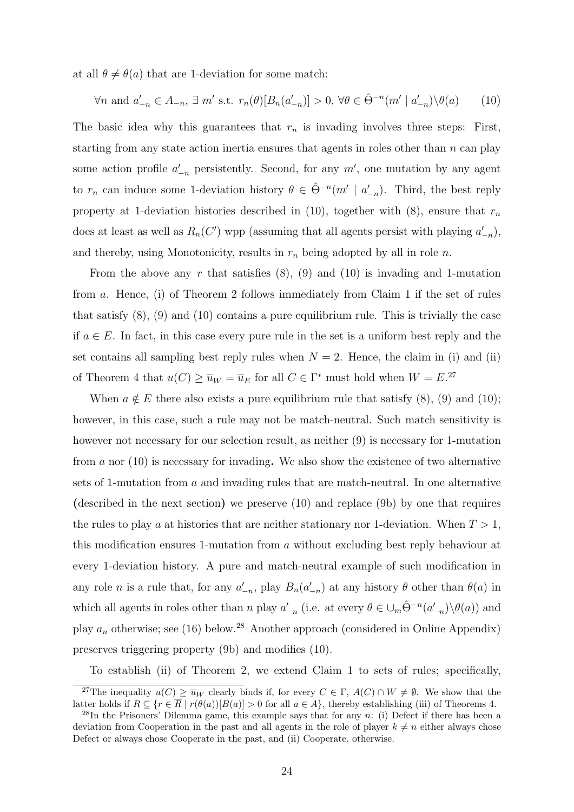at all  $\theta \neq \theta(a)$  that are 1-deviation for some match:

$$
\forall n \text{ and } a'_{-n} \in A_{-n}, \exists m' \text{ s.t. } r_n(\theta)[B_n(a'_{-n})] > 0, \forall \theta \in \hat{\Theta}^{-n}(m' \mid a'_{-n}) \setminus \theta(a) \tag{10}
$$

The basic idea why this guarantees that  $r_n$  is invading involves three steps: First, starting from any state action inertia ensures that agents in roles other than  $n$  can play some action profile  $a'_{-n}$  persistently. Second, for any  $m'$ , one mutation by any agent to  $r_n$  can induce some 1-deviation history  $\theta \in \hat{\Theta}^{-n}(m' \mid a'_{-n})$ . Third, the best reply property at 1-deviation histories described in (10), together with (8), ensure that  $r_n$ does at least as well as  $R_n(C')$  wpp (assuming that all agents persist with playing  $a'_{-n}$ ), and thereby, using Monotonicity, results in  $r_n$  being adopted by all in role n.

From the above any r that satisfies  $(8)$ ,  $(9)$  and  $(10)$  is invading and 1-mutation from a. Hence, (i) of Theorem 2 follows immediately from Claim 1 if the set of rules that satisfy  $(8)$ ,  $(9)$  and  $(10)$  contains a pure equilibrium rule. This is trivially the case if  $a \in E$ . In fact, in this case every pure rule in the set is a uniform best reply and the set contains all sampling best reply rules when  $N = 2$ . Hence, the claim in (i) and (ii) of Theorem 4 that  $u(C) \ge \overline{u}_W = \overline{u}_E$  for all  $C \in \Gamma^*$  must hold when  $W = E^{27}$ 

When  $a \notin E$  there also exists a pure equilibrium rule that satisfy  $(8)$ ,  $(9)$  and  $(10)$ ; however, in this case, such a rule may not be match-neutral. Such match sensitivity is however not necessary for our selection result, as neither (9) is necessary for 1-mutation from a nor (10) is necessary for invading. We also show the existence of two alternative sets of 1-mutation from a and invading rules that are match-neutral. In one alternative (described in the next section) we preserve (10) and replace (9b) by one that requires the rules to play a at histories that are neither stationary nor 1-deviation. When  $T > 1$ , this modification ensures 1-mutation from a without excluding best reply behaviour at every 1-deviation history. A pure and match-neutral example of such modification in any role *n* is a rule that, for any  $a'_{-n}$ , play  $B_n(a'_{-n})$  at any history  $\theta$  other than  $\theta(a)$  in which all agents in roles other than n play  $a'_{-n}$  (i.e. at every  $\theta \in \bigcup_m \hat{\Theta}^{-n}(a'_{-n}) \setminus \theta(a)$ ) and play  $a_n$  otherwise; see (16) below.<sup>28</sup> Another approach (considered in Online Appendix) preserves triggering property (9b) and modifies (10).

To establish (ii) of Theorem 2, we extend Claim 1 to sets of rules; specifically,

<sup>&</sup>lt;sup>27</sup>The inequality  $u(C) \ge \overline{u}_W$  clearly binds if, for every  $C \in \Gamma$ ,  $A(C) \cap W \ne \emptyset$ . We show that the latter holds if  $R \subseteq \{r \in \overline{R} \mid r(\theta(a)) | B(a) \geq 0 \text{ for all } a \in A\}$ , thereby establishing (iii) of Theorems 4.

<sup>&</sup>lt;sup>28</sup>In the Prisoners' Dilemma game, this example says that for any n: (i) Defect if there has been a deviation from Cooperation in the past and all agents in the role of player  $k \neq n$  either always chose Defect or always chose Cooperate in the past, and (ii) Cooperate, otherwise.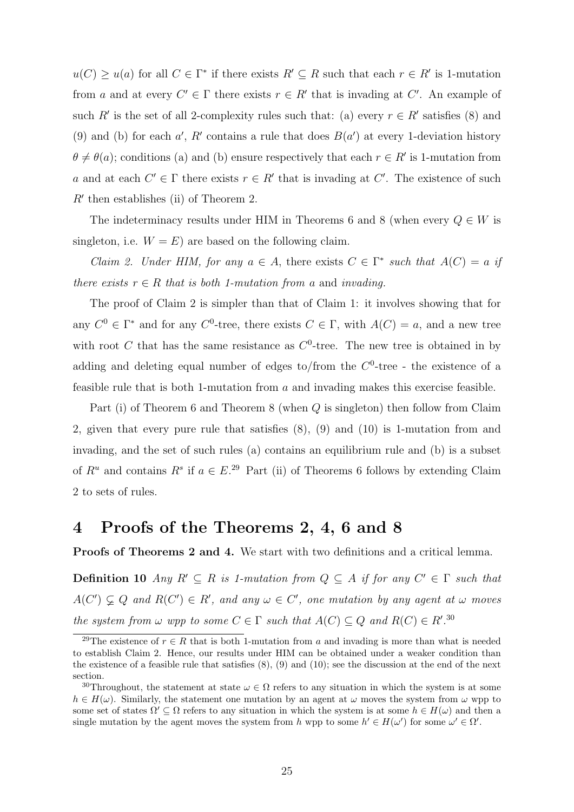$u(C) \geq u(a)$  for all  $C \in \Gamma^*$  if there exists  $R' \subseteq R$  such that each  $r \in R'$  is 1-mutation from a and at every  $C' \in \Gamma$  there exists  $r \in R'$  that is invading at C'. An example of such R' is the set of all 2-complexity rules such that: (a) every  $r \in R'$  satisfies (8) and (9) and (b) for each a', R' contains a rule that does  $B(a')$  at every 1-deviation history  $\theta \neq \theta(a)$ ; conditions (a) and (b) ensure respectively that each  $r \in R'$  is 1-mutation from a and at each  $C' \in \Gamma$  there exists  $r \in R'$  that is invading at C'. The existence of such  $R'$  then establishes (ii) of Theorem 2.

The indeterminacy results under HIM in Theorems 6 and 8 (when every  $Q \in W$  is singleton, i.e.  $W = E$ ) are based on the following claim.

Claim 2. Under HIM, for any  $a \in A$ , there exists  $C \in \Gamma^*$  such that  $A(C) = a$  if there exists  $r \in R$  that is both 1-mutation from a and invading.

The proof of Claim 2 is simpler than that of Claim 1: it involves showing that for any  $C^0 \in \Gamma^*$  and for any  $C^0$ -tree, there exists  $C \in \Gamma$ , with  $A(C) = a$ , and a new tree with root C that has the same resistance as  $C^0$ -tree. The new tree is obtained in by adding and deleting equal number of edges to/from the  $C<sup>0</sup>$ -tree - the existence of a feasible rule that is both 1-mutation from a and invading makes this exercise feasible.

Part (i) of Theorem 6 and Theorem 8 (when Q is singleton) then follow from Claim 2, given that every pure rule that satisfies (8), (9) and (10) is 1-mutation from and invading, and the set of such rules (a) contains an equilibrium rule and (b) is a subset of  $R^u$  and contains  $R^s$  if  $a \in E^{29}$  Part (ii) of Theorems 6 follows by extending Claim 2 to sets of rules.

### 4 Proofs of the Theorems 2, 4, 6 and 8

Proofs of Theorems 2 and 4. We start with two definitions and a critical lemma.

**Definition 10** Any  $R' \subseteq R$  is 1-mutation from  $Q \subseteq A$  if for any  $C' \in \Gamma$  such that  $A(C') \subsetneq Q$  and  $R(C') \in R'$ , and any  $\omega \in C'$ , one mutation by any agent at  $\omega$  moves the system from  $\omega$  wpp to some  $C \in \Gamma$  such that  $A(C) \subseteq Q$  and  $R(C) \in R'$ .<sup>30</sup>

<sup>&</sup>lt;sup>29</sup>The existence of  $r \in R$  that is both 1-mutation from a and invading is more than what is needed to establish Claim 2. Hence, our results under HIM can be obtained under a weaker condition than the existence of a feasible rule that satisfies (8), (9) and (10); see the discussion at the end of the next section.

<sup>&</sup>lt;sup>30</sup>Throughout, the statement at state  $\omega \in \Omega$  refers to any situation in which the system is at some  $h \in H(\omega)$ . Similarly, the statement one mutation by an agent at  $\omega$  moves the system from  $\omega$  wpp to some set of states  $\Omega' \subseteq \Omega$  refers to any situation in which the system is at some  $h \in H(\omega)$  and then a single mutation by the agent moves the system from h wpp to some  $h' \in H(\omega')$  for some  $\omega' \in \Omega'$ .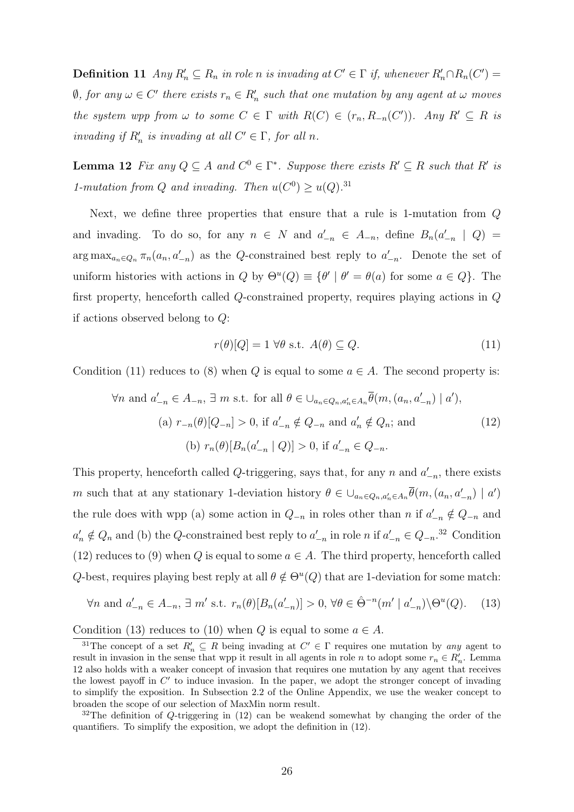**Definition 11**  $Any R'_n \subseteq R_n$  in role n is invading at  $C' \in \Gamma$  if, whenever  $R'_n \cap R_n(C') =$  $\emptyset$ , for any  $\omega \in C'$  there exists  $r_n \in R'_n$  such that one mutation by any agent at  $\omega$  moves the system wpp from  $\omega$  to some  $C \in \Gamma$  with  $R(C) \in (r_n, R_{-n}(C'))$ . Any  $R' \subseteq R$  is invading if  $R'_n$  is invading at all  $C' \in \Gamma$ , for all n.

**Lemma 12** Fix any  $Q \subseteq A$  and  $C^0 \in \Gamma^*$ . Suppose there exists  $R' \subseteq R$  such that  $R'$  is 1-mutation from Q and invading. Then  $u(C^0) \ge u(Q)$ .<sup>31</sup>

Next, we define three properties that ensure that a rule is 1-mutation from Q and invading. To do so, for any  $n \in N$  and  $a'_{-n} \in A_{-n}$ , define  $B_n(a'_{-n} | Q) =$  $\arg \max_{a_n \in Q_n} \pi_n(a_n, a'_{-n})$  as the Q-constrained best reply to  $a'_{-n}$ . Denote the set of uniform histories with actions in Q by  $\Theta^u(Q) \equiv {\theta' | \theta' = \theta(a)}$  for some  $a \in Q$ . The first property, henceforth called Q-constrained property, requires playing actions in Q if actions observed belong to Q:

$$
r(\theta)[Q] = 1 \,\forall \theta \text{ s.t. } A(\theta) \subseteq Q. \tag{11}
$$

Condition (11) reduces to (8) when Q is equal to some  $a \in A$ . The second property is:

$$
\forall n \text{ and } a'_{-n} \in A_{-n}, \exists m \text{ s.t. for all } \theta \in \bigcup_{a_n \in Q_n, a'_n \in A_n} \overline{\theta}(m, (a_n, a'_{-n}) \mid a'),
$$
  
(a)  $r_{-n}(\theta)[Q_{-n}] > 0$ , if  $a'_{-n} \notin Q_{-n}$  and  $a'_n \notin Q_n$ ; and  
(b)  $r_n(\theta)[B_n(a'_{-n} \mid Q)] > 0$ , if  $a'_{-n} \in Q_{-n}$ .  
(12)

This property, henceforth called Q-triggering, says that, for any n and  $a'_{-n}$ , there exists m such that at any stationary 1-deviation history  $\theta \in \bigcup_{a_n \in Q_n, a'_n \in A_n} \overline{\theta}(m, (a_n, a'_{-n}) \mid a')$ the rule does with wpp (a) some action in  $Q_{-n}$  in roles other than n if  $a'_{-n} \notin Q_{-n}$  and  $a'_n \notin Q_n$  and (b) the Q-constrained best reply to  $a'_{-n}$  in role n if  $a'_{-n} \in Q_{-n}$ .<sup>32</sup> Condition (12) reduces to (9) when Q is equal to some  $a \in A$ . The third property, henceforth called Q-best, requires playing best reply at all  $\theta \notin \Theta^u(Q)$  that are 1-deviation for some match:

$$
\forall n \text{ and } a'_{-n} \in A_{-n}, \exists m' \text{ s.t. } r_n(\theta)[B_n(a'_{-n})] > 0, \forall \theta \in \hat{\Theta}^{-n}(m' \mid a'_{-n}) \setminus \Theta^u(Q). \tag{13}
$$

Condition (13) reduces to (10) when Q is equal to some  $a \in A$ .

<sup>&</sup>lt;sup>31</sup>The concept of a set  $R'_n \subseteq R$  being invading at  $C' \in \Gamma$  requires one mutation by any agent to result in invasion in the sense that wpp it result in all agents in role n to adopt some  $r_n \in R'_n$ . Lemma 12 also holds with a weaker concept of invasion that requires one mutation by any agent that receives the lowest payoff in  $C'$  to induce invasion. In the paper, we adopt the stronger concept of invading to simplify the exposition. In Subsection 2.2 of the Online Appendix, we use the weaker concept to broaden the scope of our selection of MaxMin norm result.

 $32$ The definition of Q-triggering in (12) can be weakend somewhat by changing the order of the quantifiers. To simplify the exposition, we adopt the definition in (12).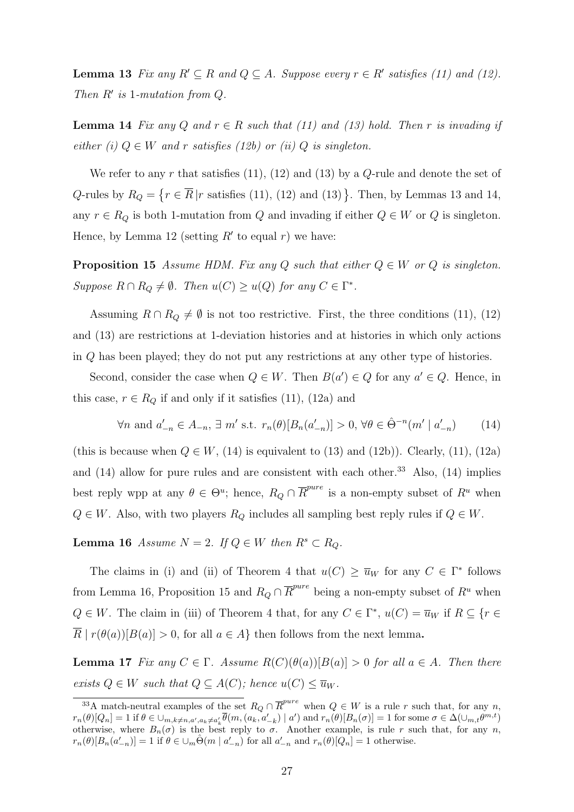**Lemma 13** Fix any  $R' \subseteq R$  and  $Q \subseteq A$ . Suppose every  $r \in R'$  satisfies (11) and (12). Then  $R'$  is 1-mutation from  $Q$ .

**Lemma 14** Fix any Q and  $r \in R$  such that (11) and (13) hold. Then r is invading if either (i)  $Q \in W$  and r satisfies (12b) or (ii) Q is singleton.

We refer to any r that satisfies  $(11)$ ,  $(12)$  and  $(13)$  by a Q-rule and denote the set of Q-rules by  $R_Q = \{r \in \overline{R} | r \text{ satisfies (11), (12) and (13)}\}\.$  Then, by Lemmas 13 and 14, any  $r \in R_Q$  is both 1-mutation from Q and invading if either  $Q \in W$  or Q is singleton. Hence, by Lemma 12 (setting  $R'$  to equal r) we have:

**Proposition 15** Assume HDM. Fix any Q such that either  $Q \in W$  or Q is singleton. Suppose  $R \cap R_Q \neq \emptyset$ . Then  $u(C) \geq u(Q)$  for any  $C \in \Gamma^*$ .

Assuming  $R \cap R_Q \neq \emptyset$  is not too restrictive. First, the three conditions (11), (12) and (13) are restrictions at 1-deviation histories and at histories in which only actions in Q has been played; they do not put any restrictions at any other type of histories.

Second, consider the case when  $Q \in W$ . Then  $B(a') \in Q$  for any  $a' \in Q$ . Hence, in this case,  $r \in R_Q$  if and only if it satisfies (11), (12a) and

$$
\forall n \text{ and } a'_{-n} \in A_{-n}, \exists m' \text{ s.t. } r_n(\theta)[B_n(a'_{-n})] > 0, \forall \theta \in \hat{\Theta}^{-n}(m' \mid a'_{-n}) \tag{14}
$$

(this is because when  $Q \in W$ , (14) is equivalent to (13) and (12b)). Clearly, (11), (12a) and  $(14)$  allow for pure rules and are consistent with each other.<sup>33</sup> Also,  $(14)$  implies best reply wpp at any  $\theta \in \Theta^u$ ; hence,  $R_Q \cap \overline{R}^{pure}$  is a non-empty subset of  $R^u$  when  $Q \in W$ . Also, with two players  $R_Q$  includes all sampling best reply rules if  $Q \in W$ .

**Lemma 16** Assume  $N = 2$ . If  $Q \in W$  then  $R^s \subset R_Q$ .

The claims in (i) and (ii) of Theorem 4 that  $u(C) \geq \overline{u}_W$  for any  $C \in \Gamma^*$  follows from Lemma 16, Proposition 15 and  $R_Q \cap \overline{R}^{pure}$  being a non-empty subset of  $R^u$  when  $Q \in W$ . The claim in (iii) of Theorem 4 that, for any  $C \in \Gamma^*$ ,  $u(C) = \overline{u}_W$  if  $R \subseteq \{r \in$  $\overline{R}$  |  $r(\theta(a))[B(a)] > 0$ , for all  $a \in A$ } then follows from the next lemma.

**Lemma 17** Fix any  $C \in \Gamma$ . Assume  $R(C)(\theta(a))[B(a)] > 0$  for all  $a \in A$ . Then there exists  $Q \in W$  such that  $Q \subseteq A(C)$ ; hence  $u(C) \leq \overline{u}_W$ .

<sup>&</sup>lt;sup>33</sup>A match-neutral examples of the set  $R_Q \cap \overline{R}^{pure}$  when  $Q \in W$  is a rule r such that, for any n,  $r_n(\theta)[Q_n] = 1$  if  $\theta \in \bigcup_{m,k \neq n,a',a_k \neq a'_k} \overline{\theta}(m,(a_k,a'_{-k}) \mid a')$  and  $r_n(\theta)[B_n(\sigma)] = 1$  for some  $\sigma \in \Delta(\bigcup_{m,t} \theta^{m,t})$ otherwise, where  $B_n(\sigma)$  is the best reply to  $\sigma$ . Another example, is rule r such that, for any n,  $r_n(\theta)[B_n(a'_{-n})] = 1$  if  $\theta \in \bigcup_m \hat{\Theta}(m \mid a'_{-n})$  for all  $a'_{-n}$  and  $r_n(\theta)[Q_n] = 1$  otherwise.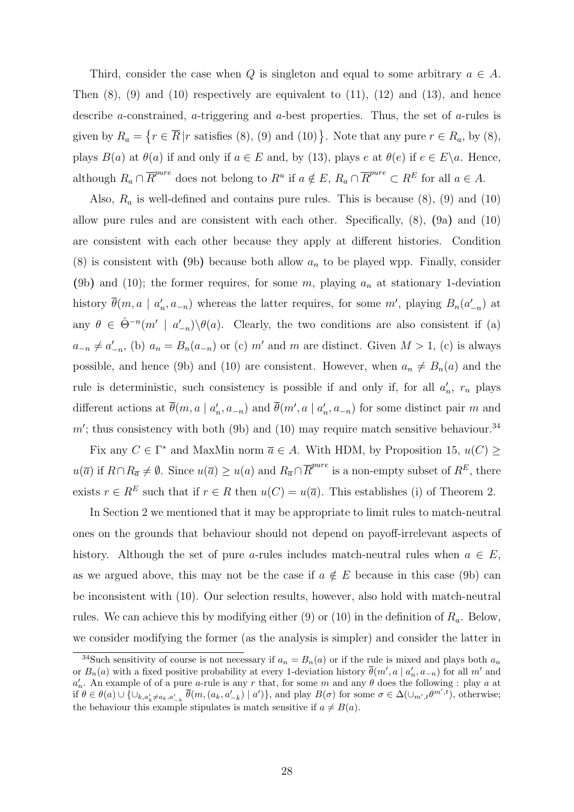Third, consider the case when Q is singleton and equal to some arbitrary  $a \in A$ . Then  $(8)$ ,  $(9)$  and  $(10)$  respectively are equivalent to  $(11)$ ,  $(12)$  and  $(13)$ , and hence describe a-constrained, a-triggering and a-best properties. Thus, the set of a-rules is given by  $R_a = \{r \in \overline{R} | r \text{ satisfies } (8), (9) \text{ and } (10)\}\.$  Note that any pure  $r \in R_a$ , by  $(8)$ , plays  $B(a)$  at  $\theta(a)$  if and only if  $a \in E$  and, by (13), plays e at  $\theta(e)$  if  $e \in E \backslash a$ . Hence, although  $R_a \cap \overline{R}^{pure}$  does not belong to  $R^u$  if  $a \notin E$ ,  $R_a \cap \overline{R}^{pure} \subset R^E$  for all  $a \in A$ .

Also,  $R_a$  is well-defined and contains pure rules. This is because  $(8)$ ,  $(9)$  and  $(10)$ allow pure rules and are consistent with each other. Specifically, (8), (9a) and (10) are consistent with each other because they apply at different histories. Condition  $(8)$  is consistent with  $(9b)$  because both allow  $a_n$  to be played wpp. Finally, consider (9b) and (10); the former requires, for some m, playing  $a_n$  at stationary 1-deviation history  $\bar{\theta}(m, a \mid a'_n, a_{-n})$  whereas the latter requires, for some m', playing  $B_n(a'_{-n})$  at any  $\theta \in \hat{\Theta}^{-n}(m' \mid a'_{-n})\backslash \theta(a)$ . Clearly, the two conditions are also consistent if (a)  $a_{-n} \neq a'_{-n}$ , (b)  $a_n = B_n(a_{-n})$  or (c) m' and m are distinct. Given  $M > 1$ , (c) is always possible, and hence (9b) and (10) are consistent. However, when  $a_n \neq B_n(a)$  and the rule is deterministic, such consistency is possible if and only if, for all  $a'_n$ ,  $r_n$  plays different actions at  $\bar{\theta}(m, a \mid a'_n, a_{-n})$  and  $\bar{\theta}(m', a \mid a'_n, a_{-n})$  for some distinct pair m and  $m'$ ; thus consistency with both (9b) and (10) may require match sensitive behaviour.<sup>34</sup>

Fix any  $C \in \Gamma^*$  and MaxMin norm  $\overline{a} \in A$ . With HDM, by Proposition 15,  $u(C) \geq$  $u(\overline{a})$  if  $R \cap R_{\overline{a}} \neq \emptyset$ . Since  $u(\overline{a}) \geq u(a)$  and  $R_{\overline{a}} \cap \overline{R}^{pure}$  is a non-empty subset of  $R^E$ , there exists  $r \in R^E$  such that if  $r \in R$  then  $u(C) = u(\overline{a})$ . This establishes (i) of Theorem 2.

In Section 2 we mentioned that it may be appropriate to limit rules to match-neutral ones on the grounds that behaviour should not depend on payoff-irrelevant aspects of history. Although the set of pure a-rules includes match-neutral rules when  $a \in E$ , as we argued above, this may not be the case if  $a \notin E$  because in this case (9b) can be inconsistent with (10). Our selection results, however, also hold with match-neutral rules. We can achieve this by modifying either (9) or (10) in the definition of  $R_a$ . Below, we consider modifying the former (as the analysis is simpler) and consider the latter in

<sup>&</sup>lt;sup>34</sup>Such sensitivity of course is not necessary if  $a_n = B_n(a)$  or if the rule is mixed and plays both  $a_n$ or  $B_n(a)$  with a fixed positive probability at every 1-deviation history  $\bar{\theta}(m', a \mid a'_n, a_{-n})$  for all m' and  $a'_n$ . An example of of a pure a-rule is any r that, for some m and any  $\theta$  does the following : play a at  $\text{if } \theta \in \theta(a) \cup \{ \cup_{k, a'_k \neq a_k, a'_{-k}} \overline{\theta}(m, (a_k, a'_{-k}) \mid a') \}, \text{ and play } B(\sigma) \text{ for some } \sigma \in \Delta(\cup_{m',t} \theta^{m',t}), \text{ otherwise};$ the behaviour this example stipulates is match sensitive if  $a \neq B(a)$ .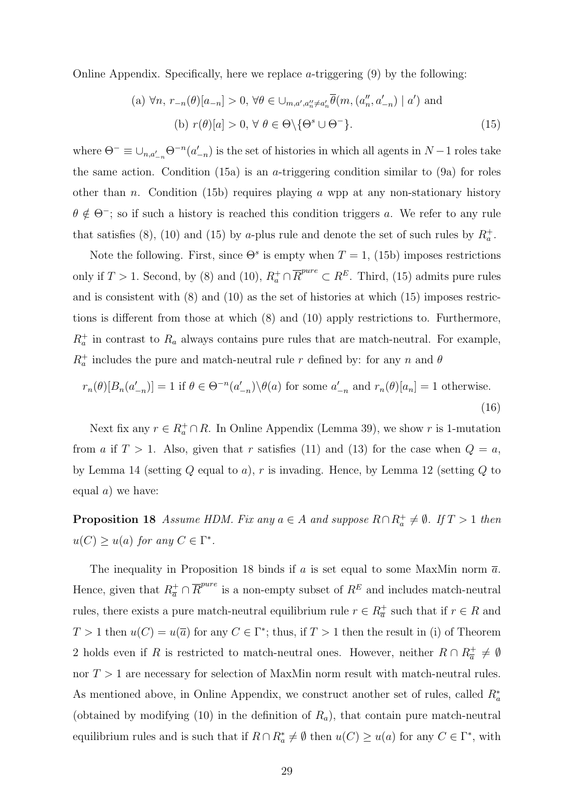Online Appendix. Specifically, here we replace  $a$ -triggering  $(9)$  by the following:

(a) 
$$
\forall n, r_{-n}(\theta)[a_{-n}] > 0, \forall \theta \in \bigcup_{m,a',a''_n \neq a'_n} \overline{\theta}(m, (a''_n, a'_{-n}) | a')
$$
 and  
(b)  $r(\theta)[a] > 0, \forall \theta \in \Theta \setminus \{\Theta^s \cup \Theta^-\}.$  (15)

where  $\Theta^- \equiv \bigcup_{n,a'_{-n}} \Theta^{-n}(a'_{-n})$  is the set of histories in which all agents in  $N-1$  roles take the same action. Condition (15a) is an a-triggering condition similar to (9a) for roles other than n. Condition (15b) requires playing a wpp at any non-stationary history  $\theta \notin \Theta^-$ ; so if such a history is reached this condition triggers a. We refer to any rule that satisfies (8), (10) and (15) by a-plus rule and denote the set of such rules by  $R_a^+$ .

Note the following. First, since  $\Theta^s$  is empty when  $T = 1$ , (15b) imposes restrictions only if  $T > 1$ . Second, by (8) and (10),  $R_a^+ \cap \overline{R}^{pure} \subset R^E$ . Third, (15) admits pure rules and is consistent with (8) and (10) as the set of histories at which (15) imposes restrictions is different from those at which (8) and (10) apply restrictions to. Furthermore,  $R_a^+$  in contrast to  $R_a$  always contains pure rules that are match-neutral. For example,  $R_a^+$  includes the pure and match-neutral rule r defined by: for any n and  $\theta$ 

$$
r_n(\theta)[B_n(a'_{-n})] = 1 \text{ if } \theta \in \Theta^{-n}(a'_{-n}) \backslash \theta(a) \text{ for some } a'_{-n} \text{ and } r_n(\theta)[a_n] = 1 \text{ otherwise.}
$$
\n(16)

Next fix any  $r \in R_a^+ \cap R$ . In Online Appendix (Lemma 39), we show r is 1-mutation from a if  $T > 1$ . Also, given that r satisfies (11) and (13) for the case when  $Q = a$ , by Lemma 14 (setting  $Q$  equal to  $a$ ),  $r$  is invading. Hence, by Lemma 12 (setting  $Q$  to equal  $a$ ) we have:

**Proposition 18** Assume HDM. Fix any  $a \in A$  and suppose  $R \cap R_a^+ \neq \emptyset$ . If  $T > 1$  then  $u(C) \geq u(a)$  for any  $C \in \Gamma^*$ .

The inequality in Proposition 18 binds if a is set equal to some MaxMin norm  $\bar{a}$ . Hence, given that  $R_{\overline{a}}^{\pm} \cap \overline{R}^{pure}$  is a non-empty subset of  $R^E$  and includes match-neutral rules, there exists a pure match-neutral equilibrium rule  $r \in R_{\overline{a}}^{+}$  such that if  $r \in R$  and T > 1 then  $u(C) = u(\overline{a})$  for any  $C \in \Gamma^*$ ; thus, if  $T > 1$  then the result in (i) of Theorem 2 holds even if R is restricted to match-neutral ones. However, neither  $R \cap R_{\overline{a}}^+ \neq \emptyset$ nor  $T > 1$  are necessary for selection of MaxMin norm result with match-neutral rules. As mentioned above, in Online Appendix, we construct another set of rules, called  $R_a^*$ (obtained by modifying  $(10)$  in the definition of  $R_a$ ), that contain pure match-neutral equilibrium rules and is such that if  $R \cap R_a^* \neq \emptyset$  then  $u(C) \geq u(a)$  for any  $C \in \Gamma^*$ , with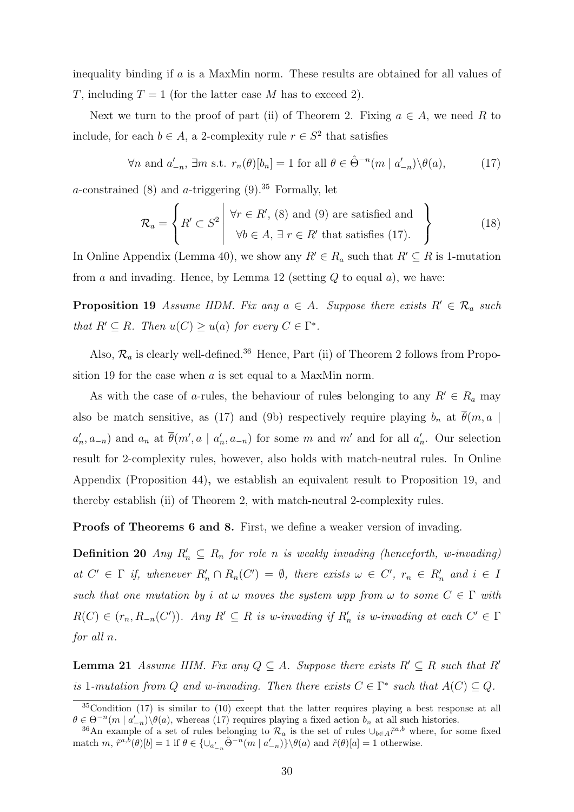inequality binding if a is a MaxMin norm. These results are obtained for all values of T, including  $T = 1$  (for the latter case M has to exceed 2).

Next we turn to the proof of part (ii) of Theorem 2. Fixing  $a \in A$ , we need R to include, for each  $b \in A$ , a 2-complexity rule  $r \in S^2$  that satisfies

$$
\forall n \text{ and } a'_{-n}, \exists m \text{ s.t. } r_n(\theta)[b_n] = 1 \text{ for all } \theta \in \hat{\Theta}^{-n}(m \mid a'_{-n}) \setminus \theta(a), \tag{17}
$$

a-constrained (8) and a-triggering  $(9)$ .<sup>35</sup> Formally, let

$$
\mathcal{R}_a = \left\{ R' \subset S^2 \middle| \begin{array}{l} \forall r \in R', \text{ (8) and (9) are satisfied and} \\ \forall b \in A, \exists r \in R' \text{ that satisfies (17).} \end{array} \right\} \tag{18}
$$

In Online Appendix (Lemma 40), we show any  $R' \in R_a$  such that  $R' \subseteq R$  is 1-mutation from a and invading. Hence, by Lemma 12 (setting  $Q$  to equal  $a$ ), we have:

**Proposition 19** Assume HDM. Fix any  $a \in A$ . Suppose there exists  $R' \in \mathcal{R}_a$  such that  $R' \subseteq R$ . Then  $u(C) \geq u(a)$  for every  $C \in \Gamma^*$ .

Also,  $\mathcal{R}_a$  is clearly well-defined.<sup>36</sup> Hence, Part (ii) of Theorem 2 follows from Proposition 19 for the case when a is set equal to a MaxMin norm.

As with the case of a-rules, the behaviour of rules belonging to any  $R' \in R_a$  may also be match sensitive, as (17) and (9b) respectively require playing  $b_n$  at  $\overline{\theta}(m, a \mid$  $a'_n, a_{-n}$  and  $a_n$  at  $\overline{\theta}(m', a \mid a'_n, a_{-n})$  for some m and m' and for all  $a'_n$ . Our selection result for 2-complexity rules, however, also holds with match-neutral rules. In Online Appendix (Proposition 44), we establish an equivalent result to Proposition 19, and thereby establish (ii) of Theorem 2, with match-neutral 2-complexity rules.

Proofs of Theorems 6 and 8. First, we define a weaker version of invading.

**Definition 20** Any  $R'_n \subseteq R_n$  for role n is weakly invading (henceforth, w-invading) at  $C' \in \Gamma$  if, whenever  $R'_n \cap R_n(C') = \emptyset$ , there exists  $\omega \in C'$ ,  $r_n \in R'_n$  and  $i \in I$ such that one mutation by i at  $\omega$  moves the system wpp from  $\omega$  to some  $C \in \Gamma$  with  $R(C) \in (r_n, R_{-n}(C'))$ . Any  $R' \subseteq R$  is w-invading if  $R'_n$  is w-invading at each  $C' \in \Gamma$ for all n.

**Lemma 21** Assume HIM. Fix any  $Q \subseteq A$ . Suppose there exists  $R' \subseteq R$  such that R' is 1-mutation from Q and w-invading. Then there exists  $C \in \Gamma^*$  such that  $A(C) \subseteq Q$ .

 $35$ Condition (17) is similar to (10) except that the latter requires playing a best response at all  $\theta \in \Theta^{-n}(m \mid a'_{-n})\backslash \theta(a)$ , whereas (17) requires playing a fixed action  $b_n$  at all such histories.

<sup>&</sup>lt;sup>36</sup>An example of a set of rules belonging to  $\mathcal{R}_a$  is the set of rules  $\cup_{b\in A}\tilde{r}^{a,b}$  where, for some fixed match  $m, \tilde{r}^{a,\tilde{b}}(\theta)[b] = 1$  if  $\theta \in {\bigcup_{a'_{-n}} \hat{\Theta}^{-n}(m \mid a'_{-n})\big\}} \setminus \theta(a)$  and  $\tilde{r}(\theta)[a] = 1$  otherwise.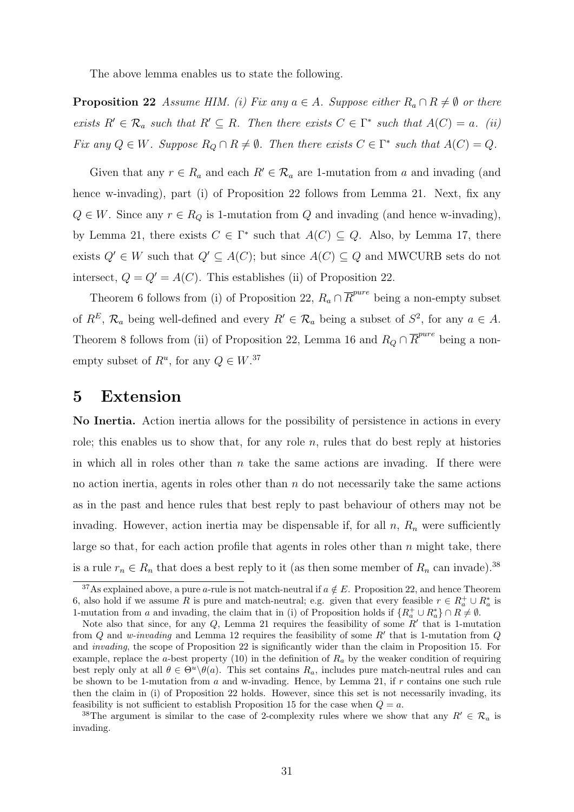The above lemma enables us to state the following.

**Proposition 22** Assume HIM. (i) Fix any  $a \in A$ . Suppose either  $R_a \cap R \neq \emptyset$  or there exists  $R' \in \mathcal{R}_a$  such that  $R' \subseteq R$ . Then there exists  $C \in \Gamma^*$  such that  $A(C) = a$ . (ii) Fix any  $Q \in W$ . Suppose  $R_Q \cap R \neq \emptyset$ . Then there exists  $C \in \Gamma^*$  such that  $A(C) = Q$ .

Given that any  $r \in R_a$  and each  $R' \in \mathcal{R}_a$  are 1-mutation from a and invading (and hence w-invading), part (i) of Proposition 22 follows from Lemma 21. Next, fix any  $Q \in W$ . Since any  $r \in R_Q$  is 1-mutation from Q and invading (and hence w-invading), by Lemma 21, there exists  $C \in \Gamma^*$  such that  $A(C) \subseteq Q$ . Also, by Lemma 17, there exists  $Q' \in W$  such that  $Q' \subseteq A(C)$ ; but since  $A(C) \subseteq Q$  and MWCURB sets do not intersect,  $Q = Q' = A(C)$ . This establishes (ii) of Proposition 22.

Theorem 6 follows from (i) of Proposition 22,  $R_a \cap \overline{R}^{pure}$  being a non-empty subset of  $R^E$ ,  $\mathcal{R}_a$  being well-defined and every  $R' \in \mathcal{R}_a$  being a subset of  $S^2$ , for any  $a \in A$ . Theorem 8 follows from (ii) of Proposition 22, Lemma 16 and  $R_Q \cap \overline{R}^{pure}$  being a nonempty subset of  $R^u$ , for any  $Q \in W$ .<sup>37</sup>

### 5 Extension

No Inertia. Action inertia allows for the possibility of persistence in actions in every role; this enables us to show that, for any role  $n$ , rules that do best reply at histories in which all in roles other than  $n$  take the same actions are invading. If there were no action inertia, agents in roles other than  $n$  do not necessarily take the same actions as in the past and hence rules that best reply to past behaviour of others may not be invading. However, action inertia may be dispensable if, for all  $n$ ,  $R_n$  were sufficiently large so that, for each action profile that agents in roles other than  $n$  might take, there is a rule  $r_n \in R_n$  that does a best reply to it (as then some member of  $R_n$  can invade).<sup>38</sup>

<sup>&</sup>lt;sup>37</sup>As explained above, a pure a-rule is not match-neutral if  $a \notin E$ . Proposition 22, and hence Theorem 6, also hold if we assume R is pure and match-neutral; e.g. given that every feasible  $r \in R_a^+ \cup R_a^*$  is 1-mutation from a and invading, the claim that in (i) of Proposition holds if  $\{R_a^+ \cup R_a^*\} \cap R \neq \emptyset$ .

Note also that since, for any  $Q$ , Lemma 21 requires the feasibility of some  $R'$  that is 1-mutation from  $Q$  and w-invading and Lemma 12 requires the feasibility of some  $R'$  that is 1-mutation from  $Q$ and invading, the scope of Proposition 22 is significantly wider than the claim in Proposition 15. For example, replace the a-best property (10) in the definition of  $R_a$  by the weaker condition of requiring best reply only at all  $\theta \in \Theta^u \backslash \theta(a)$ . This set contains  $R_a$ , includes pure match-neutral rules and can be shown to be 1-mutation from a and w-invading. Hence, by Lemma 21, if  $r$  contains one such rule then the claim in (i) of Proposition 22 holds. However, since this set is not necessarily invading, its feasibility is not sufficient to establish Proposition 15 for the case when  $Q = a$ .

<sup>&</sup>lt;sup>38</sup>The argument is similar to the case of 2-complexity rules where we show that any  $R' \in \mathcal{R}_a$  is invading.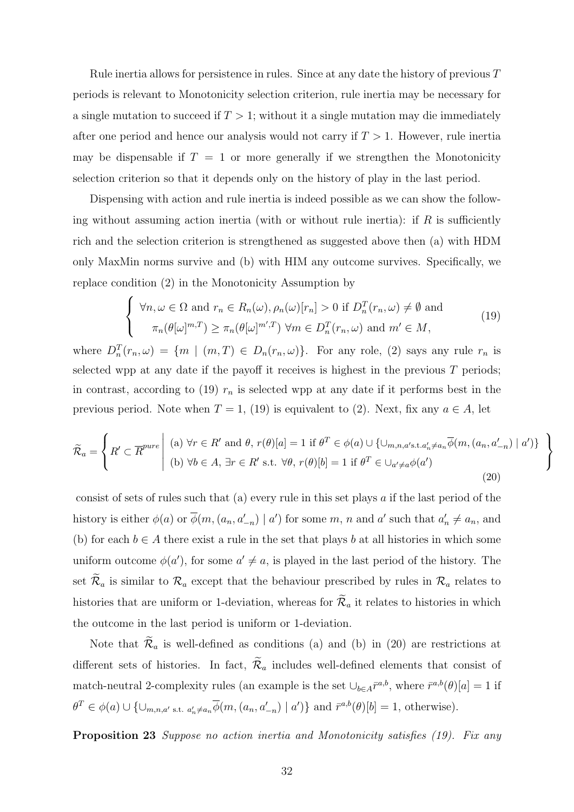Rule inertia allows for persistence in rules. Since at any date the history of previous  $T$ periods is relevant to Monotonicity selection criterion, rule inertia may be necessary for a single mutation to succeed if  $T > 1$ ; without it a single mutation may die immediately after one period and hence our analysis would not carry if  $T > 1$ . However, rule inertia may be dispensable if  $T = 1$  or more generally if we strengthen the Monotonicity selection criterion so that it depends only on the history of play in the last period.

Dispensing with action and rule inertia is indeed possible as we can show the following without assuming action inertia (with or without rule inertia): if  $R$  is sufficiently rich and the selection criterion is strengthened as suggested above then (a) with HDM only MaxMin norms survive and (b) with HIM any outcome survives. Specifically, we replace condition (2) in the Monotonicity Assumption by

$$
\begin{cases}\n\forall n, \omega \in \Omega \text{ and } r_n \in R_n(\omega), \rho_n(\omega)[r_n] > 0 \text{ if } D_n^T(r_n, \omega) \neq \emptyset \text{ and} \\
\pi_n(\theta[\omega]^{m,T}) \ge \pi_n(\theta[\omega]^{m',T}) \ \forall m \in D_n^T(r_n, \omega) \text{ and } m' \in M,\n\end{cases}
$$
\n(19)

where  $D_n^T(r_n,\omega) = \{m \mid (m,T) \in D_n(r_n,\omega)\}.$  For any role, (2) says any rule  $r_n$  is selected wpp at any date if the payoff it receives is highest in the previous  $T$  periods; in contrast, according to (19)  $r_n$  is selected wpp at any date if it performs best in the previous period. Note when  $T = 1$ , (19) is equivalent to (2). Next, fix any  $a \in A$ , let

$$
\widetilde{\mathcal{R}}_{a} = \left\{ R' \subset \overline{R}^{pure} \middle| \begin{array}{l} (a) \,\forall r \in R' \text{ and } \theta, \, r(\theta)[a] = 1 \text{ if } \theta^{T} \in \phi(a) \cup \{ \cup_{m,n,a's.t.a'_{n} \neq a_{n}} \overline{\phi}(m,(a_{n},a'_{-n}) \mid a') \} \\ (b) \,\forall b \in A, \,\exists r \in R' \text{ s.t. } \forall \theta, \, r(\theta)[b] = 1 \text{ if } \theta^{T} \in \cup_{a' \neq a} \phi(a') \end{array} \right\}
$$
\n
$$
(20)
$$

 $\mathcal{L}$  $\mathcal{L}$  $\mathsf{J}$ 

consist of sets of rules such that  $(a)$  every rule in this set plays a if the last period of the history is either  $\phi(a)$  or  $\overline{\phi}(m,(a_n,a'_{-n})\mid a')$  for some m, n and a' such that  $a'_n\neq a_n$ , and (b) for each  $b \in A$  there exist a rule in the set that plays b at all histories in which some uniform outcome  $\phi(a')$ , for some  $a' \neq a$ , is played in the last period of the history. The set  $\mathcal{R}_a$  is similar to  $\mathcal{R}_a$  except that the behaviour prescribed by rules in  $\mathcal{R}_a$  relates to histories that are uniform or 1-deviation, whereas for  $\tilde{\mathcal{R}}_a$  it relates to histories in which the outcome in the last period is uniform or 1-deviation.

Note that  $\widetilde{\mathcal{R}}_a$  is well-defined as conditions (a) and (b) in (20) are restrictions at different sets of histories. In fact,  $\widetilde{\mathcal{R}}_a$  includes well-defined elements that consist of match-neutral 2-complexity rules (an example is the set  $\cup_{b \in A} \bar{r}^{a,b}$ , where  $\bar{r}^{a,b}(\theta)[a] = 1$  if  $\theta^T \in \phi(a) \cup \{\cup_{m,n,a' \text{ s.t. } a'_n \neq a_n} \overline{\phi}(m,(a_n,a'_{-n}) \mid a')\}$  and  $\overline{r}^{a,b}(\theta)[b] = 1$ , otherwise).

Proposition 23 Suppose no action inertia and Monotonicity satisfies (19). Fix any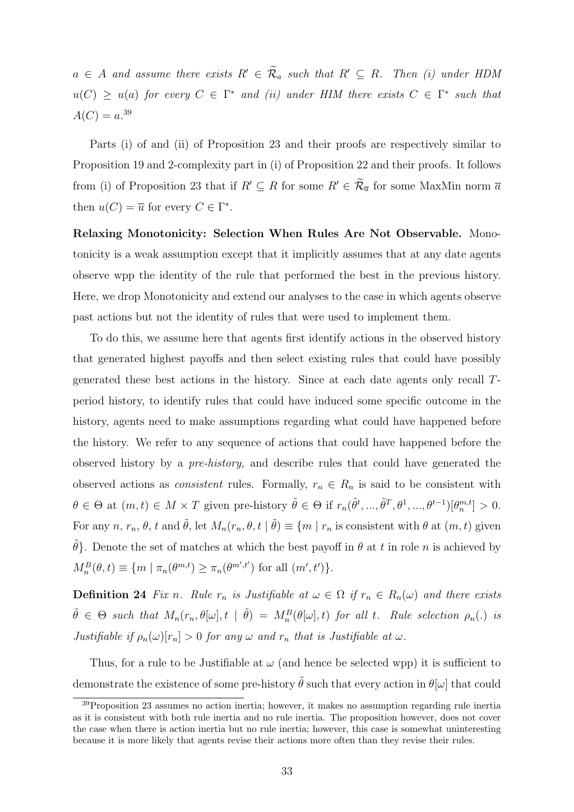$a \in A$  and assume there exists  $R' \in \tilde{\mathcal{R}}_a$  such that  $R' \subseteq R$ . Then (i) under HDM  $u(C) \geq u(a)$  for every  $C \in \Gamma^*$  and (ii) under HIM there exists  $C \in \Gamma^*$  such that  $A(C) = a^{39}$ 

Parts (i) of and (ii) of Proposition 23 and their proofs are respectively similar to Proposition 19 and 2-complexity part in (i) of Proposition 22 and their proofs. It follows from (i) of Proposition 23 that if  $R' \subseteq R$  for some  $R' \in \widetilde{\mathcal{R}}_{\overline{a}}$  for some MaxMin norm  $\overline{a}$ then  $u(C) = \overline{u}$  for every  $C \in \Gamma^*$ .

Relaxing Monotonicity: Selection When Rules Are Not Observable. Monotonicity is a weak assumption except that it implicitly assumes that at any date agents observe wpp the identity of the rule that performed the best in the previous history. Here, we drop Monotonicity and extend our analyses to the case in which agents observe past actions but not the identity of rules that were used to implement them.

To do this, we assume here that agents first identify actions in the observed history that generated highest payoffs and then select existing rules that could have possibly generated these best actions in the history. Since at each date agents only recall Tperiod history, to identify rules that could have induced some specific outcome in the history, agents need to make assumptions regarding what could have happened before the history. We refer to any sequence of actions that could have happened before the observed history by a pre-history, and describe rules that could have generated the observed actions as *consistent* rules. Formally,  $r_n \in R_n$  is said to be consistent with  $\theta \in \Theta$  at  $(m, t) \in M \times T$  given pre-history  $\tilde{\theta} \in \Theta$  if  $r_n(\tilde{\theta}^t, ..., \tilde{\theta}^T, \theta^1, ..., \theta^{t-1})[\theta_n^{m,t}] > 0$ . For any  $n, r_n, \theta, t$  and  $\tilde{\theta}$ , let  $M_n(r_n, \theta, t | \tilde{\theta}) \equiv \{m \mid r_n \text{ is consistent with } \theta \text{ at } (m, t) \text{ given }$  $\theta$ }. Denote the set of matches at which the best payoff in  $\theta$  at t in role n is achieved by  $M_n^B(\theta, t) \equiv \{ m \mid \pi_n(\theta^{m,t}) \ge \pi_n(\theta^{m',t'}) \text{ for all } (m',t') \}.$ 

**Definition 24** Fix n. Rule  $r_n$  is Justifiable at  $\omega \in \Omega$  if  $r_n \in R_n(\omega)$  and there exists  $\tilde{\theta} \in \Theta$  such that  $M_n(r_n, \theta[\omega], t \mid \tilde{\theta}) = M_n^B(\theta[\omega], t)$  for all t. Rule selection  $\rho_n(.)$  is Justifiable if  $\rho_n(\omega)[r_n] > 0$  for any  $\omega$  and  $r_n$  that is Justifiable at  $\omega$ .

Thus, for a rule to be Justifiable at  $\omega$  (and hence be selected wpp) it is sufficient to demonstrate the existence of some pre-history  $\tilde{\theta}$  such that every action in  $\theta[\omega]$  that could

<sup>39</sup>Proposition 23 assumes no action inertia; however, it makes no assumption regarding rule inertia as it is consistent with both rule inertia and no rule inertia. The proposition however, does not cover the case when there is action inertia but no rule inertia; however, this case is somewhat uninteresting because it is more likely that agents revise their actions more often than they revise their rules.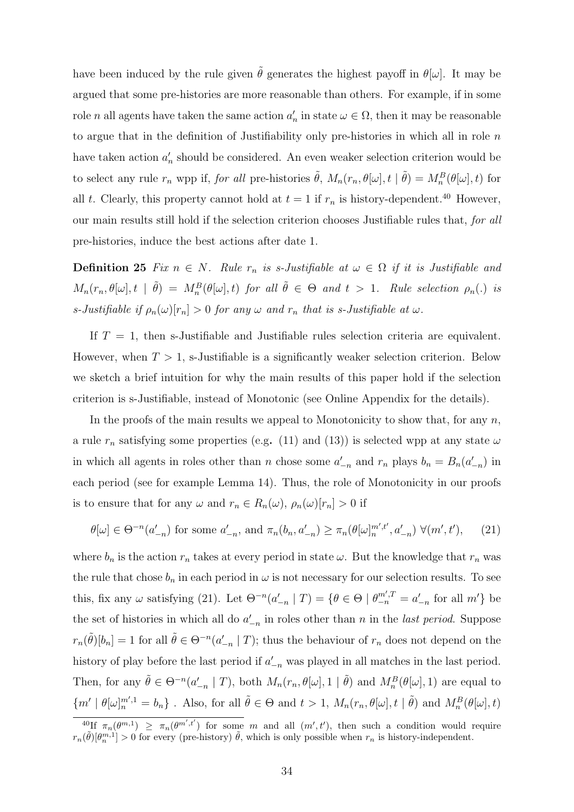have been induced by the rule given  $\tilde{\theta}$  generates the highest payoff in  $\theta[\omega]$ . It may be argued that some pre-histories are more reasonable than others. For example, if in some role *n* all agents have taken the same action  $a'_n$  in state  $\omega \in \Omega$ , then it may be reasonable to argue that in the definition of Justifiability only pre-histories in which all in role  $n$ have taken action  $a'_n$  should be considered. An even weaker selection criterion would be to select any rule  $r_n$  wpp if, for all pre-histories  $\tilde{\theta}$ ,  $M_n(r_n, \theta[\omega], t | \tilde{\theta}) = M_n^B(\theta[\omega], t)$  for all t. Clearly, this property cannot hold at  $t = 1$  if  $r_n$  is history-dependent.<sup>40</sup> However, our main results still hold if the selection criterion chooses Justifiable rules that, for all pre-histories, induce the best actions after date 1.

**Definition 25** Fix  $n \in N$ . Rule  $r_n$  is s-Justifiable at  $\omega \in \Omega$  if it is Justifiable and  $M_n(r_n, \theta[\omega], t | \tilde{\theta}) = M_n^B(\theta[\omega], t)$  for all  $\tilde{\theta} \in \Theta$  and  $t > 1$ . Rule selection  $\rho_n(.)$  is s-Justifiable if  $\rho_n(\omega)[r_n] > 0$  for any  $\omega$  and  $r_n$  that is s-Justifiable at  $\omega$ .

If  $T = 1$ , then s-Justifiable and Justifiable rules selection criteria are equivalent. However, when  $T > 1$ , s-Justifiable is a significantly weaker selection criterion. Below we sketch a brief intuition for why the main results of this paper hold if the selection criterion is s-Justifiable, instead of Monotonic (see Online Appendix for the details).

In the proofs of the main results we appeal to Monotonicity to show that, for any  $n$ , a rule  $r_n$  satisfying some properties (e.g. (11) and (13)) is selected wpp at any state  $\omega$ in which all agents in roles other than n chose some  $a'_{-n}$  and  $r_n$  plays  $b_n = B_n(a'_{-n})$  in each period (see for example Lemma 14). Thus, the role of Monotonicity in our proofs is to ensure that for any  $\omega$  and  $r_n \in R_n(\omega)$ ,  $\rho_n(\omega)[r_n] > 0$  if

$$
\theta[\omega] \in \Theta^{-n}(a'_{-n}) \text{ for some } a'_{-n}, \text{ and } \pi_n(b_n, a'_{-n}) \ge \pi_n(\theta[\omega]_n^{m',t'}, a'_{-n}) \ \forall (m',t'), \qquad (21)
$$

where  $b_n$  is the action  $r_n$  takes at every period in state  $\omega$ . But the knowledge that  $r_n$  was the rule that chose  $b_n$  in each period in  $\omega$  is not necessary for our selection results. To see this, fix any  $\omega$  satisfying (21). Let  $\Theta^{-n}(a'_{-n} | T) = \{ \theta \in \Theta \mid \theta_{-n}^{m',T} = a'_{-n} \text{ for all } m' \}$  be the set of histories in which all do  $a'_{-n}$  in roles other than n in the *last period*. Suppose  $r_n(\tilde{\theta})[b_n] = 1$  for all  $\tilde{\theta} \in \Theta^{-n}(a'_{-n} | T)$ ; thus the behaviour of  $r_n$  does not depend on the history of play before the last period if  $a'_{-n}$  was played in all matches in the last period. Then, for any  $\tilde{\theta} \in \Theta^{-n}(a'_{-n} | T)$ , both  $M_n(r_n, \theta[\omega], 1 | \tilde{\theta})$  and  $M_n^B(\theta[\omega], 1)$  are equal to  ${m' \mid \theta[\omega]_n^{m',1} = b_n}$ . Also, for all  $\tilde{\theta} \in \Theta$  and  $t > 1$ ,  $M_n(r_n, \theta[\omega], t | \tilde{\theta})$  and  $M_n^B(\theta[\omega], t)$ 

<sup>&</sup>lt;sup>40</sup>If  $\pi_n(\theta^{m,1}) \geq \pi_n(\theta^{m',t'})$  for some m and all  $(m',t')$ , then such a condition would require  $r_n(\tilde{\theta})[\theta_n^{m,1}] > 0$  for every (pre-history)  $\tilde{\theta}$ , which is only possible when  $r_n$  is history-independent.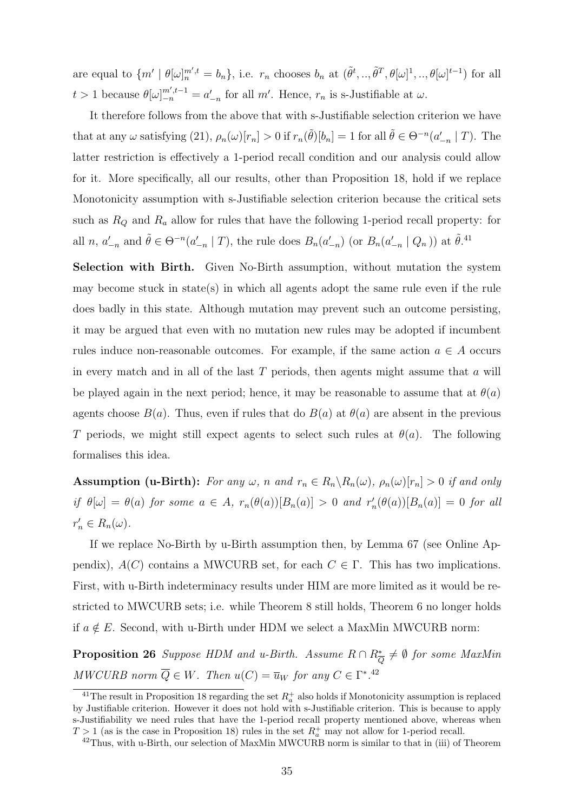are equal to  $\{m' \mid \theta[\omega]_n^{m',t} = b_n\}$ , i.e.  $r_n$  chooses  $b_n$  at  $(\tilde{\theta}^t, ..., \tilde{\theta}^T, \theta[\omega]^1, ..., \theta[\omega]^{t-1})$  for all  $t > 1$  because  $\theta[\omega]_{-n}^{m', t-1} = a'_{-n}$  for all m'. Hence,  $r_n$  is s-Justifiable at  $\omega$ .

It therefore follows from the above that with s-Justifiable selection criterion we have that at any  $\omega$  satisfying (21),  $\rho_n(\omega)[r_n] > 0$  if  $r_n(\tilde{\theta})[b_n] = 1$  for all  $\tilde{\theta} \in \Theta^{-n}(a'_{-n} | T)$ . The latter restriction is effectively a 1-period recall condition and our analysis could allow for it. More specifically, all our results, other than Proposition 18, hold if we replace Monotonicity assumption with s-Justifiable selection criterion because the critical sets such as  $R_Q$  and  $R_a$  allow for rules that have the following 1-period recall property: for all n,  $a'_{-n}$  and  $\tilde{\theta} \in \Theta^{-n}(a'_{-n} | T)$ , the rule does  $B_n(a'_{-n})$  (or  $B_n(a'_{-n} | Q_n)$ ) at  $\tilde{\theta}$ .<sup>41</sup>

Selection with Birth. Given No-Birth assumption, without mutation the system may become stuck in state(s) in which all agents adopt the same rule even if the rule does badly in this state. Although mutation may prevent such an outcome persisting, it may be argued that even with no mutation new rules may be adopted if incumbent rules induce non-reasonable outcomes. For example, if the same action  $a \in A$  occurs in every match and in all of the last  $T$  periods, then agents might assume that  $a$  will be played again in the next period; hence, it may be reasonable to assume that at  $\theta(a)$ agents choose  $B(a)$ . Thus, even if rules that do  $B(a)$  at  $\theta(a)$  are absent in the previous T periods, we might still expect agents to select such rules at  $\theta(a)$ . The following formalises this idea.

Assumption (u-Birth): For any  $\omega$ , n and  $r_n \in R_n \backslash R_n(\omega)$ ,  $\rho_n(\omega)[r_n] > 0$  if and only if  $\theta[\omega] = \theta(a)$  for some  $a \in A$ ,  $r_n(\theta(a))[B_n(a)] > 0$  and  $r'_n(\theta(a))[B_n(a)] = 0$  for all  $r'_n \in R_n(\omega)$ .

If we replace No-Birth by u-Birth assumption then, by Lemma 67 (see Online Appendix),  $A(C)$  contains a MWCURB set, for each  $C \in \Gamma$ . This has two implications. First, with u-Birth indeterminacy results under HIM are more limited as it would be restricted to MWCURB sets; i.e. while Theorem 8 still holds, Theorem 6 no longer holds if  $a \notin E$ . Second, with u-Birth under HDM we select a MaxMin MWCURB norm:

**Proposition 26** Suppose HDM and u-Birth. Assume  $R \cap R_{\overline{Q}}^* \neq \emptyset$  for some MaxMin MWCURB norm  $\overline{Q} \in W$ . Then  $u(C) = \overline{u}_W$  for any  $C \in \Gamma^{*, 42}$ 

<sup>&</sup>lt;sup>41</sup>The result in Proposition 18 regarding the set  $R_a^+$  also holds if Monotonicity assumption is replaced by Justifiable criterion. However it does not hold with s-Justifiable criterion. This is because to apply s-Justifiability we need rules that have the 1-period recall property mentioned above, whereas when  $T > 1$  (as is the case in Proposition 18) rules in the set  $R_a^+$  may not allow for 1-period recall.

<sup>&</sup>lt;sup>42</sup>Thus, with u-Birth, our selection of MaxMin MWCURB norm is similar to that in (iii) of Theorem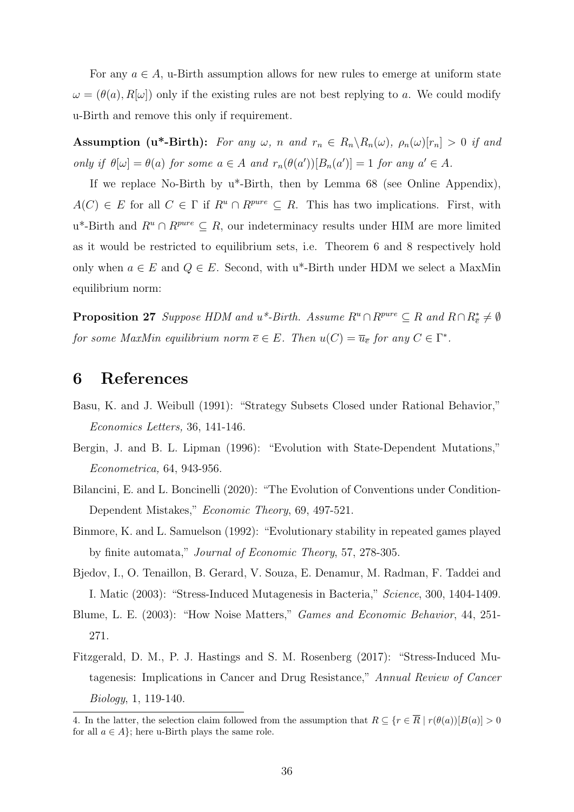For any  $a \in A$ , u-Birth assumption allows for new rules to emerge at uniform state  $\omega = (\theta(a), R[\omega])$  only if the existing rules are not best replying to a. We could modify u-Birth and remove this only if requirement.

Assumption (u\*-Birth): For any  $\omega$ , n and  $r_n \in R_n \backslash R_n(\omega)$ ,  $\rho_n(\omega)[r_n] > 0$  if and only if  $\theta[\omega] = \theta(a)$  for some  $a \in A$  and  $r_n(\theta(a'))[B_n(a')] = 1$  for any  $a' \in A$ .

If we replace No-Birth by u\*-Birth, then by Lemma 68 (see Online Appendix),  $A(C) \in E$  for all  $C \in \Gamma$  if  $R^u \cap R^{pure} \subseteq R$ . This has two implications. First, with u<sup>\*</sup>-Birth and  $R^u \cap R^{pure} \subseteq R$ , our indeterminacy results under HIM are more limited as it would be restricted to equilibrium sets, i.e. Theorem 6 and 8 respectively hold only when  $a \in E$  and  $Q \in E$ . Second, with u<sup>\*</sup>-Birth under HDM we select a MaxMin equilibrium norm:

**Proposition 27** Suppose HDM and u<sup>\*</sup>-Birth. Assume  $R^u \cap R^{pure} \subseteq R$  and  $R \cap R^*_{\overline{e}} \neq \emptyset$ for some MaxMin equilibrium norm  $\overline{e} \in E$ . Then  $u(C) = \overline{u}_{\overline{e}}$  for any  $C \in \Gamma^*$ .

### 6 References

- Basu, K. and J. Weibull (1991): "Strategy Subsets Closed under Rational Behavior," Economics Letters, 36, 141-146.
- Bergin, J. and B. L. Lipman (1996): "Evolution with State-Dependent Mutations," Econometrica, 64, 943-956.
- Bilancini, E. and L. Boncinelli (2020): "The Evolution of Conventions under Condition-Dependent Mistakes," Economic Theory, 69, 497-521.
- Binmore, K. and L. Samuelson (1992): "Evolutionary stability in repeated games played by finite automata," Journal of Economic Theory, 57, 278-305.
- Bjedov, I., O. Tenaillon, B. Gerard, V. Souza, E. Denamur, M. Radman, F. Taddei and I. Matic (2003): "Stress-Induced Mutagenesis in Bacteria," Science, 300, 1404-1409.
- Blume, L. E. (2003): "How Noise Matters," Games and Economic Behavior, 44, 251- 271.
- Fitzgerald, D. M., P. J. Hastings and S. M. Rosenberg (2017): "Stress-Induced Mutagenesis: Implications in Cancer and Drug Resistance," Annual Review of Cancer Biology, 1, 119-140.

<sup>4.</sup> In the latter, the selection claim followed from the assumption that  $R \subseteq \{r \in \overline{R} \mid r(\theta(a))[B(a)] > 0\}$ for all  $a \in A$ ; here u-Birth plays the same role.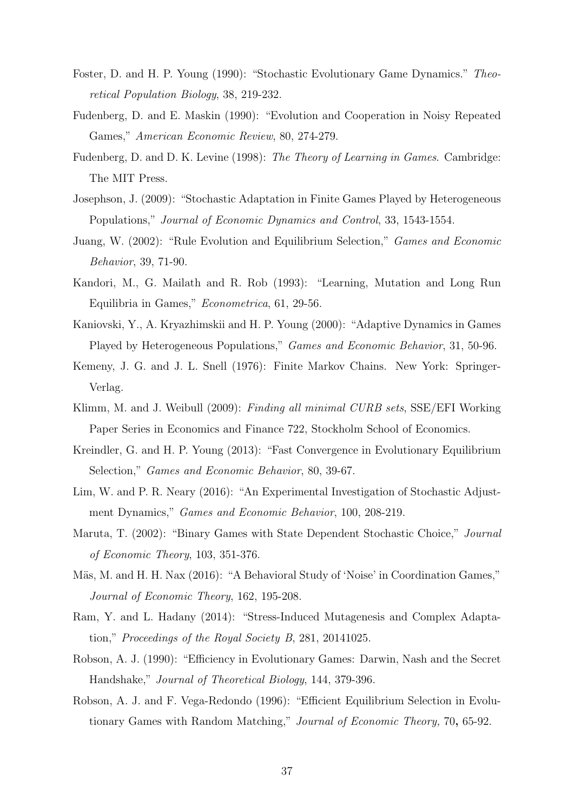- Foster, D. and H. P. Young (1990): "Stochastic Evolutionary Game Dynamics." Theoretical Population Biology, 38, 219-232.
- Fudenberg, D. and E. Maskin (1990): "Evolution and Cooperation in Noisy Repeated Games," American Economic Review, 80, 274-279.
- Fudenberg, D. and D. K. Levine (1998): The Theory of Learning in Games. Cambridge: The MIT Press.
- Josephson, J. (2009): "Stochastic Adaptation in Finite Games Played by Heterogeneous Populations," Journal of Economic Dynamics and Control, 33, 1543-1554.
- Juang, W. (2002): "Rule Evolution and Equilibrium Selection," Games and Economic Behavior, 39, 71-90.
- Kandori, M., G. Mailath and R. Rob (1993): "Learning, Mutation and Long Run Equilibria in Games," Econometrica, 61, 29-56.
- Kaniovski, Y., A. Kryazhimskii and H. P. Young (2000): "Adaptive Dynamics in Games Played by Heterogeneous Populations," Games and Economic Behavior, 31, 50-96.
- Kemeny, J. G. and J. L. Snell (1976): Finite Markov Chains. New York: Springer-Verlag.
- Klimm, M. and J. Weibull (2009): Finding all minimal CURB sets, SSE/EFI Working Paper Series in Economics and Finance 722, Stockholm School of Economics.
- Kreindler, G. and H. P. Young (2013): "Fast Convergence in Evolutionary Equilibrium Selection," *Games and Economic Behavior*, 80, 39-67.
- Lim, W. and P. R. Neary (2016): "An Experimental Investigation of Stochastic Adjustment Dynamics," Games and Economic Behavior, 100, 208-219.
- Maruta, T. (2002): "Binary Games with State Dependent Stochastic Choice," Journal of Economic Theory, 103, 351-376.
- Mäs, M. and H. H. Nax (2016): "A Behavioral Study of 'Noise' in Coordination Games," Journal of Economic Theory, 162, 195-208.
- Ram, Y. and L. Hadany (2014): "Stress-Induced Mutagenesis and Complex Adaptation," Proceedings of the Royal Society B, 281, 20141025.
- Robson, A. J. (1990): "Efficiency in Evolutionary Games: Darwin, Nash and the Secret Handshake," Journal of Theoretical Biology, 144, 379-396.
- Robson, A. J. and F. Vega-Redondo (1996): "Efficient Equilibrium Selection in Evolutionary Games with Random Matching," Journal of Economic Theory, 70, 65-92.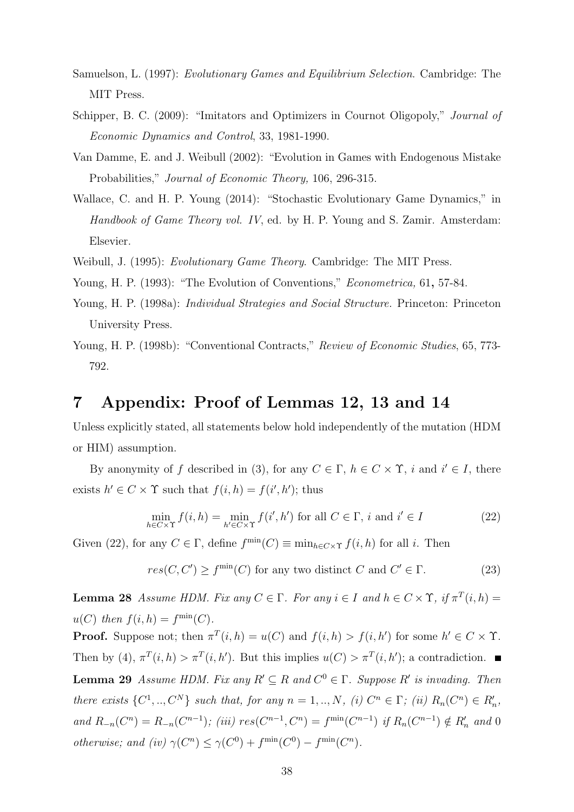- Samuelson, L. (1997): Evolutionary Games and Equilibrium Selection. Cambridge: The MIT Press.
- Schipper, B. C. (2009): "Imitators and Optimizers in Cournot Oligopoly," *Journal of* Economic Dynamics and Control, 33, 1981-1990.
- Van Damme, E. and J. Weibull (2002): "Evolution in Games with Endogenous Mistake Probabilities," Journal of Economic Theory, 106, 296-315.
- Wallace, C. and H. P. Young (2014): "Stochastic Evolutionary Game Dynamics," in Handbook of Game Theory vol. IV, ed. by H. P. Young and S. Zamir. Amsterdam: Elsevier.
- Weibull, J. (1995): Evolutionary Game Theory. Cambridge: The MIT Press.
- Young, H. P. (1993): "The Evolution of Conventions," Econometrica, 61, 57-84.
- Young, H. P. (1998a): Individual Strategies and Social Structure. Princeton: Princeton University Press.
- Young, H. P. (1998b): "Conventional Contracts," Review of Economic Studies, 65, 773- 792.

## 7 Appendix: Proof of Lemmas 12, 13 and 14

Unless explicitly stated, all statements below hold independently of the mutation (HDM or HIM) assumption.

By anonymity of f described in (3), for any  $C \in \Gamma$ ,  $h \in C \times \Upsilon$ , i and  $i' \in I$ , there exists  $h' \in C \times \Upsilon$  such that  $f(i, h) = f(i', h')$ ; thus

$$
\min_{h \in C \times \Upsilon} f(i, h) = \min_{h' \in C \times \Upsilon} f(i', h') \text{ for all } C \in \Gamma, i \text{ and } i' \in I
$$
\n(22)

Given (22), for any  $C \in \Gamma$ , define  $f^{\min}(C) \equiv \min_{h \in C \times \Upsilon} f(i, h)$  for all i. Then

$$
res(C, C') \ge f^{\min}(C) \text{ for any two distinct } C \text{ and } C' \in \Gamma.
$$
 (23)

**Lemma 28** Assume HDM. Fix any  $C \in \Gamma$ . For any  $i \in I$  and  $h \in C \times \Upsilon$ , if  $\pi^T(i, h) =$  $u(C)$  then  $f(i, h) = f^{\min}(C)$ .

**Proof.** Suppose not; then  $\pi^{T}(i,h) = u(C)$  and  $f(i,h) > f(i,h')$  for some  $h' \in C \times \Upsilon$ . Then by (4),  $\pi^T(i, h) > \pi^T(i, h')$ . But this implies  $u(C) > \pi^T(i, h')$ ; a contradiction. **Lemma 29** Assume HDM. Fix any  $R' \subseteq R$  and  $C^0 \in \Gamma$ . Suppose R' is invading. Then there exists  $\{C^1, ..., C^N\}$  such that, for any  $n = 1, ..., N$ , (i)  $C^n \in \Gamma$ ; (ii)  $R_n(C^n) \in R'_n$ ,

and  $R_{-n}(C^n) = R_{-n}(C^{n-1})$ ; (iii)  $res(C^{n-1}, C^n) = f^{min}(C^{n-1})$  if  $R_n(C^{n-1}) \notin R'_n$  and 0 otherwise; and (iv)  $\gamma(C^n) \leq \gamma(C^0) + f^{\min}(C^0) - f^{\min}(C^n)$ .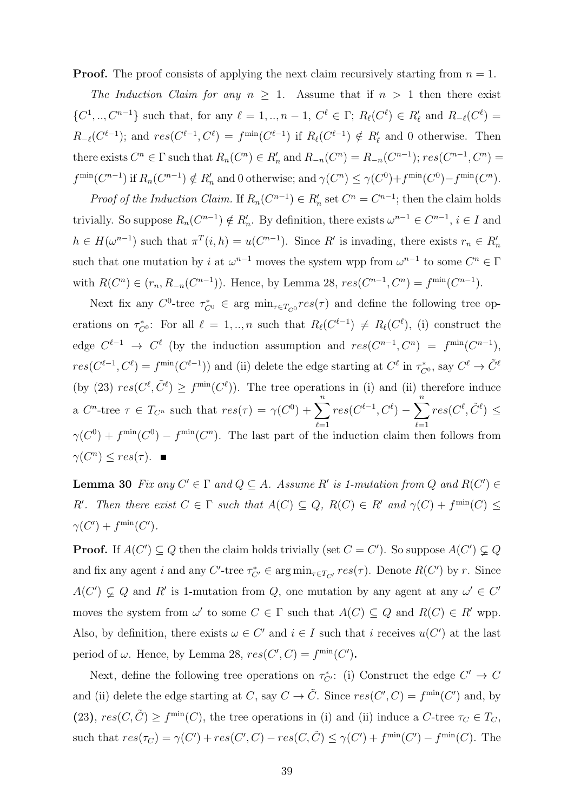**Proof.** The proof consists of applying the next claim recursively starting from  $n = 1$ .

The Induction Claim for any  $n > 1$ . Assume that if  $n > 1$  then there exist  $\{C^1, ..., C^{n-1}\}\$  such that, for any  $\ell = 1, ..., n-1$ ,  $C^{\ell} \in \Gamma$ ;  $R_{\ell}(C^{\ell}) \in R'_{\ell}$  and  $R_{-\ell}(C^{\ell}) =$  $R_{-\ell}(C^{\ell-1})$ ; and  $res(C^{\ell-1}, C^{\ell}) = f^{\min}(C^{\ell-1})$  if  $R_{\ell}(C^{\ell-1}) \notin R'_{\ell}$  and 0 otherwise. Then there exists  $C^n \in \Gamma$  such that  $R_n(C^n) \in R'_n$  and  $R_{-n}(C^n) = R_{-n}(C^{n-1}); res(C^{n-1}, C^n) =$  $f^{\min}(C^{n-1})$  if  $R_n(C^{n-1}) \notin R'_n$  and 0 otherwise; and  $\gamma(C^n) \leq \gamma(C^0) + f^{\min}(C^0) - f^{\min}(C^n)$ .

*Proof of the Induction Claim.* If  $R_n(C^{n-1}) \in R'_n$  set  $C^n = C^{n-1}$ ; then the claim holds trivially. So suppose  $R_n(C^{n-1}) \notin R'_n$ . By definition, there exists  $\omega^{n-1} \in C^{n-1}$ ,  $i \in I$  and  $h \in H(\omega^{n-1})$  such that  $\pi^T(i, h) = u(C^{n-1})$ . Since R' is invading, there exists  $r_n \in R'_n$ such that one mutation by i at  $\omega^{n-1}$  moves the system wpp from  $\omega^{n-1}$  to some  $C^n \in \Gamma$ with  $R(C^n) \in (r_n, R_{-n}(C^{n-1}))$ . Hence, by Lemma 28,  $res(C^{n-1}, C^n) = f^{\min}(C^{n-1})$ .

Next fix any  $C^0$ -tree  $\tau_{C^0}^* \in \arg \min_{\tau \in T_{C^0}} res(\tau)$  and define the following tree operations on  $\tau_{C^0}^*$ : For all  $\ell = 1, ..., n$  such that  $R_\ell(C^{\ell-1}) \neq R_\ell(C^\ell)$ , (i) construct the edge  $C^{\ell-1} \rightarrow C^{\ell}$  (by the induction assumption and  $res(C^{n-1}, C^n) = f^{\min}(C^{n-1}),$  $res(C^{\ell-1}, C^{\ell}) = f^{\min}(C^{\ell-1})$  and (ii) delete the edge starting at  $C^{\ell}$  in  $\tau_{C^0}^*$ , say  $C^{\ell} \to \tilde{C}^{\ell}$ (by (23)  $res(C^{\ell}, \tilde{C}^{\ell}) \geq f^{\min}(C^{\ell})$ . The tree operations in (i) and (ii) therefore induce a  $C^n$ -tree  $\tau \in T_{C^n}$  such that  $res(\tau) = \gamma(C^0) + \sum_{i=1}^n res(C^{\ell-1}, C^{\ell}) - \sum_{i=1}^n res(C^{\ell}, \tilde{C}^{\ell}) \le$  $\ell=1$   $\ell=1$  $\gamma(C^0) + f^{\min}(C^0) - f^{\min}(C^n)$ . The last part of the induction claim then follows from  $\gamma(C^n) \leq res(\tau).$ 

**Lemma 30** Fix any  $C' \in \Gamma$  and  $Q \subseteq A$ . Assume R' is 1-mutation from Q and  $R(C') \in \Gamma$ R'. Then there exist  $C \in \Gamma$  such that  $A(C) \subseteq Q$ ,  $R(C) \in R'$  and  $\gamma(C) + f^{\min}(C) \leq$  $\gamma(C') + f^{\min}(C')$ .

**Proof.** If  $A(C') \subseteq Q$  then the claim holds trivially (set  $C = C'$ ). So suppose  $A(C') \subsetneq Q$ and fix any agent i and any  $C'$ -tree  $\tau_{C'}^* \in \arg \min_{\tau \in T_{C'}} res(\tau)$ . Denote  $R(C')$  by r. Since  $A(C') \subsetneq Q$  and R' is 1-mutation from Q, one mutation by any agent at any  $\omega' \in C'$ moves the system from  $\omega'$  to some  $C \in \Gamma$  such that  $A(C) \subseteq Q$  and  $R(C) \in R'$  wpp. Also, by definition, there exists  $\omega \in C'$  and  $i \in I$  such that i receives  $u(C')$  at the last period of  $\omega$ . Hence, by Lemma 28,  $res(C', C) = f^{\min}(C')$ .

Next, define the following tree operations on  $\tau_{C'}^*$ : (i) Construct the edge  $C' \to C$ and (ii) delete the edge starting at C, say  $C \to \tilde{C}$ . Since  $res(C', C) = f^{min}(C')$  and, by (23),  $res(C, \tilde{C}) \ge f^{\min}(C)$ , the tree operations in (i) and (ii) induce a C-tree  $\tau_C \in T_C$ , such that  $res(\tau_C) = \gamma(C') + res(C', C) - res(C, \tilde{C}) \leq \gamma(C') + f^{\min}(C') - f^{\min}(C)$ . The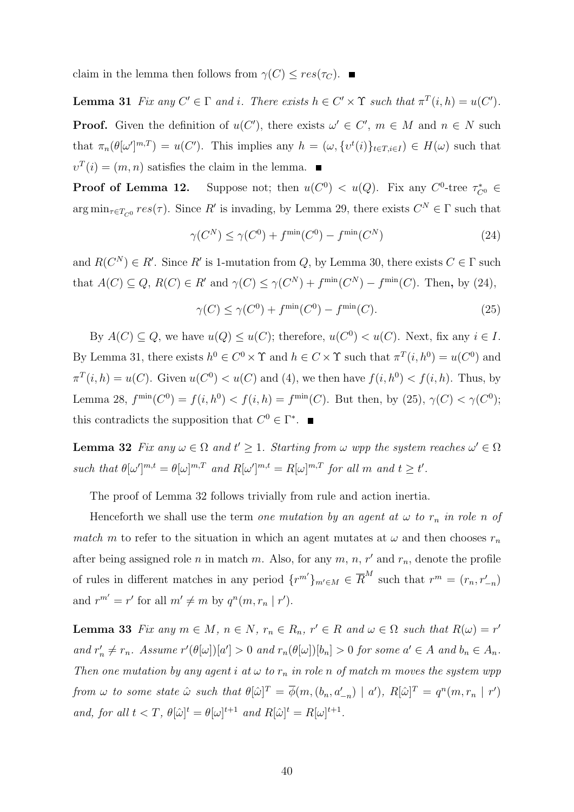claim in the lemma then follows from  $\gamma(C) \leq res(\tau_C)$ .

**Lemma 31** Fix any  $C' \in \Gamma$  and i. There exists  $h \in C' \times \Upsilon$  such that  $\pi^{T}(i, h) = u(C')$ . **Proof.** Given the definition of  $u(C')$ , there exists  $\omega' \in C'$ ,  $m \in M$  and  $n \in N$  such that  $\pi_n(\theta[\omega']^{m,T}) = u(C')$ . This implies any  $h = (\omega, \{v^t(i)\}_{t \in T, i \in I}) \in H(\omega)$  such that  $v^T(i) = (m, n)$  satisfies the claim in the lemma.

**Proof of Lemma 12.** Suppose not; then  $u(C^0) < u(Q)$ . Fix any  $C^0$ -tree  $\tau^*_{C^0} \in$  $\arg \min_{\tau \in T_{C^0}} res(\tau)$ . Since R' is invading, by Lemma 29, there exists  $C^N \in \Gamma$  such that

$$
\gamma(C^N) \le \gamma(C^0) + f^{\min}(C^0) - f^{\min}(C^N)
$$
\n(24)

and  $R(C^N) \in R'$ . Since R' is 1-mutation from Q, by Lemma 30, there exists  $C \in \Gamma$  such that  $A(C) \subseteq Q$ ,  $R(C) \in R'$  and  $\gamma(C) \leq \gamma(C^N) + f^{\min}(C^N) - f^{\min}(C)$ . Then, by (24),

$$
\gamma(C) \le \gamma(C^0) + f^{\min}(C^0) - f^{\min}(C). \tag{25}
$$

By  $A(C) \subseteq Q$ , we have  $u(Q) \leq u(C)$ ; therefore,  $u(C^0) < u(C)$ . Next, fix any  $i \in I$ . By Lemma 31, there exists  $h^0 \in C^0 \times \Upsilon$  and  $h \in C \times \Upsilon$  such that  $\pi^T(i, h^0) = u(C^0)$  and  $\pi^T(i, h) = u(C)$ . Given  $u(C^0) < u(C)$  and (4), we then have  $f(i, h^0) < f(i, h)$ . Thus, by Lemma 28,  $f^{\min}(C^0) = f(i, h^0) < f(i, h) = f^{\min}(C)$ . But then, by  $(25)$ ,  $\gamma(C) < \gamma(C^0)$ ; this contradicts the supposition that  $C^0 \in \Gamma^*$ .

**Lemma 32** Fix any  $\omega \in \Omega$  and  $t' \geq 1$ . Starting from  $\omega$  wpp the system reaches  $\omega' \in \Omega$ such that  $\theta[\omega']^{m,t} = \theta[\omega]^{m,T}$  and  $R[\omega']^{m,t} = R[\omega]^{m,T}$  for all m and  $t \ge t'$ .

The proof of Lemma 32 follows trivially from rule and action inertia.

Henceforth we shall use the term one mutation by an agent at  $\omega$  to  $r_n$  in role n of match m to refer to the situation in which an agent mutates at  $\omega$  and then chooses  $r_n$ after being assigned role n in match m. Also, for any  $m$ ,  $n$ ,  $r'$  and  $r_n$ , denote the profile of rules in different matches in any period  $\{r^{m'}\}_{m'\in M} \in \overline{R}^M$  such that  $r^m = (r_n, r'_{-n})$ and  $r^{m'} = r'$  for all  $m' \neq m$  by  $q^n(m, r_n | r').$ 

**Lemma 33** Fix any  $m \in M$ ,  $n \in N$ ,  $r_n \in R_n$ ,  $r' \in R$  and  $\omega \in \Omega$  such that  $R(\omega) = r'$ and  $r'_n \neq r_n$ . Assume  $r'(\theta[\omega])[a'] > 0$  and  $r_n(\theta[\omega])[b_n] > 0$  for some  $a' \in A$  and  $b_n \in A_n$ . Then one mutation by any agent i at  $\omega$  to  $r_n$  in role n of match m moves the system wpp from  $\omega$  to some state  $\hat{\omega}$  such that  $\theta[\hat{\omega}]^T = \overline{\phi}(m, (b_n, a'_{-n}) | a'), R[\hat{\omega}]^T = q^n(m, r_n | r')$ and, for all  $t < T$ ,  $\theta[\hat{\omega}]^t = \theta[\omega]^{t+1}$  and  $R[\hat{\omega}]^t = R[\omega]^{t+1}$ .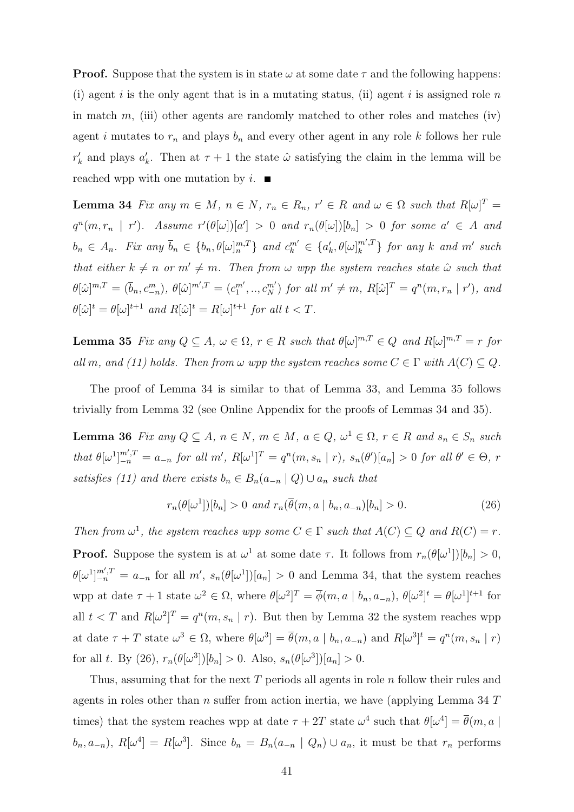**Proof.** Suppose that the system is in state  $\omega$  at some date  $\tau$  and the following happens: (i) agent i is the only agent that is in a mutating status, (ii) agent i is assigned role n in match  $m$ , (iii) other agents are randomly matched to other roles and matches (iv) agent i mutates to  $r_n$  and plays  $b_n$  and every other agent in any role k follows her rule  $r'_{k}$  and plays  $a'_{k}$ . Then at  $\tau + 1$  the state  $\hat{\omega}$  satisfying the claim in the lemma will be reached wpp with one mutation by  $i$ .

**Lemma 34** Fix any  $m \in M$ ,  $n \in N$ ,  $r_n \in R_n$ ,  $r' \in R$  and  $\omega \in \Omega$  such that  $R[\omega]^T =$  $q^n(m,r_n \mid r')$ . Assume  $r'(\theta[\omega])[a'] > 0$  and  $r_n(\theta[\omega])[b_n] > 0$  for some  $a' \in A$  and  $b_n \in A_n$ . Fix any  $\overline{b}_n \in \{b_n, \theta[\omega]_n^{m,T}\}\$  and  $c_k^{m'} \in \{a'_k, \theta[\omega]_k^{m',T}\}\$  $\binom{m',T}{k}$  for any k and m' such that either  $k \neq n$  or  $m' \neq m$ . Then from  $\omega$  wpp the system reaches state  $\hat{\omega}$  such that  $\theta[\hat{\omega}]^{m,T} = (\bar{b}_n, c_{-n}^m), \ \theta[\hat{\omega}]^{m',T} = (c_1^{m'}, .., c_N^{m'}) \ \text{for all } m' \neq m, \ R[\hat{\omega}]^T = q^n(m, r_n \mid r'), \text{ and}$  $\theta[\hat{\omega}]^t = \theta[\omega]^{t+1}$  and  $R[\hat{\omega}]^t = R[\omega]^{t+1}$  for all  $t < T$ .

**Lemma 35** Fix any  $Q \subseteq A$ ,  $\omega \in \Omega$ ,  $r \in R$  such that  $\theta[\omega]^{m,T} \in Q$  and  $R[\omega]^{m,T} = r$  for all m, and (11) holds. Then from  $\omega$  wpp the system reaches some  $C \in \Gamma$  with  $A(C) \subseteq Q$ .

The proof of Lemma 34 is similar to that of Lemma 33, and Lemma 35 follows trivially from Lemma 32 (see Online Appendix for the proofs of Lemmas 34 and 35).

**Lemma 36** Fix any  $Q \subseteq A$ ,  $n \in N$ ,  $m \in M$ ,  $a \in Q$ ,  $\omega^1 \in \Omega$ ,  $r \in R$  and  $s_n \in S_n$  such that  $\theta[\omega^1]_{-n}^{m',T} = a_{-n}$  for all m',  $R[\omega^1]^T = q^n(m, s_n | r)$ ,  $s_n(\theta')[a_n] > 0$  for all  $\theta' \in \Theta$ , r satisfies (11) and there exists  $b_n \in B_n(a_{-n} \mid Q) \cup a_n$  such that

$$
r_n(\theta[\omega^1])[b_n] > 0 \text{ and } r_n(\overline{\theta}(m, a \mid b_n, a_{-n})[b_n] > 0. \tag{26}
$$

Then from  $\omega^1$ , the system reaches wpp some  $C \in \Gamma$  such that  $A(C) \subseteq Q$  and  $R(C) = r$ . **Proof.** Suppose the system is at  $\omega^1$  at some date  $\tau$ . It follows from  $r_n(\theta[\omega^1])[b_n] > 0$ ,  $\theta[\omega^1]_{-n}^{m',T} = a_{-n}$  for all  $m', s_n(\theta[\omega^1])[a_n] > 0$  and Lemma 34, that the system reaches wpp at date  $\tau + 1$  state  $\omega^2 \in \Omega$ , where  $\theta[\omega^2]^T = \overline{\phi}(m, a \mid b_n, a_{-n}), \theta[\omega^2]^t = \theta[\omega^1]^{t+1}$  for all  $t < T$  and  $R[\omega^2]^T = q^n(m, s_n | r)$ . But then by Lemma 32 the system reaches wpp at date  $\tau + T$  state  $\omega^3 \in \Omega$ , where  $\theta[\omega^3] = \overline{\theta}(m, a \mid b_n, a_{-n})$  and  $R[\omega^3]^t = q^n(m, s_n \mid r)$ for all t. By (26),  $r_n(\theta[\omega^3])[b_n] > 0$ . Also,  $s_n(\theta[\omega^3])[a_n] > 0$ .

Thus, assuming that for the next  $T$  periods all agents in role  $n$  follow their rules and agents in roles other than  $n$  suffer from action inertia, we have (applying Lemma 34  $T$ ) times) that the system reaches wpp at date  $\tau + 2T$  state  $\omega^4$  such that  $\theta[\omega^4] = \overline{\theta}(m, a)$  $(b_n, a_{-n}), R[\omega^4] = R[\omega^3]$ . Since  $b_n = B_n(a_{-n} \mid Q_n) \cup a_n$ , it must be that  $r_n$  performs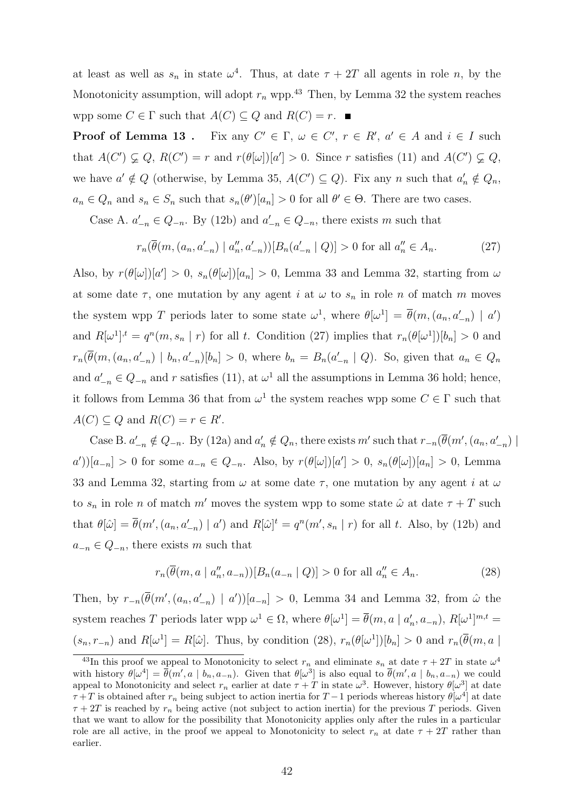at least as well as  $s_n$  in state  $\omega^4$ . Thus, at date  $\tau + 2T$  all agents in role n, by the Monotonicity assumption, will adopt  $r_n$  wpp.<sup>43</sup> Then, by Lemma 32 the system reaches wpp some  $C \in \Gamma$  such that  $A(C) \subseteq Q$  and  $R(C) = r$ .

**Proof of Lemma 13**. Fix any  $C' \in \Gamma$ ,  $\omega \in C'$ ,  $r \in R'$ ,  $a' \in A$  and  $i \in I$  such that  $A(C') \subsetneq Q$ ,  $R(C') = r$  and  $r(\theta[\omega])[a'] > 0$ . Since r satisfies (11) and  $A(C') \subsetneq Q$ , we have  $a' \notin Q$  (otherwise, by Lemma 35,  $A(C') \subseteq Q$ ). Fix any n such that  $a'_n \notin Q_n$ ,  $a_n \in Q_n$  and  $s_n \in S_n$  such that  $s_n(\theta')[a_n] > 0$  for all  $\theta' \in \Theta$ . There are two cases.

Case A.  $a'_{-n} \in Q_{-n}$ . By (12b) and  $a'_{-n} \in Q_{-n}$ , there exists m such that

$$
r_n(\overline{\theta}(m, (a_n, a'_{-n}) \mid a''_n, a'_{-n})) [B_n(a'_{-n} \mid Q)] > 0 \text{ for all } a''_n \in A_n.
$$
 (27)

Also, by  $r(\theta[\omega])[a'] > 0$ ,  $s_n(\theta[\omega])[a_n] > 0$ , Lemma 33 and Lemma 32, starting from  $\omega$ at some date  $\tau$ , one mutation by any agent i at  $\omega$  to  $s_n$  in role n of match m moves the system wpp T periods later to some state  $\omega^1$ , where  $\theta[\omega^1] = \overline{\theta}(m,(a_n,a'_{-n}) | a')$ and  $R[\omega^1]$ <sup>t</sup> =  $q^n(m, s_n | r)$  for all t. Condition (27) implies that  $r_n(\theta[\omega^1])[b_n] > 0$  and  $r_n(\overline{\theta}(m,(a_n,a'_{-n})\mid b_n,a'_{-n})[b_n] > 0$ , where  $b_n = B_n(a'_{-n} \mid Q)$ . So, given that  $a_n \in Q_n$ and  $a'_{-n} \in Q_{-n}$  and r satisfies (11), at  $\omega^1$  all the assumptions in Lemma 36 hold; hence, it follows from Lemma 36 that from  $\omega^1$  the system reaches wpp some  $C \in \Gamma$  such that  $A(C) \subseteq Q$  and  $R(C) = r \in R'$ .

Case B.  $a'_{-n} \notin Q_{-n}$ . By (12a) and  $a'_{n} \notin Q_{n}$ , there exists m' such that  $r_{-n}(\overline{\theta}(m', (a_{n}, a'_{-n}))$  $(a')|[a_{-n}] > 0$  for some  $a_{-n} \in Q_{-n}$ . Also, by  $r(\theta[\omega])[a'] > 0$ ,  $s_n(\theta[\omega])[a_n] > 0$ , Lemma 33 and Lemma 32, starting from  $\omega$  at some date  $\tau$ , one mutation by any agent i at  $\omega$ to  $s_n$  in role n of match m' moves the system wpp to some state  $\hat{\omega}$  at date  $\tau + T$  such that  $\theta[\hat{\omega}] = \overline{\theta}(m', (a_n, a'_{-n}) | a')$  and  $R[\hat{\omega}]^t = q^n(m', s_n | r)$  for all t. Also, by (12b) and  $a_{-n} \in Q_{-n}$ , there exists m such that

$$
r_n(\bar{\theta}(m, a \mid a''_n, a_{-n})) [B_n(a_{-n} \mid Q)] > 0 \text{ for all } a''_n \in A_n.
$$
 (28)

Then, by  $r_{-n}(\overline{\theta}(m', (a_n, a'_{-n}) | a'))[a_{-n}] > 0$ , Lemma 34 and Lemma 32, from  $\hat{\omega}$  the system reaches T periods later wpp  $\omega^1 \in \Omega$ , where  $\theta[\omega^1] = \overline{\theta}(m, a \mid a'_n, a_{-n}), R[\omega^1]^{m,t} =$  $(s_n, r_{-n})$  and  $R[\omega^1] = R[\hat{\omega}]$ . Thus, by condition (28),  $r_n(\theta[\omega^1])[b_n] > 0$  and  $r_n(\overline{\theta}(m, a))$ 

<sup>&</sup>lt;sup>43</sup>In this proof we appeal to Monotonicity to select  $r_n$  and eliminate  $s_n$  at date  $\tau + 2T$  in state  $\omega^4$ with history  $\theta[\omega^4] = \overline{\theta}(m', a \mid b_n, a_{-n})$ . Given that  $\theta[\omega^3]$  is also equal to  $\overline{\theta}(m', a \mid b_n, a_{-n})$  we could appeal to Monotonicity and select  $r_n$  earlier at date  $\tau + T$  in state  $\omega^3$ . However, history  $\theta[\omega^3]$  at date  $\tau + T$  is obtained after  $r_n$  being subject to action inertia for  $T - 1$  periods whereas history  $\theta[\omega^4]$  at date  $\tau + 2T$  is reached by  $r_n$  being active (not subject to action inertia) for the previous T periods. Given that we want to allow for the possibility that Monotonicity applies only after the rules in a particular role are all active, in the proof we appeal to Monotonicity to select  $r_n$  at date  $\tau + 2T$  rather than earlier.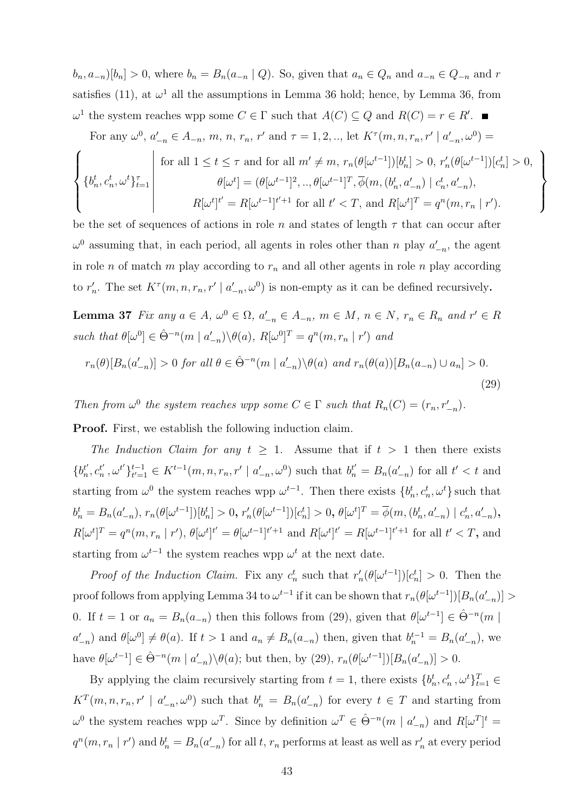$b_n, a_{-n}$ [ $b_n$ ] > 0, where  $b_n = B_n(a_{-n} | Q)$ . So, given that  $a_n \in Q_n$  and  $a_{-n} \in Q_{-n}$  and r satisfies (11), at  $\omega^1$  all the assumptions in Lemma 36 hold; hence, by Lemma 36, from  $\omega^1$  the system reaches wpp some  $C \in \Gamma$  such that  $A(C) \subseteq Q$  and  $R(C) = r \in R'$ .

For any  $\omega^0, a'_{-n} \in A_{-n}, m, n, r_n, r'$  and  $\tau = 1, 2, ...$ , let  $K^{\tau}(m, n, r_n, r' | a'_{-n}, \omega^0) =$ 

$$
\left\{\{b_n^t, c_n^t, \omega^t\}_{t=1}^{\tau} \middle| \begin{array}{c} \text{for all } 1 \leq t \leq \tau \text{ and for all } m' \neq m, \ r_n(\theta[\omega^{t-1}])[b_n^t] > 0, \ r'_n(\theta[\omega^{t-1}])[c_n^t] > 0, \\ \theta[\omega^t] = (\theta[\omega^{t-1}]^2, .., \theta[\omega^{t-1}]^T, \overline{\phi}(m, (b_n^t, a_{-n}') \mid c_n^t, a_{-n}'), \\ R[\omega^t]^{t'} = R[\omega^{t-1}]^{t'+1} \text{ for all } t' < T, \text{ and } R[\omega^t]^T = q^n(m, r_n \mid r'). \end{array} \right\}
$$

 $\mathcal{L}$  $\overline{\mathcal{L}}$ 

 $\int$ 

be the set of sequences of actions in role n and states of length  $\tau$  that can occur after  $\omega^0$  assuming that, in each period, all agents in roles other than n play  $a'_{-n}$ , the agent in role n of match m play according to  $r_n$  and all other agents in role n play according to  $r'_n$ . The set  $K^{\tau}(m, n, r_n, r' | a'_{-n}, \omega^0)$  is non-empty as it can be defined recursively.

**Lemma 37** Fix any  $a \in A$ ,  $\omega^0 \in \Omega$ ,  $a'_{-n} \in A_{-n}$ ,  $m \in M$ ,  $n \in N$ ,  $r_n \in R_n$  and  $r' \in R$ such that  $\theta[\omega^0] \in \hat{\Theta}^{-n}(m \mid a'_{-n}) \setminus \theta(a), R[\omega^0]^T = q^n(m, r_n \mid r')$  and

$$
r_n(\theta)[B_n(a'_{-n})] > 0 \text{ for all } \theta \in \hat{\Theta}^{-n}(m \mid a'_{-n}) \setminus \theta(a) \text{ and } r_n(\theta(a))[B_n(a_{-n}) \cup a_n] > 0. \tag{29}
$$

Then from  $\omega^0$  the system reaches wpp some  $C \in \Gamma$  such that  $R_n(C) = (r_n, r'_{-n}).$ 

Proof. First, we establish the following induction claim.

The Induction Claim for any  $t \geq 1$ . Assume that if  $t > 1$  then there exists  ${b_n^{t'}}$  $t'_n, c_n^{t'}$  $_{n}^{t^{\prime }},\omega ^{t^{\prime }}\}_{t^{\prime }=1}^{t-1}$  $t_{t-1}^{t-1} \in K^{t-1}(m, n, r_n, r' | a'_{-n}, \omega^0)$  such that  $b_n^{t'} = B_n(a'_{-n})$  for all  $t' < t$  and starting from  $\omega^0$  the system reaches wpp  $\omega^{t-1}$ . Then there exists  $\{b_n^t, c_n^t, \omega^t\}$  such that  $b_n^t = B_n(a'_{-n}), r_n(\theta[\omega^{t-1}])[b_n^t] > 0, r_n'(\theta[\omega^{t-1}])[c_n^t] > 0, \theta[\omega^t]^T = \overline{\phi}(m, (b_n^t, a'_{-n}) \mid c_n^t, a'_{-n}),$  $R[\omega^t]^T = q^n(m, r_n | r'), \, \theta[\omega^t]^{t'} = \theta[\omega^{t-1}]^{t'+1}$  and  $R[\omega^t]^{t'} = R[\omega^{t-1}]^{t'+1}$  for all  $t' < T$ , and starting from  $\omega^{t-1}$  the system reaches wpp  $\omega^t$  at the next date.

*Proof of the Induction Claim.* Fix any  $c_n^t$  such that  $r'_n(\theta[\omega^{t-1}])[c_n^t] > 0$ . Then the proof follows from applying Lemma 34 to  $\omega^{t-1}$  if it can be shown that  $r_n(\theta[\omega^{t-1}])[B_n(a'_{-n})] >$ 0. If  $t = 1$  or  $a_n = B_n(a_{-n})$  then this follows from (29), given that  $\theta[\omega^{t-1}] \in \hat{\Theta}^{-n}(m)$  $a'_{-n}$  and  $\theta[\omega^0] \neq \theta(a)$ . If  $t > 1$  and  $a_n \neq B_n(a_{-n})$  then, given that  $b_n^{t-1} = B_n(a'_{-n})$ , we have  $\theta[\omega^{t-1}] \in \hat{\Theta}^{-n}(m \mid a'_{-n}) \setminus \theta(a)$ ; but then, by (29),  $r_n(\theta[\omega^{t-1}])[B_n(a'_{-n})] > 0$ .

By applying the claim recursively starting from  $t = 1$ , there exists  ${b_n^t, c_n^t, \omega^t}_{t=1}^T \in$  $K^{T}(m, n, r_n, r' \mid a'_{-n}, \omega^0)$  such that  $b_n^t = B_n(a'_{-n})$  for every  $t \in T$  and starting from ω<sup>0</sup> the system reaches wpp ω<sup>T</sup>. Since by definition ω<sup>T</sup> ∈ Θ<sup>-n</sup>(m | α'<sub>-n</sub>) and R[ω<sup>T</sup>]<sup>t</sup> =  $q^n(m, r_n | r')$  and  $b_n^t = B_n(a'_{-n})$  for all t,  $r_n$  performs at least as well as  $r'_n$  at every period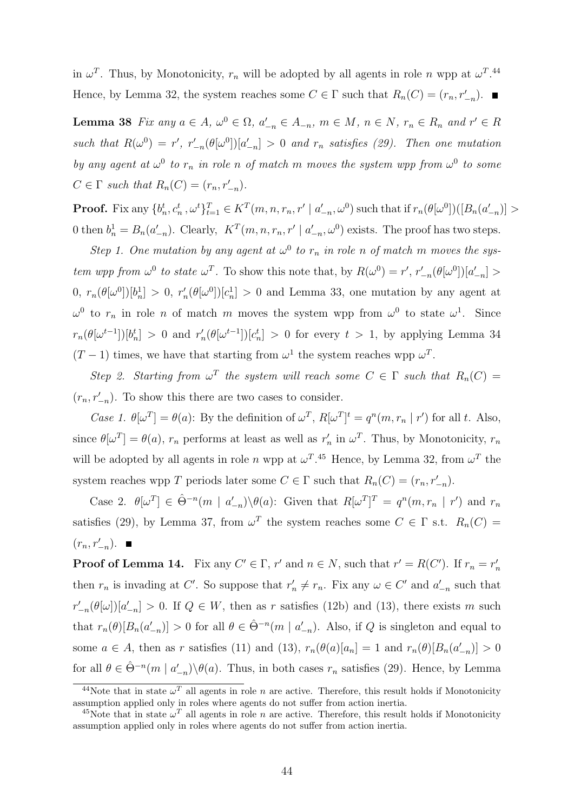in  $\omega^T$ . Thus, by Monotonicity,  $r_n$  will be adopted by all agents in role n wpp at  $\omega^T$ .<sup>44</sup> Hence, by Lemma 32, the system reaches some  $C \in \Gamma$  such that  $R_n(C) = (r_n, r'_{-n}).$ 

**Lemma 38** Fix any  $a \in A$ ,  $\omega^0 \in \Omega$ ,  $a'_{-n} \in A_{-n}$ ,  $m \in M$ ,  $n \in N$ ,  $r_n \in R_n$  and  $r' \in R$ such that  $R(\omega^0) = r'$ ,  $r'_{-n}(\theta[\omega^0])[a'_{-n}] > 0$  and  $r_n$  satisfies (29). Then one mutation by any agent at  $\omega^0$  to  $r_n$  in role n of match m moves the system wpp from  $\omega^0$  to some  $C \in \Gamma$  such that  $R_n(C) = (r_n, r'_{-n}).$ 

**Proof.** Fix any  $\{b_n^t, c_n^t, \omega^t\}_{t=1}^T \in K^T(m, n, r_n, r' \mid a_{-n}', \omega^0)$  such that if  $r_n(\theta[\omega^0])([B_n(a_{-n}']) >$ 0 then  $b_n^1 = B_n(a'_{-n})$ . Clearly,  $K^T(m, n, r_n, r' \mid a'_{-n}, \omega^0)$  exists. The proof has two steps.

Step 1. One mutation by any agent at  $\omega^0$  to  $r_n$  in role n of match m moves the system wpp from  $\omega^0$  to state  $\omega^T$ . To show this note that, by  $R(\omega^0) = r'$ ,  $r'_{-n}(\theta[\omega^0])[a'_{-n}] >$  $0, r_n(\theta[\omega^0])[b_n^1] > 0, r'_n(\theta[\omega^0])[c_n^1] > 0$  and Lemma 33, one mutation by any agent at  $\omega^0$  to  $r_n$  in role n of match m moves the system wpp from  $\omega^0$  to state  $\omega^1$ . Since  $r_n(\theta[\omega^{t-1}])[b_n^t] > 0$  and  $r'_n(\theta[\omega^{t-1}])[c_n^t] > 0$  for every  $t > 1$ , by applying Lemma 34  $(T-1)$  times, we have that starting from  $\omega^1$  the system reaches wpp  $\omega^T$ .

Step 2. Starting from  $\omega^T$  the system will reach some  $C \in \Gamma$  such that  $R_n(C) =$  $(r_n, r'_{-n})$ . To show this there are two cases to consider.

Case 1.  $\theta[\omega^T] = \theta(a)$ : By the definition of  $\omega^T$ ,  $R[\omega^T]^t = q^n(m, r_n | r')$  for all t. Also, since  $\theta[\omega^T] = \theta(a)$ ,  $r_n$  performs at least as well as  $r'_n$  in  $\omega^T$ . Thus, by Monotonicity,  $r_n$ will be adopted by all agents in role n wpp at  $\omega^T$ .<sup>45</sup> Hence, by Lemma 32, from  $\omega^T$  the system reaches wpp T periods later some  $C \in \Gamma$  such that  $R_n(C) = (r_n, r'_{-n}).$ 

Case 2.  $\theta[\omega^T] \in \hat{\Theta}^{-n}(m \mid a'_{-n})\backslash \theta(a)$ : Given that  $R[\omega^T]^T = q^n(m, r_n \mid r')$  and  $r_n$ satisfies (29), by Lemma 37, from  $\omega^T$  the system reaches some  $C \in \Gamma$  s.t.  $R_n(C) =$  $(r_n, r'_{-n}).$ 

**Proof of Lemma 14.** Fix any  $C' \in \Gamma$ ,  $r'$  and  $n \in N$ , such that  $r' = R(C')$ . If  $r_n = r'_n$ then  $r_n$  is invading at C'. So suppose that  $r'_n \neq r_n$ . Fix any  $\omega \in C'$  and  $a'_{-n}$  such that  $r'_{-n}(\theta[\omega])[a'_{-n}]>0$ . If  $Q \in W$ , then as r satisfies (12b) and (13), there exists m such that  $r_n(\theta)[B_n(a'_{-n})] > 0$  for all  $\theta \in \hat{\Theta}^{-n}(m \mid a'_{-n})$ . Also, if Q is singleton and equal to some  $a \in A$ , then as r satisfies (11) and (13),  $r_n(\theta(a)[a_n] = 1$  and  $r_n(\theta)[B_n(a'_{-n})] > 0$ for all  $\theta \in \hat{\Theta}^{-n}(m \mid a'_{-n})\backslash \theta(a)$ . Thus, in both cases  $r_n$  satisfies (29). Hence, by Lemma

<sup>&</sup>lt;sup>44</sup>Note that in state  $\omega^T$  all agents in role n are active. Therefore, this result holds if Monotonicity assumption applied only in roles where agents do not suffer from action inertia.

<sup>&</sup>lt;sup>45</sup>Note that in state  $\omega^T$  all agents in role n are active. Therefore, this result holds if Monotonicity assumption applied only in roles where agents do not suffer from action inertia.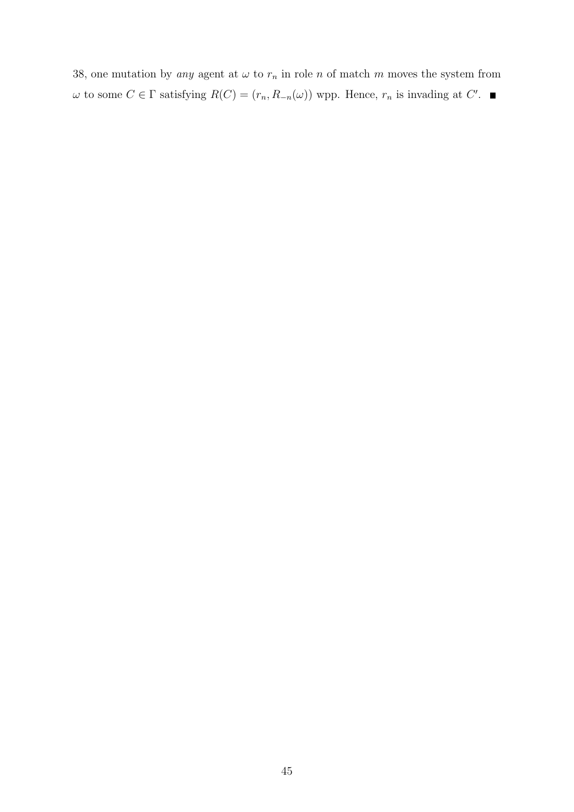38, one mutation by any agent at  $\omega$  to  $r_n$  in role n of match m moves the system from  $\omega$  to some  $C \in \Gamma$  satisfying  $R(C) = (r_n, R_{-n}(\omega))$  wpp. Hence,  $r_n$  is invading at  $C'$ .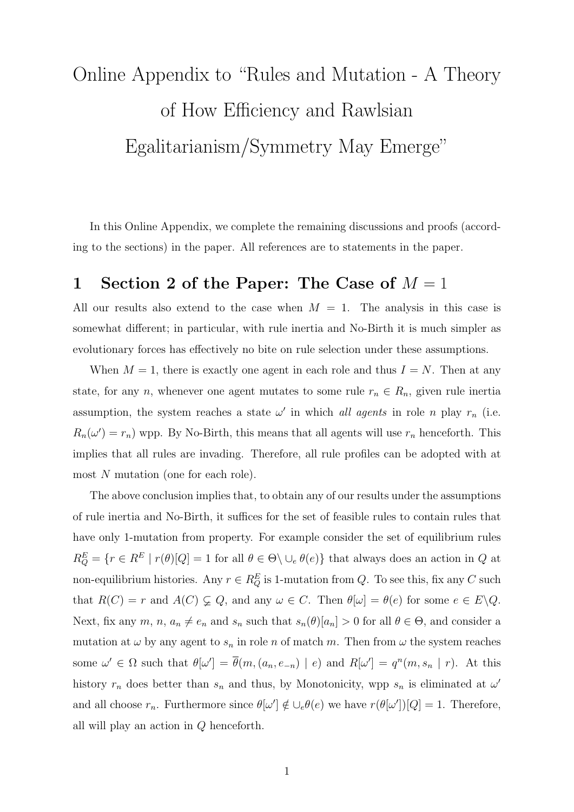# Online Appendix to "Rules and Mutation - A Theory of How Efficiency and Rawlsian Egalitarianism/Symmetry May Emerge"

In this Online Appendix, we complete the remaining discussions and proofs (according to the sections) in the paper. All references are to statements in the paper.

## 1 Section 2 of the Paper: The Case of  $M = 1$

All our results also extend to the case when  $M = 1$ . The analysis in this case is somewhat different; in particular, with rule inertia and No-Birth it is much simpler as evolutionary forces has effectively no bite on rule selection under these assumptions.

When  $M = 1$ , there is exactly one agent in each role and thus  $I = N$ . Then at any state, for any n, whenever one agent mutates to some rule  $r_n \in R_n$ , given rule inertia assumption, the system reaches a state  $\omega'$  in which all agents in role n play  $r_n$  (i.e.  $R_n(\omega') = r_n$ ) wpp. By No-Birth, this means that all agents will use  $r_n$  henceforth. This implies that all rules are invading. Therefore, all rule profiles can be adopted with at most N mutation (one for each role).

The above conclusion implies that, to obtain any of our results under the assumptions of rule inertia and No-Birth, it suffices for the set of feasible rules to contain rules that have only 1-mutation from property. For example consider the set of equilibrium rules  $R_Q^E = \{r \in R^E \mid r(\theta)[Q] = 1 \text{ for all } \theta \in \Theta \setminus \cup_e \theta(e)\}\$  that always does an action in Q at non-equilibrium histories. Any  $r \in R_Q^E$  is 1-mutation from Q. To see this, fix any C such that  $R(C) = r$  and  $A(C) \subsetneq Q$ , and any  $\omega \in C$ . Then  $\theta[\omega] = \theta(e)$  for some  $e \in E \backslash Q$ . Next, fix any  $m, n, a_n \neq e_n$  and  $s_n$  such that  $s_n(\theta)[a_n] > 0$  for all  $\theta \in \Theta$ , and consider a mutation at  $\omega$  by any agent to  $s_n$  in role n of match m. Then from  $\omega$  the system reaches some  $\omega' \in \Omega$  such that  $\theta[\omega'] = \overline{\theta}(m,(a_n,e_{-n}) \mid e)$  and  $R[\omega'] = q^n(m,s_n \mid r)$ . At this history  $r_n$  does better than  $s_n$  and thus, by Monotonicity, wpp  $s_n$  is eliminated at  $\omega'$ and all choose  $r_n$ . Furthermore since  $\theta[\omega'] \notin \bigcup_{e} \theta(e)$  we have  $r(\theta[\omega'])[Q] = 1$ . Therefore, all will play an action in Q henceforth.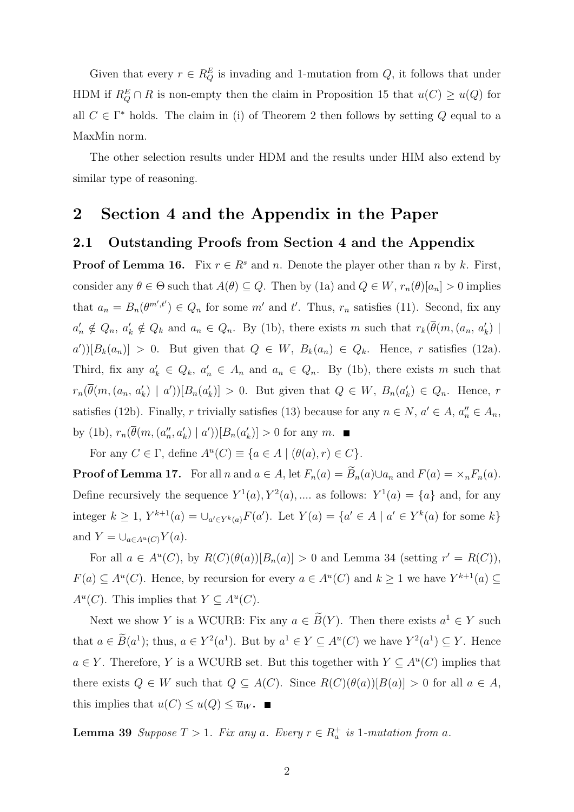Given that every  $r \in R_Q^E$  is invading and 1-mutation from  $Q$ , it follows that under HDM if  $R_Q^E \cap R$  is non-empty then the claim in Proposition 15 that  $u(C) \geq u(Q)$  for all  $C \in \Gamma^*$  holds. The claim in (i) of Theorem 2 then follows by setting Q equal to a MaxMin norm.

The other selection results under HDM and the results under HIM also extend by similar type of reasoning.

### 2 Section 4 and the Appendix in the Paper

### 2.1 Outstanding Proofs from Section 4 and the Appendix

**Proof of Lemma 16.** Fix  $r \in \mathbb{R}^s$  and n. Denote the player other than n by k. First, consider any  $\theta \in \Theta$  such that  $A(\theta) \subseteq Q$ . Then by (1a) and  $Q \in W$ ,  $r_n(\theta)[a_n] > 0$  implies that  $a_n = B_n(\theta^{m',t'}) \in Q_n$  for some m' and t'. Thus,  $r_n$  satisfies (11). Second, fix any  $a'_n \notin Q_n$ ,  $a'_k \notin Q_k$  and  $a_n \in Q_n$ . By (1b), there exists m such that  $r_k(\overline{\theta}(m,(a_n,a'_k))$  $(a')$ [ $B_k(a_n)$ ] > 0. But given that  $Q \in W$ ,  $B_k(a_n) \in Q_k$ . Hence, r satisfies (12a). Third, fix any  $a'_k \in Q_k$ ,  $a'_n \in A_n$  and  $a_n \in Q_n$ . By (1b), there exists m such that  $r_n(\overline{\theta}(m,(a_n,a'_k) \mid a'))[B_n(a'_k)] > 0$ . But given that  $Q \in W$ ,  $B_n(a'_k) \in Q_n$ . Hence, r satisfies (12b). Finally, r trivially satisfies (13) because for any  $n \in N$ ,  $a' \in A$ ,  $a''_n \in A_n$ , by (1b),  $r_n(\bar{\theta}(m, (a''_n, a'_k) | a'))[B_n(a'_k)] > 0$  for any m.

For any  $C \in \Gamma$ , define  $A^u(C) \equiv \{a \in A \mid (\theta(a), r) \in C\}.$ 

**Proof of Lemma 17.** For all n and  $a \in A$ , let  $F_n(a) = \widetilde{B}_n(a) \cup a_n$  and  $F(a) = \times_n F_n(a)$ . Define recursively the sequence  $Y^1(a)$ ,  $Y^2(a)$ , .... as follows:  $Y^1(a) = \{a\}$  and, for any integer  $k \ge 1$ ,  $Y^{k+1}(a) = \bigcup_{a' \in Y^k(a)} F(a')$ . Let  $Y(a) = \{a' \in A \mid a' \in Y^k(a) \text{ for some } k\}$ and  $Y = \bigcup_{a \in A^u(C)} Y(a)$ .

For all  $a \in A^u(C)$ , by  $R(C)(\theta(a))[B_n(a)] > 0$  and Lemma 34 (setting  $r' = R(C)$ ),  $F(a) \subseteq A^u(C)$ . Hence, by recursion for every  $a \in A^u(C)$  and  $k \ge 1$  we have  $Y^{k+1}(a) \subseteq$  $A^u(C)$ . This implies that  $Y \subseteq A^u(C)$ .

Next we show Y is a WCURB: Fix any  $a \in B(Y)$ . Then there exists  $a^1 \in Y$  such that  $a \in B(a^1)$ ; thus,  $a \in Y^2(a^1)$ . But by  $a^1 \in Y \subseteq A^u(C)$  we have  $Y^2(a^1) \subseteq Y$ . Hence  $a \in Y$ . Therefore, Y is a WCURB set. But this together with  $Y \subseteq A^u(C)$  implies that there exists  $Q \in W$  such that  $Q \subseteq A(C)$ . Since  $R(C)(\theta(a))[B(a)] > 0$  for all  $a \in A$ , this implies that  $u(C) \leq u(Q) \leq \overline{u}_W$ .

**Lemma 39** Suppose  $T > 1$ . Fix any a. Every  $r \in R_a^+$  is 1-mutation from a.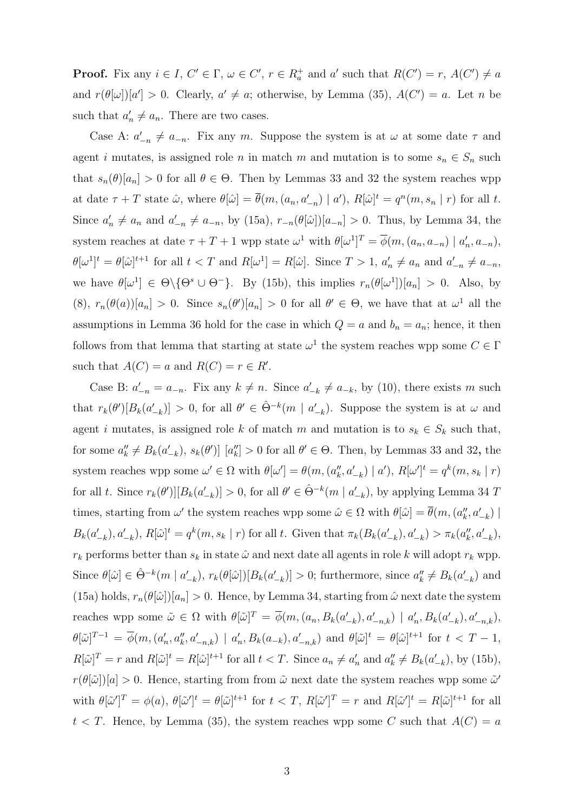**Proof.** Fix any  $i \in I$ ,  $C' \in \Gamma$ ,  $\omega \in C'$ ,  $r \in R_a^+$  and  $a'$  such that  $R(C') = r$ ,  $A(C') \neq a$ and  $r(\theta[\omega])[a'] > 0$ . Clearly,  $a' \neq a$ ; otherwise, by Lemma (35),  $A(C') = a$ . Let n be such that  $a'_n \neq a_n$ . There are two cases.

Case A:  $a'_{-n} \neq a_{-n}$ . Fix any m. Suppose the system is at  $\omega$  at some date  $\tau$  and agent i mutates, is assigned role n in match m and mutation is to some  $s_n \in S_n$  such that  $s_n(\theta)[a_n] > 0$  for all  $\theta \in \Theta$ . Then by Lemmas 33 and 32 the system reaches wpp at date  $\tau + T$  state  $\hat{\omega}$ , where  $\theta[\hat{\omega}] = \overline{\theta}(m, (a_n, a'_{-n}) | a')$ ,  $R[\hat{\omega}]^t = q^n(m, s_n | r)$  for all t. Since  $a'_n \neq a_n$  and  $a'_{-n} \neq a_{-n}$ , by (15a),  $r_{-n}(\theta[\hat{\omega}])[a_{-n}] > 0$ . Thus, by Lemma 34, the system reaches at date  $\tau + T + 1$  wpp state  $\omega^1$  with  $\theta[\omega^1]^T = \overline{\phi}(m, (a_n, a_{-n}) | a'_n, a_{-n}),$  $\theta[\omega^1]^t = \theta[\hat{\omega}]^{t+1}$  for all  $t < T$  and  $R[\omega^1] = R[\hat{\omega}]$ . Since  $T > 1$ ,  $a'_n \neq a_n$  and  $a'_{-n} \neq a_{-n}$ , we have  $\theta[\omega^1] \in \Theta \setminus {\Theta^s \cup \Theta^-}$ . By (15b), this implies  $r_n(\theta[\omega^1])[a_n] > 0$ . Also, by (8),  $r_n(\theta(a))[a_n] > 0$ . Since  $s_n(\theta')[a_n] > 0$  for all  $\theta' \in \Theta$ , we have that at  $\omega^1$  all the assumptions in Lemma 36 hold for the case in which  $Q = a$  and  $b_n = a_n$ ; hence, it then follows from that lemma that starting at state  $\omega^1$  the system reaches wpp some  $C \in \Gamma$ such that  $A(C) = a$  and  $R(C) = r \in R'$ .

Case B:  $a'_{-n} = a_{-n}$ . Fix any  $k \neq n$ . Since  $a'_{-k} \neq a_{-k}$ , by (10), there exists m such that  $r_k(\theta')[B_k(a'_{-k})] > 0$ , for all  $\theta' \in \hat{\Theta}^{-k}(m | a'_{-k})$ . Suppose the system is at  $\omega$  and agent i mutates, is assigned role k of match m and mutation is to  $s_k \in S_k$  such that, for some  $a''_k \neq B_k(a'_{-k}), s_k(\theta')$  [ $a''_k$ ] > 0 for all  $\theta' \in \Theta$ . Then, by Lemmas 33 and 32, the system reaches wpp some  $\omega' \in \Omega$  with  $\theta[\omega'] = \theta(m, (a''_k, a'_{-k}) | a')$ ,  $R[\omega']^t = q^k(m, s_k | r)$ for all t. Since  $r_k(\theta')$   $[B_k(a'_{-k})] > 0$ , for all  $\theta' \in \hat{\Theta}^{-k}(m \mid a'_{-k})$ , by applying Lemma 34 T times, starting from  $\omega'$  the system reaches wpp some  $\hat{\omega} \in \Omega$  with  $\theta[\hat{\omega}] = \overline{\theta}(m, (a_k'', a_{-k}') \mid$  $B_k(a'_{-k}), a'_{-k}), R[\hat{\omega}]^t = q^k(m, s_k | r)$  for all t. Given that  $\pi_k(B_k(a'_{-k}), a'_{-k}) > \pi_k(a''_k, a'_{-k}),$  $r_k$  performs better than  $s_k$  in state  $\hat{\omega}$  and next date all agents in role k will adopt  $r_k$  wpp. Since  $\theta[\hat{\omega}] \in \hat{\Theta}^{-k}(m \mid a'_{-k}), r_k(\theta[\hat{\omega}])[B_k(a'_{-k})] > 0$ ; furthermore, since  $a''_k \neq B_k(a'_{-k})$  and (15a) holds,  $r_n(\theta[\hat{\omega}])[a_n] > 0$ . Hence, by Lemma 34, starting from  $\hat{\omega}$  next date the system reaches wpp some  $\tilde{\omega} \in \Omega$  with  $\theta[\tilde{\omega}]^T = \overline{\phi}(m, (a_n, B_k(a'_{-k}), a'_{-n,k}) \mid a'_n, B_k(a'_{-k}), a'_{-n,k}),$  $\theta[\tilde{\omega}]^{T-1} = \overline{\phi}(m, (a'_n, a''_k, a'_{-n,k}) \mid a'_n, B_k(a_{-k}), a'_{-n,k})$  and  $\theta[\tilde{\omega}]^t = \theta[\hat{\omega}]^{t+1}$  for  $t < T - 1$ ,  $R[\tilde{\omega}]^T = r$  and  $R[\tilde{\omega}]^t = R[\hat{\omega}]^{t+1}$  for all  $t < T$ . Since  $a_n \neq a'_n$  and  $a''_k \neq B_k(a'_{-k})$ , by (15b),  $r(\theta[\tilde{\omega}])[a] > 0$ . Hence, starting from from  $\tilde{\omega}$  next date the system reaches wpp some  $\tilde{\omega}'$ with  $\theta[\tilde{\omega}]^T = \phi(a), \ \theta[\tilde{\omega}]^{t+1} = \theta[\tilde{\omega}]^{t+1}$  for  $t < T$ ,  $R[\tilde{\omega}]^T = r$  and  $R[\tilde{\omega}]^t = R[\tilde{\omega}]^{t+1}$  for all  $t < T$ . Hence, by Lemma (35), the system reaches wpp some C such that  $A(C) = a$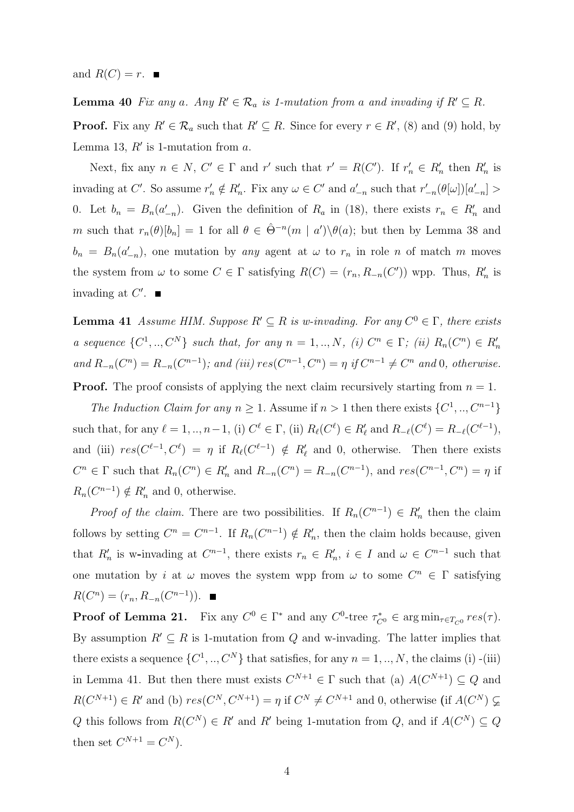and  $R(C) = r$ .

**Lemma 40** Fix any a. Any  $R' \in \mathcal{R}_a$  is 1-mutation from a and invading if  $R' \subseteq R$ . **Proof.** Fix any  $R' \in \mathcal{R}_a$  such that  $R' \subseteq R$ . Since for every  $r \in R'$ , (8) and (9) hold, by Lemma 13,  $R'$  is 1-mutation from  $a$ .

Next, fix any  $n \in N$ ,  $C' \in \Gamma$  and  $r'$  such that  $r' = R(C')$ . If  $r'_n \in R'_n$  then  $R'_n$  is invading at C'. So assume  $r'_n \notin R'_n$ . Fix any  $\omega \in C'$  and  $a'_{-n}$  such that  $r'_{-n}(\theta[\omega])[a'_{-n}] >$ 0. Let  $b_n = B_n(a'_{-n})$ . Given the definition of  $R_a$  in (18), there exists  $r_n \in R'_n$  and m such that  $r_n(\theta)[b_n] = 1$  for all  $\theta \in \hat{\Theta}^{-n}(m | a') \setminus \theta(a)$ ; but then by Lemma 38 and  $b_n = B_n(a'_{-n})$ , one mutation by any agent at  $\omega$  to  $r_n$  in role n of match m moves the system from  $\omega$  to some  $C \in \Gamma$  satisfying  $R(C) = (r_n, R_{-n}(C'))$  wpp. Thus,  $R'_n$  is invading at  $C'$ .

**Lemma 41** Assume HIM. Suppose  $R' \subseteq R$  is w-invading. For any  $C^0 \in \Gamma$ , there exists a sequence  $\{C^1, ..., C^N\}$  such that, for any  $n = 1, ..., N$ , (i)  $C^n \in \Gamma$ ; (ii)  $R_n(C^n) \in R'_n$ and  $R_{-n}(C^n) = R_{-n}(C^{n-1})$ ; and (iii)  $res(C^{n-1}, C^n) = \eta$  if  $C^{n-1} \neq C^n$  and 0, otherwise.

**Proof.** The proof consists of applying the next claim recursively starting from  $n = 1$ .

The Induction Claim for any  $n \geq 1$ . Assume if  $n > 1$  then there exists  $\{C^1, ..., C^{n-1}\}\$ such that, for any  $\ell = 1, ..., n-1$ , (i)  $C^{\ell} \in \Gamma$ , (ii)  $R_{\ell}(C^{\ell}) \in R'_{\ell}$  and  $R_{-\ell}(C^{\ell}) = R_{-\ell}(C^{\ell-1})$ , and (iii)  $res(C^{\ell-1}, C^{\ell}) = \eta$  if  $R_{\ell}(C^{\ell-1}) \notin R'_{\ell}$  and 0, otherwise. Then there exists  $C^n \in \Gamma$  such that  $R_n(C^n) \in R'_n$  and  $R_{-n}(C^n) = R_{-n}(C^{n-1})$ , and  $res(C^{n-1}, C^n) = \eta$  if  $R_n(C^{n-1}) \notin R'_n$  and 0, otherwise.

*Proof of the claim.* There are two possibilities. If  $R_n(C^{n-1}) \in R'_n$  then the claim follows by setting  $C^n = C^{n-1}$ . If  $R_n(C^{n-1}) \notin R'_n$ , then the claim holds because, given that  $R'_n$  is w-invading at  $C^{n-1}$ , there exists  $r_n \in R'_n$ ,  $i \in I$  and  $\omega \in C^{n-1}$  such that one mutation by i at  $\omega$  moves the system wpp from  $\omega$  to some  $C^n \in \Gamma$  satisfying  $R(C^n) = (r_n, R_{-n}(C^{n-1})).$ 

**Proof of Lemma 21.** Fix any  $C^0 \in \Gamma^*$  and any  $C^0$ -tree  $\tau^*_{C^0} \in \arg\min_{\tau \in T_{C^0}} res(\tau)$ . By assumption  $R' \subseteq R$  is 1-mutation from Q and w-invading. The latter implies that there exists a sequence  $\{C^1, ..., C^N\}$  that satisfies, for any  $n = 1, ..., N$ , the claims (i) -(iii) in Lemma 41. But then there must exists  $C^{N+1} \in \Gamma$  such that (a)  $A(C^{N+1}) \subseteq Q$  and  $R(C^{N+1}) \in R'$  and (b)  $res(C^N, C^{N+1}) = \eta$  if  $C^N \neq C^{N+1}$  and 0, otherwise (if  $A(C^N) \subsetneq$ Q this follows from  $R(C^N) \in R'$  and R' being 1-mutation from Q, and if  $A(C^N) \subseteq Q$ then set  $C^{N+1} = C^N$ .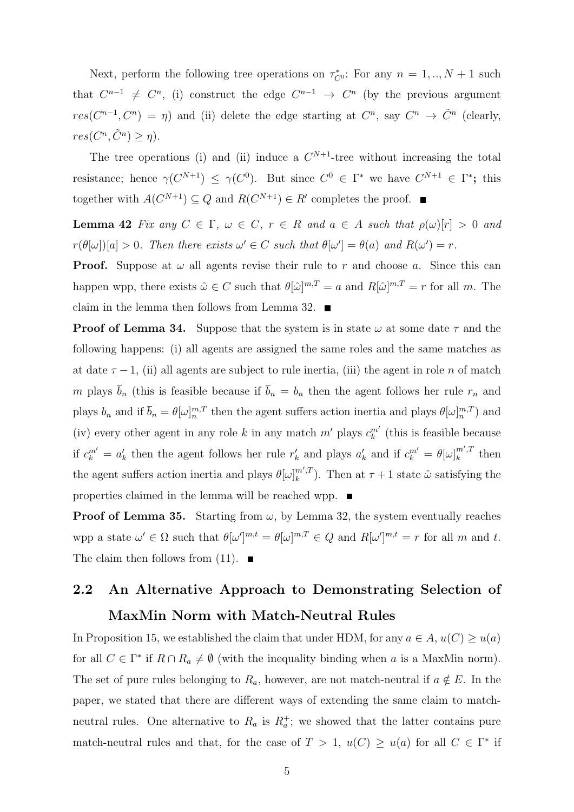Next, perform the following tree operations on  $\tau_{C}^*$ : For any  $n = 1,.., N + 1$  such that  $C^{n-1} \neq C^n$ , (i) construct the edge  $C^{n-1} \to C^n$  (by the previous argument  $res(C^{n-1}, C^n) = \eta$  and (ii) delete the edge starting at  $C^n$ , say  $C^n \to \tilde{C}^n$  (clearly,  $res(C^n, \tilde{C}^n) \geq \eta$ ).

The tree operations (i) and (ii) induce a  $C^{N+1}$ -tree without increasing the total resistance; hence  $\gamma(C^{N+1}) \leq \gamma(C^0)$ . But since  $C^0 \in \Gamma^*$  we have  $C^{N+1} \in \Gamma^*$ ; this together with  $A(C^{N+1}) \subseteq Q$  and  $R(C^{N+1}) \in R'$  completes the proof.

Lemma 42 Fix any  $C \in \Gamma$ ,  $\omega \in C$ ,  $r \in R$  and  $a \in A$  such that  $\rho(\omega)[r] > 0$  and  $r(\theta[\omega])[a] > 0$ . Then there exists  $\omega' \in C$  such that  $\theta[\omega'] = \theta(a)$  and  $R(\omega') = r$ .

**Proof.** Suppose at  $\omega$  all agents revise their rule to r and choose a. Since this can happen wpp, there exists  $\hat{\omega} \in C$  such that  $\theta[\hat{\omega}]^{m,T} = a$  and  $R[\hat{\omega}]^{m,T} = r$  for all m. The claim in the lemma then follows from Lemma 32.  $\blacksquare$ 

**Proof of Lemma 34.** Suppose that the system is in state  $\omega$  at some date  $\tau$  and the following happens: (i) all agents are assigned the same roles and the same matches as at date  $\tau - 1$ , (ii) all agents are subject to rule inertia, (iii) the agent in role n of match m plays  $\bar{b}_n$  (this is feasible because if  $\bar{b}_n = b_n$  then the agent follows her rule  $r_n$  and plays  $b_n$  and if  $\bar{b}_n = \theta[\omega]_n^{m,T}$  then the agent suffers action inertia and plays  $\theta[\omega]_n^{m,T}$  and (iv) every other agent in any role k in any match  $m'$  plays  $c_k^{m'}$  (this is feasible because if  $c_k^{m'} = a'_k$  then the agent follows her rule  $r'_k$  and plays  $a'_k$  and if  $c_k^{m'} = \theta[\omega]_k^{m',T}$  $\binom{m',I}{k}$  then the agent suffers action inertia and plays  $\theta[\omega]_k^{m',T}$  $\binom{m}{k}$ . Then at  $\tau+1$  state  $\hat{\omega}$  satisfying the properties claimed in the lemma will be reached wpp.

**Proof of Lemma 35.** Starting from  $\omega$ , by Lemma 32, the system eventually reaches wpp a state  $\omega' \in \Omega$  such that  $\theta[\omega']^{m,t} = \theta[\omega]^{m,T} \in Q$  and  $R[\omega']^{m,t} = r$  for all m and t. The claim then follows from  $(11)$ .

# 2.2 An Alternative Approach to Demonstrating Selection of MaxMin Norm with Match-Neutral Rules

In Proposition 15, we established the claim that under HDM, for any  $a \in A$ ,  $u(C) \geq u(a)$ for all  $C \in \Gamma^*$  if  $R \cap R_a \neq \emptyset$  (with the inequality binding when a is a MaxMin norm). The set of pure rules belonging to  $R_a$ , however, are not match-neutral if  $a \notin E$ . In the paper, we stated that there are different ways of extending the same claim to matchneutral rules. One alternative to  $R_a$  is  $R_a^+$ ; we showed that the latter contains pure match-neutral rules and that, for the case of  $T > 1$ ,  $u(C) \ge u(a)$  for all  $C \in \Gamma^*$  if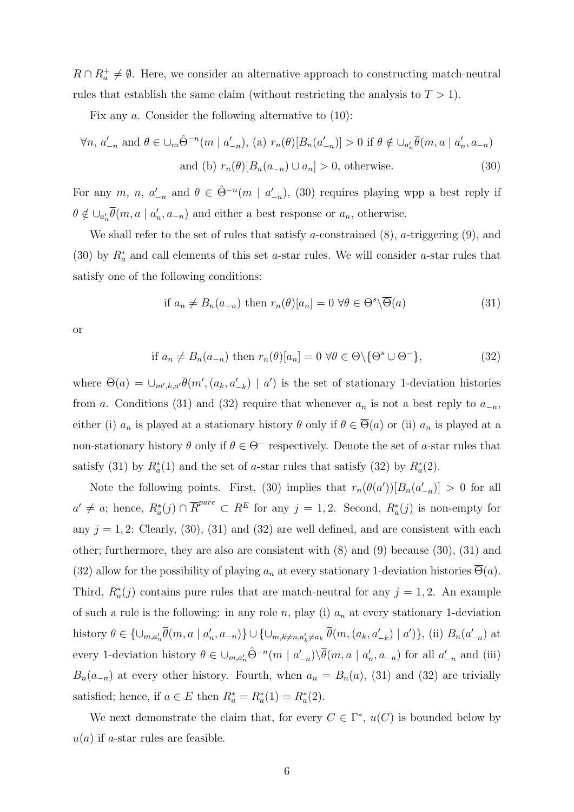$R \cap R_a^+ \neq \emptyset$ . Here, we consider an alternative approach to constructing match-neutral rules that establish the same claim (without restricting the analysis to  $T > 1$ ).

Fix any a. Consider the following alternative to (10):

$$
\forall n, a'_{-n} \text{ and } \theta \in \bigcup_m \hat{\Theta}^{-n}(m \mid a'_{-n}), \text{ (a) } r_n(\theta)[B_n(a'_{-n})] > 0 \text{ if } \theta \notin \bigcup_{a'_n} \overline{\theta}(m, a \mid a'_n, a_{-n})
$$
  
and (b)  $r_n(\theta)[B_n(a_{-n}) \cup a_n] > 0$ , otherwise. (30)

For any m, n,  $a'_{-n}$  and  $\theta \in \hat{\Theta}^{-n}(m \mid a'_{-n})$ , (30) requires playing wpp a best reply if  $\theta \notin \bigcup_{a'_n} \overline{\theta}(m, a \mid a'_n, a_{-n})$  and either a best response or  $a_n$ , otherwise.

We shall refer to the set of rules that satisfy a-constrained  $(8)$ , a-triggering  $(9)$ , and (30) by  $R_a^*$  and call elements of this set a-star rules. We will consider a-star rules that satisfy one of the following conditions:

if 
$$
a_n \neq B_n(a_{-n})
$$
 then  $r_n(\theta)[a_n] = 0 \ \forall \theta \in \Theta^s \backslash \overline{\Theta}(a)$  (31)

or

if 
$$
a_n \neq B_n(a_{-n})
$$
 then  $r_n(\theta)[a_n] = 0 \ \forall \theta \in \Theta \setminus \{\Theta^s \cup \Theta^-\},$  (32)

where  $\overline{\Theta}(a) = \cup_{m',k,a'} \overline{\theta}(m', (a_k, a'_{-k}) | a')$  is the set of stationary 1-deviation histories from a. Conditions (31) and (32) require that whenever  $a_n$  is not a best reply to  $a_{-n}$ , either (i)  $a_n$  is played at a stationary history  $\theta$  only if  $\theta \in \overline{\Theta}(a)$  or (ii)  $a_n$  is played at a non-stationary history  $\theta$  only if  $\theta \in \Theta^-$  respectively. Denote the set of a-star rules that satisfy (31) by  $R_a^*(1)$  and the set of a-star rules that satisfy (32) by  $R_a^*(2)$ .

Note the following points. First, (30) implies that  $r_n(\theta(a'))[B_n(a'_{-n})] > 0$  for all  $a' \neq a$ ; hence,  $R_a^*(j) \cap \overline{R}^{pure} \subset R^E$  for any  $j = 1, 2$ . Second,  $R_a^*(j)$  is non-empty for any  $j = 1, 2$ : Clearly, (30), (31) and (32) are well defined, and are consistent with each other; furthermore, they are also are consistent with (8) and (9) because (30), (31) and (32) allow for the possibility of playing  $a_n$  at every stationary 1-deviation histories  $\Theta(a)$ . Third,  $R_a^*(j)$  contains pure rules that are match-neutral for any  $j = 1, 2$ . An example of such a rule is the following: in any role n, play (i)  $a_n$  at every stationary 1-deviation history  $\theta \in \{\cup_{m,a'_n} \overline{\theta}(m,a \mid a'_n,a_{-n})\} \cup \{\cup_{m,k\neq n,a'_k\neq a_k} \overline{\theta}(m,(a_k,a'_{-k}) \mid a')\},\$  (ii)  $B_n(a'_{-n})$  at every 1-deviation history  $\theta \in \bigcup_{m,a'_n} \hat{\Theta}^{-n} (m \mid a'_{-n}) \setminus \overline{\theta}(m, a \mid a'_n, a_{-n})$  for all  $a'_{-n}$  and (iii)  $B_n(a_{-n})$  at every other history. Fourth, when  $a_n = B_n(a)$ , (31) and (32) are trivially satisfied; hence, if  $a \in E$  then  $R_a^* = R_a^*(1) = R_a^*(2)$ .

We next demonstrate the claim that, for every  $C \in \Gamma^*$ ,  $u(C)$  is bounded below by  $u(a)$  if a-star rules are feasible.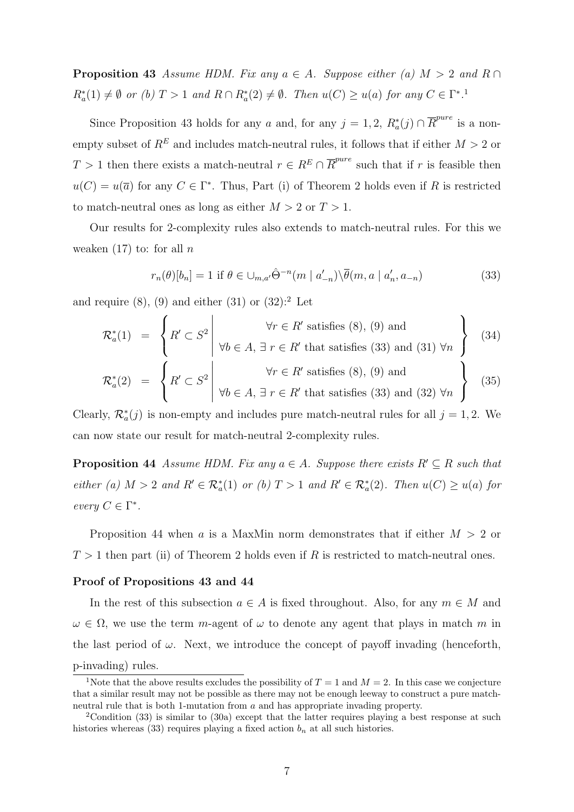**Proposition 43** Assume HDM. Fix any  $a \in A$ . Suppose either (a)  $M > 2$  and  $R \cap$  $R_a^*(1) \neq \emptyset$  or (b)  $T > 1$  and  $R \cap R_a^*(2) \neq \emptyset$ . Then  $u(C) \geq u(a)$  for any  $C \in \Gamma^*$ .

Since Proposition 43 holds for any a and, for any  $j = 1, 2, R_a^*(j) \cap \overline{R}^{pure}$  is a nonempty subset of  $R^E$  and includes match-neutral rules, it follows that if either  $M > 2$  or  $T > 1$  then there exists a match-neutral  $r \in R^E \cap \overline{R}^{pure}$  such that if r is feasible then  $u(C) = u(\overline{a})$  for any  $C \in \Gamma^*$ . Thus, Part (i) of Theorem 2 holds even if R is restricted to match-neutral ones as long as either  $M > 2$  or  $T > 1$ .

Our results for 2-complexity rules also extends to match-neutral rules. For this we weaken  $(17)$  to: for all n

$$
r_n(\theta)[b_n] = 1 \text{ if } \theta \in \bigcup_{m,a'} \hat{\Theta}^{-n}(m \mid a'_{-n}) \backslash \overline{\theta}(m, a \mid a'_n, a_{-n})
$$
\n(33)

and require  $(8)$ ,  $(9)$  and either  $(31)$  or  $(32)$ :<sup>2</sup> Let

$$
\mathcal{R}_a^*(1) = \left\{ R' \subset S^2 \middle| \forall r \in R' \text{ satisfies (8), (9) and} \right\} \quad (34)
$$
  

$$
\mathcal{R}_a^*(2) = \left\{ R' \subset S^2 \middle| \forall b \in A, \exists r \in R' \text{ that satisfies (33) and (31) } \forall n \right\} \quad (34)
$$
  

$$
\forall r \in R' \text{ satisfies (8), (9) and} \quad \forall r \in R' \text{ satisfies (33) and (32) } \forall n \right\} \quad (35)
$$

Clearly,  $\mathcal{R}_a^*(j)$  is non-empty and includes pure match-neutral rules for all  $j = 1, 2$ . We can now state our result for match-neutral 2-complexity rules.

**Proposition 44** Assume HDM. Fix any  $a \in A$ . Suppose there exists  $R' \subseteq R$  such that either (a)  $M > 2$  and  $R' \in \mathcal{R}_a^*(1)$  or (b)  $T > 1$  and  $R' \in \mathcal{R}_a^*(2)$ . Then  $u(C) \geq u(a)$  for every  $C \in \Gamma^*$ .

Proposition 44 when a is a MaxMin norm demonstrates that if either  $M > 2$  or  $T > 1$  then part (ii) of Theorem 2 holds even if R is restricted to match-neutral ones.

#### Proof of Propositions 43 and 44

In the rest of this subsection  $a \in A$  is fixed throughout. Also, for any  $m \in M$  and  $\omega \in \Omega$ , we use the term m-agent of  $\omega$  to denote any agent that plays in match m in the last period of  $\omega$ . Next, we introduce the concept of payoff invading (henceforth, p-invading) rules.

<sup>&</sup>lt;sup>1</sup>Note that the above results excludes the possibility of  $T = 1$  and  $M = 2$ . In this case we conjecture that a similar result may not be possible as there may not be enough leeway to construct a pure matchneutral rule that is both 1-mutation from a and has appropriate invading property.

<sup>2</sup>Condition (33) is similar to (30a) except that the latter requires playing a best response at such histories whereas (33) requires playing a fixed action  $b_n$  at all such histories.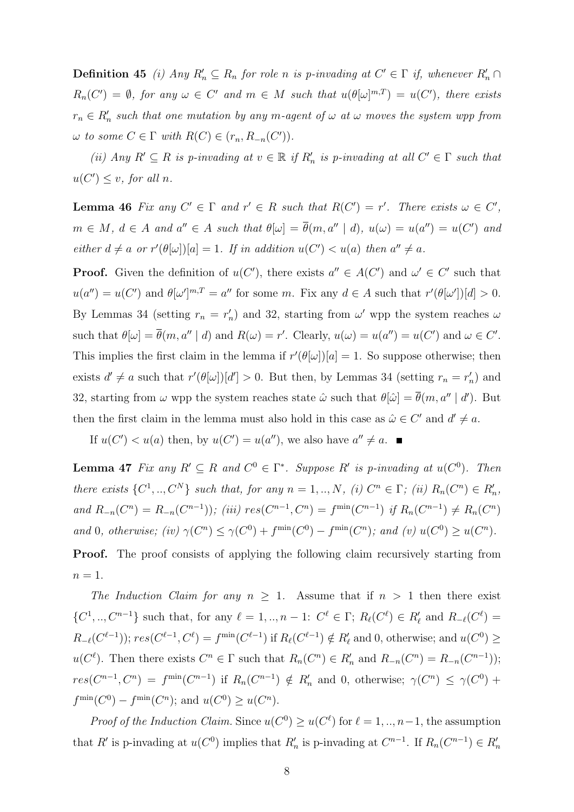**Definition 45** (i) Any  $R'_n \subseteq R_n$  for role n is p-invading at  $C' \in \Gamma$  if, whenever  $R'_n \cap$  $R_n(C') = \emptyset$ , for any  $\omega \in C'$  and  $m \in M$  such that  $u(\theta[\omega]^{m,T}) = u(C')$ , there exists  $r_n \in R'_n$  such that one mutation by any m-agent of  $\omega$  at  $\omega$  moves the system wpp from  $\omega$  to some  $C \in \Gamma$  with  $R(C) \in (r_n, R_{-n}(C'))$ .

(ii) Any  $R' \subseteq R$  is p-invading at  $v \in \mathbb{R}$  if  $R'_n$  is p-invading at all  $C' \in \Gamma$  such that  $u(C') \leq v$ , for all n.

**Lemma 46** Fix any  $C' \in \Gamma$  and  $r' \in R$  such that  $R(C') = r'$ . There exists  $\omega \in C'$ ,  $m \in M$ ,  $d \in A$  and  $a'' \in A$  such that  $\theta[\omega] = \overline{\theta}(m, a'' \mid d)$ ,  $u(\omega) = u(a'') = u(C')$  and either  $d \neq a$  or  $r'(\theta[\omega])[a] = 1$ . If in addition  $u(C') < u(a)$  then  $a'' \neq a$ .

**Proof.** Given the definition of  $u(C')$ , there exists  $a'' \in A(C')$  and  $\omega' \in C'$  such that  $u(a'') = u(C')$  and  $\theta[\omega']^{m,T} = a''$  for some m. Fix any  $d \in A$  such that  $r'(\theta[\omega'])[d] > 0$ . By Lemmas 34 (setting  $r_n = r'_n$ ) and 32, starting from  $\omega'$  wpp the system reaches  $\omega$ such that  $\theta[\omega] = \overline{\theta}(m, a'' \mid d)$  and  $R(\omega) = r'$ . Clearly,  $u(\omega) = u(a'') = u(C')$  and  $\omega \in C'$ . This implies the first claim in the lemma if  $r'(\theta[\omega])[a] = 1$ . So suppose otherwise; then exists  $d' \neq a$  such that  $r'(\theta[\omega])[d'] > 0$ . But then, by Lemmas 34 (setting  $r_n = r'_n$ ) and 32, starting from  $\omega$  wpp the system reaches state  $\hat{\omega}$  such that  $\theta[\hat{\omega}] = \overline{\theta}(m, a'' | d')$ . But then the first claim in the lemma must also hold in this case as  $\hat{\omega} \in C'$  and  $d' \neq a$ .

If  $u(C') < u(a)$  then, by  $u(C') = u(a'')$ , we also have  $a'' \neq a$ .

**Lemma 47** Fix any  $R' \subseteq R$  and  $C^0 \in \Gamma^*$ . Suppose R' is p-invading at  $u(C^0)$ . Then there exists  $\{C^1, ..., C^N\}$  such that, for any  $n = 1, ..., N$ , (i)  $C^n \in \Gamma$ ; (ii)  $R_n(C^n) \in R'_n$ , and  $R_{-n}(C^n) = R_{-n}(C^{n-1})$ ; (iii)  $res(C^{n-1}, C^n) = f^{min}(C^{n-1})$  if  $R_n(C^{n-1}) \neq R_n(C^n)$ and 0, otherwise; (iv)  $\gamma(C^n) \leq \gamma(C^0) + f^{\min}(C^0) - f^{\min}(C^n)$ ; and (v)  $u(C^0) \geq u(C^n)$ .

Proof. The proof consists of applying the following claim recursively starting from  $n=1$ .

The Induction Claim for any  $n \geq 1$ . Assume that if  $n > 1$  then there exist  $\{C^1, ..., C^{n-1}\}\$  such that, for any  $\ell = 1, ..., n-1$ :  $C^{\ell} \in \Gamma$ ;  $R_{\ell}(C^{\ell}) \in R'_{\ell}$  and  $R_{-\ell}(C^{\ell}) =$  $R_{-\ell}(C^{\ell-1})$ ;  $res(C^{\ell-1}, C^{\ell}) = f^{\min}(C^{\ell-1})$  if  $R_{\ell}(C^{\ell-1}) \notin R'_{\ell}$  and 0, otherwise; and  $u(C^0) \ge$  $u(C^{\ell})$ . Then there exists  $C^n \in \Gamma$  such that  $R_n(C^n) \in R'_n$  and  $R_{-n}(C^n) = R_{-n}(C^{n-1})$ ;  $res(C^{n-1}, C^n) = f^{\min}(C^{n-1})$  if  $R_n(C^{n-1}) \notin R'_n$  and 0, otherwise;  $\gamma(C^n) \leq \gamma(C^0) +$  $f^{\min}(C^0) - f^{\min}(C^n)$ ; and  $u(C^0) \ge u(C^n)$ .

*Proof of the Induction Claim.* Since  $u(C^0) \ge u(C^{\ell})$  for  $\ell = 1, ..., n-1$ , the assumption that R' is p-invading at  $u(C^0)$  implies that  $R'_n$  is p-invading at  $C^{n-1}$ . If  $R_n(C^{n-1}) \in R'_n$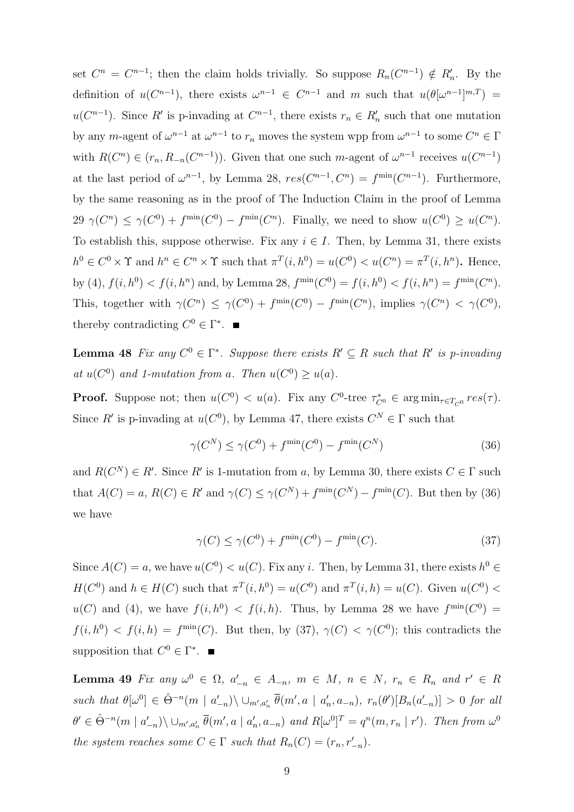set  $C^n = C^{n-1}$ ; then the claim holds trivially. So suppose  $R_n(C^{n-1}) \notin R'_n$ . By the definition of  $u(C^{n-1})$ , there exists  $\omega^{n-1} \in C^{n-1}$  and m such that  $u(\theta[\omega^{n-1}]^{m,T}) =$  $u(C^{n-1})$ . Since R' is p-invading at  $C^{n-1}$ , there exists  $r_n \in R'_n$  such that one mutation by any m-agent of  $\omega^{n-1}$  at  $\omega^{n-1}$  to  $r_n$  moves the system wpp from  $\omega^{n-1}$  to some  $C^n \in \Gamma$ with  $R(C^n) \in (r_n, R_{-n}(C^{n-1}))$ . Given that one such m-agent of  $\omega^{n-1}$  receives  $u(C^{n-1})$ at the last period of  $\omega^{n-1}$ , by Lemma 28,  $res(C^{n-1}, C^n) = f^{min}(C^{n-1})$ . Furthermore, by the same reasoning as in the proof of The Induction Claim in the proof of Lemma 29  $\gamma(C^n) \leq \gamma(C^0) + f^{\min}(C^0) - f^{\min}(C^n)$ . Finally, we need to show  $u(C^0) \geq u(C^n)$ . To establish this, suppose otherwise. Fix any  $i \in I$ . Then, by Lemma 31, there exists  $h^0 \in C^0 \times \Upsilon$  and  $h^n \in C^n \times \Upsilon$  such that  $\pi^T(i, h^0) = u(C^0) < u(C^n) = \pi^T(i, h^n)$ . Hence, by (4),  $f(i, h^0) < f(i, h^n)$  and, by Lemma 28,  $f^{\min}(C^0) = f(i, h^0) < f(i, h^n) = f^{\min}(C^n)$ . This, together with  $\gamma(C^n) \leq \gamma(C^0) + f^{\min}(C^0) - f^{\min}(C^n)$ , implies  $\gamma(C^n) < \gamma(C^0)$ , thereby contradicting  $C^0 \in \Gamma^*$ .

**Lemma 48** Fix any  $C^0 \in \Gamma^*$ . Suppose there exists  $R' \subseteq R$  such that  $R'$  is p-invading at  $u(C^0)$  and 1-mutation from a. Then  $u(C^0) \geq u(a)$ .

**Proof.** Suppose not; then  $u(C^0) < u(a)$ . Fix any  $C^0$ -tree  $\tau_{C^0}^* \in \arg\min_{\tau \in T_{C^0}} res(\tau)$ . Since R' is p-invading at  $u(C^0)$ , by Lemma 47, there exists  $C^N \in \Gamma$  such that

$$
\gamma(C^N) \le \gamma(C^0) + f^{\min}(C^0) - f^{\min}(C^N)
$$
\n(36)

and  $R(C^N) \in R'$ . Since R' is 1-mutation from a, by Lemma 30, there exists  $C \in \Gamma$  such that  $A(C) = a, R(C) \in R'$  and  $\gamma(C) \leq \gamma(C^N) + f^{\min}(C^N) - f^{\min}(C)$ . But then by (36) we have

$$
\gamma(C) \le \gamma(C^0) + f^{\min}(C^0) - f^{\min}(C). \tag{37}
$$

Since  $A(C) = a$ , we have  $u(C^0) < u(C)$ . Fix any *i*. Then, by Lemma 31, there exists  $h^0 \in$  $H(C^0)$  and  $h \in H(C)$  such that  $\pi^T(i, h^0) = u(C^0)$  and  $\pi^T(i, h) = u(C)$ . Given  $u(C^0)$  $u(C)$  and (4), we have  $f(i, h^0) < f(i, h)$ . Thus, by Lemma 28 we have  $f^{\min}(C^0)$  =  $f(i, h^0) < f(i, h) = f^{\min}(C)$ . But then, by (37),  $\gamma(C) < \gamma(C^0)$ ; this contradicts the supposition that  $C^0 \in \Gamma^*$ .

**Lemma 49** Fix any  $\omega^0 \in \Omega$ ,  $a'_{-n} \in A_{-n}$ ,  $m \in M$ ,  $n \in N$ ,  $r_n \in R_n$  and  $r' \in R$ such that  $\theta[\omega^0] \in \hat{\Theta}^{-n}(m \mid a'_{-n}) \setminus \cup_{m',a'_n} \overline{\theta}(m',a \mid a'_n,a_{-n}), r_n(\theta')[B_n(a'_{-n})] > 0$  for all  $\theta' \in \hat{\Theta}^{-n}(m \mid a'_{-n}) \setminus \cup_{m',a'_{n}} \overline{\theta}(m', a \mid a'_{n}, a_{-n})$  and  $R[\omega^0]^T = q^n(m, r_n \mid r')$ . Then from  $\omega^0$ the system reaches some  $C \in \Gamma$  such that  $R_n(C) = (r_n, r'_{-n}).$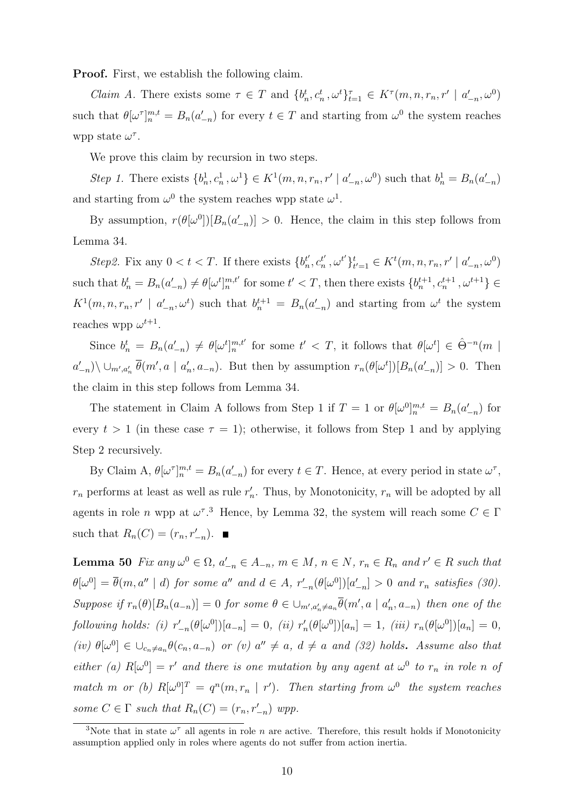Proof. First, we establish the following claim.

*Claim A.* There exists some  $\tau \in T$  and  $\{b_n^t, c_n^t, \omega^t\}_{t=1}^{\tau} \in K^{\tau}(m, n, r_n, r' \mid a_{-n}', \omega^0)$ such that  $\theta[\omega^{\tau}]_{n}^{m,t} = B_{n}(a'_{-n})$  for every  $t \in T$  and starting from  $\omega^{0}$  the system reaches wpp state  $\omega^{\tau}$ .

We prove this claim by recursion in two steps.

Step 1. There exists  $\{b_n^1, c_n^1, \omega^1\} \in K^1(m, n, r_n, r' \mid a'_{-n}, \omega^0)$  such that  $b_n^1 = B_n(a'_{-n})$ and starting from  $\omega^0$  the system reaches wpp state  $\omega^1$ .

By assumption,  $r(\theta[\omega^0])[B_n(a'_{-n})] > 0$ . Hence, the claim in this step follows from Lemma 34.

Step2. Fix any  $0 < t < T$ . If there exists  ${b_n^{t}}'$  $t'_n, c_n^{t'}$  $\{x_n^{t'}, \omega^{t'}\}_{t'=1}^t \in K^t(m, n, r_n, r' \mid a'_{-n}, \omega^0)$ such that  $b_n^t = B_n(a'_{-n}) \neq \theta[\omega^t]_n^{m,t'}$  for some  $t' < T$ , then there exists  $\{b_n^{t+1}, c_n^{t+1}, \omega^{t+1}\} \in$  $K^1(m, n, r_n, r' \mid a'_{-n}, \omega^t)$  such that  $b_n^{t+1} = B_n(a'_{-n})$  and starting from  $\omega^t$  the system reaches wpp  $\omega^{t+1}$ .

Since  $b_n^t = B_n(a_{-n}') \neq \theta[\omega^t]_n^{m,t'}$  for some  $t' < T$ , it follows that  $\theta[\omega^t] \in \hat{\Theta}^{-n}(m)$  $a'_{-n}$ )  $\setminus \cup_{m',a'_n} \bar{\theta}(m',a \mid a'_n,a_{-n})$ . But then by assumption  $r_n(\theta[\omega^t])[B_n(a'_{-n})] > 0$ . Then the claim in this step follows from Lemma 34.

The statement in Claim A follows from Step 1 if  $T = 1$  or  $\theta[\omega_{n}^{0}]_{n}^{m,t} = B_{n}(a'_{-n})$  for every  $t > 1$  (in these case  $\tau = 1$ ); otherwise, it follows from Step 1 and by applying Step 2 recursively.

By Claim A,  $\theta[\omega^{\tau}]_{n}^{m,t} = B_{n}(a'_{-n})$  for every  $t \in T$ . Hence, at every period in state  $\omega^{\tau}$ ,  $r_n$  performs at least as well as rule  $r'_n$ . Thus, by Monotonicity,  $r_n$  will be adopted by all agents in role *n* wpp at  $\omega^{\tau}$ .<sup>3</sup> Hence, by Lemma 32, the system will reach some  $C \in \Gamma$ such that  $R_n(C) = (r_n, r'_{-n}).$ 

**Lemma 50** Fix any  $\omega^0 \in \Omega$ ,  $a'_{-n} \in A_{-n}$ ,  $m \in M$ ,  $n \in N$ ,  $r_n \in R_n$  and  $r' \in R$  such that  $\theta[\omega^0] = \overline{\theta}(m, a'' \mid d)$  for some a" and  $d \in A$ ,  $r'_{-n}(\theta[\omega^0])[a'_{-n}] > 0$  and  $r_n$  satisfies (30). Suppose if  $r_n(\theta)[B_n(a_{-n})] = 0$  for some  $\theta \in \bigcup_{m',a'_n \neq a_n} \overline{\theta}(m',a \mid a'_n,a_{-n})$  then one of the  $\text{following holds:} \,\, (i) \,\, r'_{-n}(\theta[\omega^0])[a_{-n}]=0, \,\, (ii) \,\, r'_n(\theta[\omega^0])[a_n]=1, \,\, (iii) \,\, r_n(\theta[\omega^0])[a_n]=0,$ (iv)  $\theta[\omega^0] \in \bigcup_{c_n \neq a_n} \theta(c_n, a_{-n})$  or (v)  $a'' \neq a$ ,  $d \neq a$  and (32) holds. Assume also that either (a)  $R[\omega^0] = r'$  and there is one mutation by any agent at  $\omega^0$  to  $r_n$  in role n of match m or (b)  $R[\omega^0]^T = q^n(m, r_n | r')$ . Then starting from  $\omega^0$  the system reaches some  $C \in \Gamma$  such that  $R_n(C) = (r_n, r'_{-n})$  wpp.

<sup>&</sup>lt;sup>3</sup>Note that in state  $\omega^{\tau}$  all agents in role *n* are active. Therefore, this result holds if Monotonicity assumption applied only in roles where agents do not suffer from action inertia.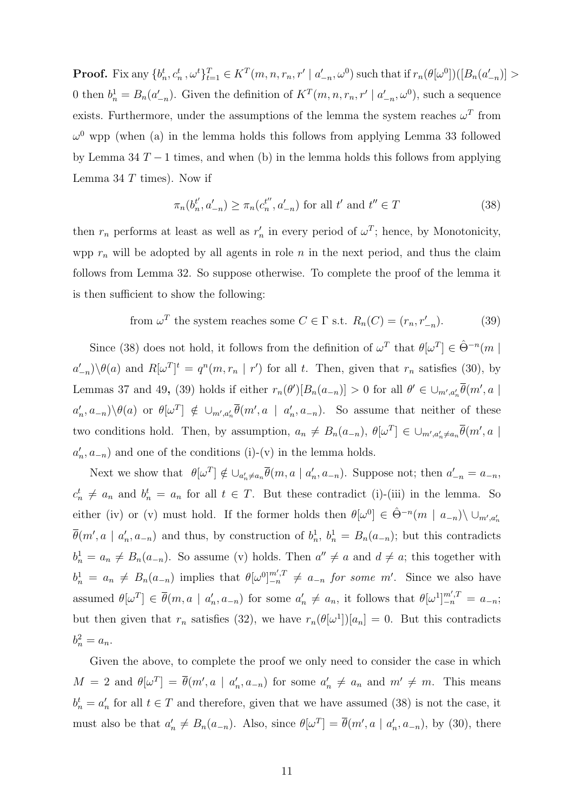**Proof.** Fix any  $\{b_n^t, c_n^t, \omega^t\}_{t=1}^T \in K^T(m, n, r_n, r' \mid a_{-n}', \omega^0)$  such that if  $r_n(\theta[\omega^0])([B_n(a_{-n}']) >$ 0 then  $b_n^1 = B_n(a'_{-n})$ . Given the definition of  $K^T(m, n, r_n, r' | a'_{-n}, \omega^0)$ , such a sequence exists. Furthermore, under the assumptions of the lemma the system reaches  $\omega^T$  from  $\omega^0$  wpp (when (a) in the lemma holds this follows from applying Lemma 33 followed by Lemma 34  $T - 1$  times, and when (b) in the lemma holds this follows from applying Lemma 34  $T$  times). Now if

$$
\pi_n(b_n^{t'}, a'_{-n}) \ge \pi_n(c_n^{t''}, a'_{-n}) \text{ for all } t' \text{ and } t'' \in T
$$
\n(38)

then  $r_n$  performs at least as well as  $r'_n$  in every period of  $\omega^T$ ; hence, by Monotonicity, wpp  $r_n$  will be adopted by all agents in role n in the next period, and thus the claim follows from Lemma 32. So suppose otherwise. To complete the proof of the lemma it is then sufficient to show the following:

from 
$$
\omega^T
$$
 the system reaches some  $C \in \Gamma$  s.t.  $R_n(C) = (r_n, r'_{-n}).$  (39)

Since (38) does not hold, it follows from the definition of  $\omega^T$  that  $\theta[\omega^T] \in \hat{\Theta}^{-n}(m)$  $a'_{-n}$ ) $\setminus \theta(a)$  and  $R[\omega^T]^t = q^n(m, r_n | r')$  for all t. Then, given that  $r_n$  satisfies (30), by Lemmas 37 and 49, (39) holds if either  $r_n(\theta')[B_n(a_{-n})] > 0$  for all  $\theta' \in \bigcup_{m',a'_n} \overline{\theta}(m',a)$  $a'_n, a_{-n} \setminus \theta(a)$  or  $\theta[\omega^T] \notin \cup_{m',a'_n} \overline{\theta}(m', a \mid a'_n, a_{-n}).$  So assume that neither of these two conditions hold. Then, by assumption,  $a_n \neq B_n(a_{-n}), \theta[\omega^T] \in \bigcup_{m',a'_n \neq a_n} \overline{\theta}(m',a)$  $a'_n, a_{-n}$  and one of the conditions (i)-(v) in the lemma holds.

Next we show that  $\theta[\omega^T] \notin \bigcup_{a'_n \neq a_n} \overline{\theta}(m, a \mid a'_n, a_{-n})$ . Suppose not; then  $a'_{-n} = a_{-n}$ ,  $c_n^t \neq a_n$  and  $b_n^t = a_n$  for all  $t \in T$ . But these contradict (i)-(iii) in the lemma. So either (iv) or (v) must hold. If the former holds then  $\theta[\omega^0] \in \hat{\Theta}^{-n}(m \mid a_{-n}) \setminus \cup_{m',a'_n}$  $\overline{\theta}(m', a \mid a'_n, a_{-n})$  and thus, by construction of  $b_n^1$ ,  $b_n^1 = B_n(a_{-n})$ ; but this contradicts  $b_n^1 = a_n \neq B_n(a_{-n})$ . So assume (v) holds. Then  $a'' \neq a$  and  $d \neq a$ ; this together with  $b_n^1 = a_n \neq B_n(a_{-n})$  implies that  $\theta[\omega^0]_{-n}^{m',T} \neq a_{-n}$  for some m'. Since we also have assumed  $\theta[\omega^T] \in \overline{\theta}(m, a \mid a'_n, a_{-n})$  for some  $a'_n \neq a_n$ , it follows that  $\theta[\omega^1]_{-n}^{m', T} = a_{-n};$ but then given that  $r_n$  satisfies (32), we have  $r_n(\theta[\omega^1])[a_n]=0$ . But this contradicts  $b_n^2 = a_n.$ 

Given the above, to complete the proof we only need to consider the case in which  $M = 2$  and  $\theta[\omega^T] = \overline{\theta}(m', a \mid a'_n, a_{-n})$  for some  $a'_n \neq a_n$  and  $m' \neq m$ . This means  $b_n^t = a_n^t$  for all  $t \in T$  and therefore, given that we have assumed (38) is not the case, it must also be that  $a'_n \neq B_n(a_{-n})$ . Also, since  $\theta[\omega^T] = \overline{\theta}(m', a \mid a'_n, a_{-n})$ , by (30), there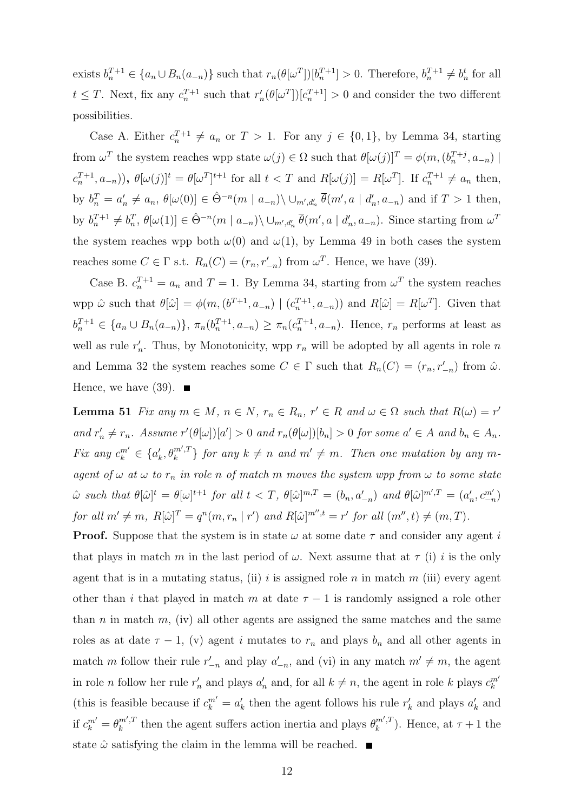exists  $b_n^{T+1} \in \{a_n \cup B_n(a_{-n})\}$  such that  $r_n(\theta[\omega^T])[b_n^{T+1}] > 0$ . Therefore,  $b_n^{T+1} \neq b_n^t$  for all  $t \leq T$ . Next, fix any  $c_n^{T+1}$  such that  $r'_n(\theta[\omega^T])[c_n^{T+1}] > 0$  and consider the two different possibilities.

Case A. Either  $c_n^{T+1} \neq a_n$  or  $T > 1$ . For any  $j \in \{0, 1\}$ , by Lemma 34, starting from  $\omega^T$  the system reaches wpp state  $\omega(j) \in \Omega$  such that  $\theta[\omega(j)]^T = \phi(m, (b_n^{T+j}, a_{-n})$  $(c_n^{T+1}, a_{-n}), \ \theta[\omega(j)]^t = \theta[\omega^T]^{t+1}$  for all  $t < T$  and  $R[\omega(j)] = R[\omega^T]$ . If  $c_n^{T+1} \neq a_n$  then, by  $b_n^T = a'_n \neq a_n$ ,  $\theta[\omega(0)] \in \hat{\Theta}^{-n}(m \mid a_{-n}) \setminus \cup_{m',d'_n} \overline{\theta}(m',a \mid d'_n,a_{-n})$  and if  $T > 1$  then, by  $b_n^{T+1} \neq b_n^T$ ,  $\theta[\omega(1)] \in \hat{\Theta}^{-n}(m \mid a_{-n}) \setminus \cup_{m',d'_n} \overline{\theta}(m', a \mid d'_n, a_{-n})$ . Since starting from  $\omega^T$ the system reaches wpp both  $\omega(0)$  and  $\omega(1)$ , by Lemma 49 in both cases the system reaches some  $C \in \Gamma$  s.t.  $R_n(C) = (r_n, r'_{-n})$  from  $\omega^T$ . Hence, we have (39).

Case B.  $c_n^{T+1} = a_n$  and  $T = 1$ . By Lemma 34, starting from  $\omega^T$  the system reaches wpp  $\hat{\omega}$  such that  $\theta[\hat{\omega}] = \phi(m, (b^{T+1}, a_{-n}) \mid (c_n^{T+1}, a_{-n}))$  and  $R[\hat{\omega}] = R[\omega^T]$ . Given that  $b_n^{T+1} \in \{a_n \cup B_n(a_{-n})\}, \pi_n(b_n^{T+1}, a_{-n}) \geq \pi_n(c_n^{T+1}, a_{-n})$ . Hence,  $r_n$  performs at least as well as rule  $r'_n$ . Thus, by Monotonicity, wpp  $r_n$  will be adopted by all agents in role n and Lemma 32 the system reaches some  $C \in \Gamma$  such that  $R_n(C) = (r_n, r'_{-n})$  from  $\hat{\omega}$ . Hence, we have  $(39)$ .

**Lemma 51** Fix any  $m \in M$ ,  $n \in N$ ,  $r_n \in R_n$ ,  $r' \in R$  and  $\omega \in \Omega$  such that  $R(\omega) = r'$ and  $r'_n \neq r_n$ . Assume  $r'(\theta[\omega])[a'] > 0$  and  $r_n(\theta[\omega])[b_n] > 0$  for some  $a' \in A$  and  $b_n \in A_n$ . *Fix any*  $c_k^{m'} \in \{a'_k, \theta_k^{m', T}\}$  $\binom{m',T}{k}$  for any  $k \neq n$  and  $m' \neq m$ . Then one mutation by any magent of  $\omega$  at  $\omega$  to  $r_n$  in role n of match m moves the system wpp from  $\omega$  to some state  $\hat{\omega}$  such that  $\theta[\hat{\omega}]^t = \theta[\omega]^{t+1}$  for all  $t < T$ ,  $\theta[\hat{\omega}]^{m,T} = (b_n, a'_{-n})$  and  $\theta[\hat{\omega}]^{m',T} = (a'_n, c^{m'}_{-n})$ for all  $m' \neq m$ ,  $R[\hat{\omega}]^T = q^n(m, r_n | r')$  and  $R[\hat{\omega}]^{m'',t} = r'$  for all  $(m'', t) \neq (m, T)$ .

**Proof.** Suppose that the system is in state  $\omega$  at some date  $\tau$  and consider any agent i that plays in match m in the last period of  $\omega$ . Next assume that at  $\tau$  (i) i is the only agent that is in a mutating status, (ii) i is assigned role n in match  $m$  (iii) every agent other than i that played in match m at date  $\tau - 1$  is randomly assigned a role other than *n* in match  $m$ , (iv) all other agents are assigned the same matches and the same roles as at date  $\tau$  − 1, (v) agent *i* mutates to  $r_n$  and plays  $b_n$  and all other agents in match m follow their rule  $r'_{-n}$  and play  $a'_{-n}$ , and (vi) in any match  $m' \neq m$ , the agent in role *n* follow her rule  $r'_n$  and plays  $a'_n$  and, for all  $k \neq n$ , the agent in role *k* plays  $c_k^{m'}$ (this is feasible because if  $c_k^{m'} = a'_k$  then the agent follows his rule  $r'_k$  and plays  $a'_k$  and if  $c_k^{m'} = \theta_k^{m',T}$  $\binom{m',T}{k}$  then the agent suffers action inertia and plays  $\theta_k^{m',T}$  $\binom{m',T}{k}$ . Hence, at  $\tau+1$  the state  $\hat{\omega}$  satisfying the claim in the lemma will be reached.  $\blacksquare$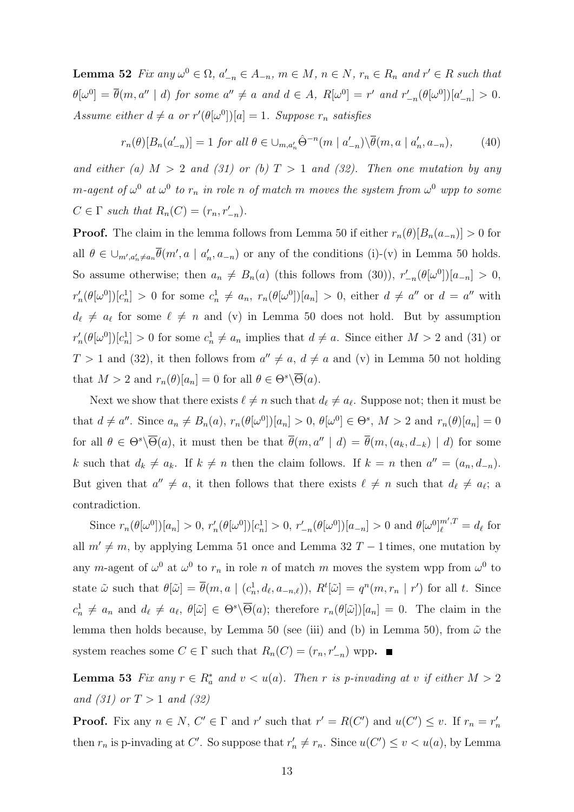**Lemma 52** Fix any  $\omega^0 \in \Omega$ ,  $a'_{-n} \in A_{-n}$ ,  $m \in M$ ,  $n \in N$ ,  $r_n \in R_n$  and  $r' \in R$  such that  $\theta[\omega^0] = \overline{\theta}(m, a'' \mid d)$  for some  $a'' \neq a$  and  $d \in A$ ,  $R[\omega^0] = r'$  and  $r'_{-n}(\theta[\omega^0])[a'_{-n}] > 0$ . Assume either  $d \neq a$  or  $r'(\theta[\omega^0])[a] = 1$ . Suppose  $r_n$  satisfies

$$
r_n(\theta)[B_n(a'_{-n})] = 1 \text{ for all } \theta \in \bigcup_{m,a'_n} \hat{\Theta}^{-n}(m \mid a'_{-n}) \setminus \overline{\theta}(m, a \mid a'_n, a_{-n}), \tag{40}
$$

and either (a)  $M > 2$  and (31) or (b)  $T > 1$  and (32). Then one mutation by any m-agent of  $\omega^0$  at  $\omega^0$  to  $r_n$  in role  $n$  of match  $m$  moves the system from  $\omega^0$  wpp to some  $C \in \Gamma$  such that  $R_n(C) = (r_n, r'_{-n}).$ 

**Proof.** The claim in the lemma follows from Lemma 50 if either  $r_n(\theta)[B_n(a_{-n})] > 0$  for all  $\theta \in \bigcup_{m',a'_n \neq a_n} \bar{\theta}(m',a \mid a'_n,a_{-n})$  or any of the conditions (i)-(v) in Lemma 50 holds. So assume otherwise; then  $a_n \neq B_n(a)$  (this follows from (30)),  $r'_{-n}(\theta[\omega^0])[a_{-n}] > 0$ ,  $r'_n(\theta[\omega^0])[c_n^1] > 0$  for some  $c_n^1 \neq a_n$ ,  $r_n(\theta[\omega^0])[a_n] > 0$ , either  $d \neq a''$  or  $d = a''$  with  $d_{\ell} \neq a_{\ell}$  for some  $\ell \neq n$  and (v) in Lemma 50 does not hold. But by assumption  $r'_n(\theta[\omega^0])[c_n^1] > 0$  for some  $c_n^1 \neq a_n$  implies that  $d \neq a$ . Since either  $M > 2$  and (31) or  $T > 1$  and (32), it then follows from  $a'' \neq a$ ,  $d \neq a$  and (v) in Lemma 50 not holding that  $M > 2$  and  $r_n(\theta)[a_n] = 0$  for all  $\theta \in \Theta^s \backslash \overline{\Theta}(a)$ .

Next we show that there exists  $\ell \neq n$  such that  $d_{\ell} \neq a_{\ell}$ . Suppose not; then it must be that  $d \neq a''$ . Since  $a_n \neq B_n(a)$ ,  $r_n(\theta[\omega^0])[a_n] > 0$ ,  $\theta[\omega^0] \in \Theta^s$ ,  $M > 2$  and  $r_n(\theta)[a_n] = 0$ for all  $\theta \in \Theta^s \backslash \overline{\Theta}(a)$ , it must then be that  $\overline{\theta}(m, a'' \mid d) = \overline{\theta}(m, (a_k, d_{-k}) \mid d)$  for some k such that  $d_k \neq a_k$ . If  $k \neq n$  then the claim follows. If  $k = n$  then  $a'' = (a_n, d_{-n})$ . But given that  $a'' \neq a$ , it then follows that there exists  $\ell \neq n$  such that  $d_{\ell} \neq a_{\ell}$ ; a contradiction.

Since  $r_n(\theta[\omega^0])[a_n] > 0$ ,  $r'_n(\theta[\omega^0])[c_n^1] > 0$ ,  $r'_{-n}(\theta[\omega^0])[a_{-n}] > 0$  and  $\theta[\omega^0]^{m',T}_{\ell} = d_{\ell}$  for all  $m' \neq m$ , by applying Lemma 51 once and Lemma 32 T – 1 times, one mutation by any m-agent of  $\omega^0$  at  $\omega^0$  to  $r_n$  in role n of match m moves the system wpp from  $\omega^0$  to state  $\tilde{\omega}$  such that  $\theta[\tilde{\omega}] = \overline{\theta}(m, a \mid (c_n^1, d_\ell, a_{-n,\ell}))$ ,  $R^t[\tilde{\omega}] = q^n(m, r_n \mid r')$  for all t. Since  $c_n^1 \neq a_n$  and  $d_\ell \neq a_\ell$ ,  $\theta[\tilde{\omega}] \in \Theta^s \setminus \overline{\Theta}(a)$ ; therefore  $r_n(\theta[\tilde{\omega}])[a_n] = 0$ . The claim in the lemma then holds because, by Lemma 50 (see (iii) and (b) in Lemma 50), from  $\tilde{\omega}$  the system reaches some  $C \in \Gamma$  such that  $R_n(C) = (r_n, r'_{-n})$  wpp.

**Lemma 53** Fix any  $r \in R_a^*$  and  $v < u(a)$ . Then r is p-invading at v if either  $M > 2$ and (31) or  $T > 1$  and (32)

**Proof.** Fix any  $n \in N$ ,  $C' \in \Gamma$  and  $r'$  such that  $r' = R(C')$  and  $u(C') \leq v$ . If  $r_n = r'_n$ then  $r_n$  is p-invading at C'. So suppose that  $r'_n \neq r_n$ . Since  $u(C') \leq v \lt u(a)$ , by Lemma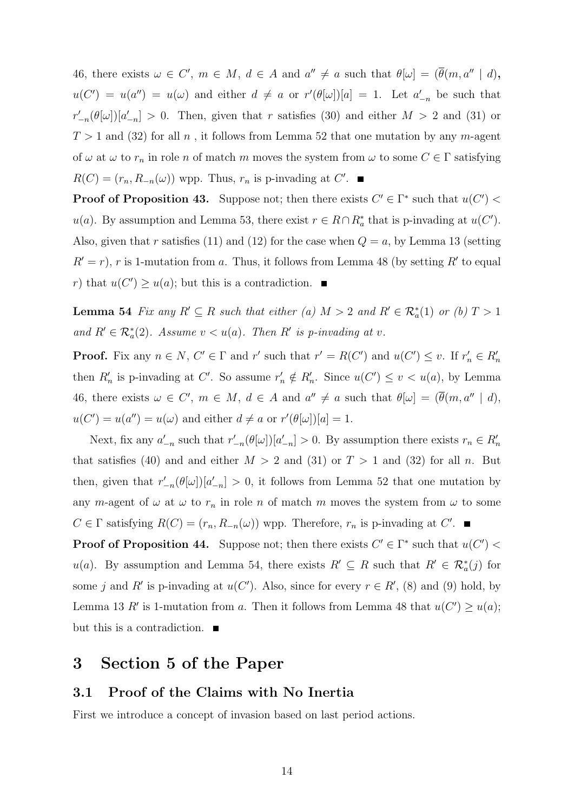46, there exists  $\omega \in C'$ ,  $m \in M$ ,  $d \in A$  and  $a'' \neq a$  such that  $\theta[\omega] = (\overline{\theta}(m, a'' \mid d))$ ,  $u(C') = u(a'') = u(\omega)$  and either  $d \neq a$  or  $r'(\theta[\omega])[a] = 1$ . Let  $a'_{-n}$  be such that  $r'_{-n}(\theta[\omega])[a'_{-n}] > 0$ . Then, given that r satisfies (30) and either  $M > 2$  and (31) or  $T > 1$  and (32) for all n, it follows from Lemma 52 that one mutation by any m-agent of  $\omega$  at  $\omega$  to  $r_n$  in role n of match m moves the system from  $\omega$  to some  $C \in \Gamma$  satisfying  $R(C) = (r_n, R_{-n}(\omega))$  wpp. Thus,  $r_n$  is p-invading at  $C'$ .

**Proof of Proposition 43.** Suppose not; then there exists  $C' \in \Gamma^*$  such that  $u(C')$  $u(a)$ . By assumption and Lemma 53, there exist  $r \in R \cap R_a^*$  that is p-invading at  $u(C')$ . Also, given that r satisfies (11) and (12) for the case when  $Q = a$ , by Lemma 13 (setting  $R' = r$ , r is 1-mutation from a. Thus, it follows from Lemma 48 (by setting R' to equal r) that  $u(C') \geq u(a)$ ; but this is a contradiction.

**Lemma 54** Fix any  $R' \subseteq R$  such that either (a)  $M > 2$  and  $R' \in \mathcal{R}_a^*(1)$  or (b)  $T > 1$ and  $R' \in \mathcal{R}_a^*(2)$ . Assume  $v < u(a)$ . Then  $R'$  is p-invading at v.

**Proof.** Fix any  $n \in N$ ,  $C' \in \Gamma$  and  $r'$  such that  $r' = R(C')$  and  $u(C') \leq v$ . If  $r'_n \in R'_n$ then  $R'_n$  is p-invading at C'. So assume  $r'_n \notin R'_n$ . Since  $u(C') \le v \lt u(a)$ , by Lemma 46, there exists  $\omega \in C'$ ,  $m \in M$ ,  $d \in A$  and  $a'' \neq a$  such that  $\theta[\omega] = (\overline{\theta}(m, a'' \mid d))$ ,  $u(C') = u(a'') = u(\omega)$  and either  $d \neq a$  or  $r'(\theta[\omega])[a] = 1$ .

Next, fix any  $a'_{-n}$  such that  $r'_{-n}(\theta[\omega])[a'_{-n}]>0$ . By assumption there exists  $r_n \in R'_n$ that satisfies (40) and and either  $M > 2$  and (31) or  $T > 1$  and (32) for all n. But then, given that  $r'_{-n}(\theta[\omega])[a'_{-n}] > 0$ , it follows from Lemma 52 that one mutation by any m-agent of  $\omega$  at  $\omega$  to  $r_n$  in role n of match m moves the system from  $\omega$  to some  $C \in \Gamma$  satisfying  $R(C) = (r_n, R_{-n}(\omega))$  wpp. Therefore,  $r_n$  is p-invading at  $C'$ .

**Proof of Proposition 44.** Suppose not; then there exists  $C' \in \Gamma^*$  such that  $u(C')$ u(a). By assumption and Lemma 54, there exists  $R' \subseteq R$  such that  $R' \in \mathcal{R}_a^*(j)$  for some j and R' is p-invading at  $u(C')$ . Also, since for every  $r \in R'$ , (8) and (9) hold, by Lemma 13 R' is 1-mutation from a. Then it follows from Lemma 48 that  $u(C') \geq u(a)$ ; but this is a contradiction.

### 3 Section 5 of the Paper

### 3.1 Proof of the Claims with No Inertia

First we introduce a concept of invasion based on last period actions.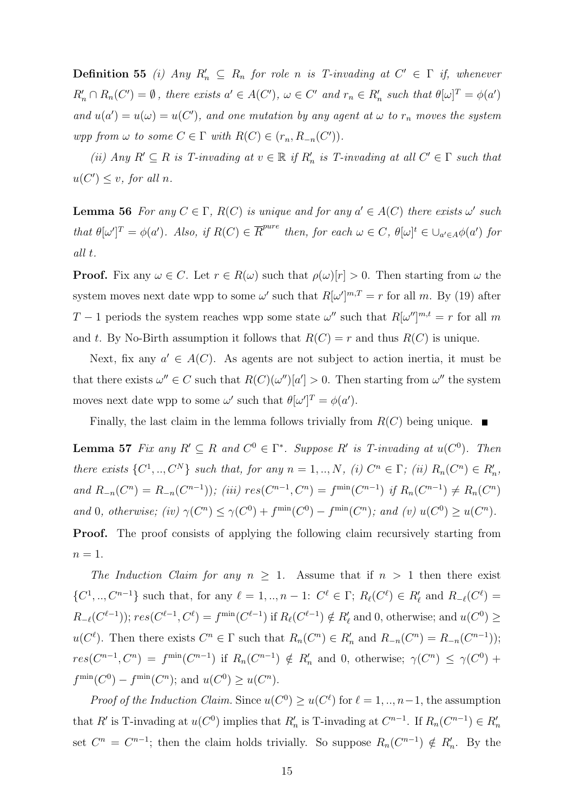**Definition 55** (i) Any  $R'_n \subseteq R_n$  for role n is T-invading at  $C' \in \Gamma$  if, whenever  $R'_n \cap R_n(C') = \emptyset$ , there exists  $a' \in A(C')$ ,  $\omega \in C'$  and  $r_n \in R'_n$  such that  $\theta[\omega]^T = \phi(a')$ and  $u(a') = u(\omega) = u(C')$ , and one mutation by any agent at  $\omega$  to  $r_n$  moves the system wpp from  $\omega$  to some  $C \in \Gamma$  with  $R(C) \in (r_n, R_{-n}(C'))$ .

(ii) Any  $R' \subseteq R$  is T-invading at  $v \in \mathbb{R}$  if  $R'_n$  is T-invading at all  $C' \in \Gamma$  such that  $u(C') \leq v$ , for all n.

**Lemma 56** For any  $C \in \Gamma$ ,  $R(C)$  is unique and for any  $a' \in A(C)$  there exists  $\omega'$  such that  $\theta[\omega']^T = \phi(a')$ . Also, if  $R(C) \in \overline{R}^{pure}$  then, for each  $\omega \in C$ ,  $\theta[\omega]^t \in \bigcup_{a' \in A} \phi(a')$  for all t.

**Proof.** Fix any  $\omega \in C$ . Let  $r \in R(\omega)$  such that  $\rho(\omega)[r] > 0$ . Then starting from  $\omega$  the system moves next date wpp to some  $\omega'$  such that  $R[\omega']^{m,T} = r$  for all m. By (19) after T – 1 periods the system reaches wpp some state  $\omega''$  such that  $R[\omega'']^{m,t} = r$  for all m and t. By No-Birth assumption it follows that  $R(C) = r$  and thus  $R(C)$  is unique.

Next, fix any  $a' \in A(C)$ . As agents are not subject to action inertia, it must be that there exists  $\omega'' \in C$  such that  $R(C)(\omega'')[a'] > 0$ . Then starting from  $\omega''$  the system moves next date wpp to some  $\omega'$  such that  $\theta[\omega']^T = \phi(a')$ .

Finally, the last claim in the lemma follows trivially from  $R(C)$  being unique.

**Lemma 57** Fix any  $R' \subseteq R$  and  $C^0 \in \Gamma^*$ . Suppose R' is T-invading at  $u(C^0)$ . Then there exists  $\{C^1, ..., C^N\}$  such that, for any  $n = 1, ..., N$ , (i)  $C^n \in \Gamma$ ; (ii)  $R_n(C^n) \in R'_n$ , and  $R_{-n}(C^n) = R_{-n}(C^{n-1})$ ; (iii)  $res(C^{n-1}, C^n) = f^{min}(C^{n-1})$  if  $R_n(C^{n-1}) \neq R_n(C^n)$ and 0, otherwise; (iv)  $\gamma(C^n) \leq \gamma(C^0) + f^{\min}(C^0) - f^{\min}(C^n)$ ; and (v)  $u(C^0) \geq u(C^n)$ .

Proof. The proof consists of applying the following claim recursively starting from  $n=1$ .

The Induction Claim for any  $n \geq 1$ . Assume that if  $n > 1$  then there exist  $\{C^1, ..., C^{n-1}\}\$  such that, for any  $\ell = 1, ..., n-1$ :  $C^{\ell} \in \Gamma$ ;  $R_{\ell}(C^{\ell}) \in R'_{\ell}$  and  $R_{-\ell}(C^{\ell}) =$  $R_{-\ell}(C^{\ell-1})$ ;  $res(C^{\ell-1}, C^{\ell}) = f^{\min}(C^{\ell-1})$  if  $R_{\ell}(C^{\ell-1}) \notin R'_{\ell}$  and 0, otherwise; and  $u(C^0) \ge$  $u(C^{\ell})$ . Then there exists  $C^n \in \Gamma$  such that  $R_n(C^n) \in R'_n$  and  $R_{-n}(C^n) = R_{-n}(C^{n-1})$ ;  $res(C^{n-1}, C^n) = f^{\min}(C^{n-1})$  if  $R_n(C^{n-1}) \notin R'_n$  and 0, otherwise;  $\gamma(C^n) \leq \gamma(C^0) +$  $f^{\min}(C^0) - f^{\min}(C^n)$ ; and  $u(C^0) \ge u(C^n)$ .

*Proof of the Induction Claim.* Since  $u(C^0) \ge u(C^{\ell})$  for  $\ell = 1, ..., n-1$ , the assumption that R' is T-invading at  $u(C^0)$  implies that  $R'_n$  is T-invading at  $C^{n-1}$ . If  $R_n(C^{n-1}) \in R'_n$ set  $C^n = C^{n-1}$ ; then the claim holds trivially. So suppose  $R_n(C^{n-1}) \notin R'_n$ . By the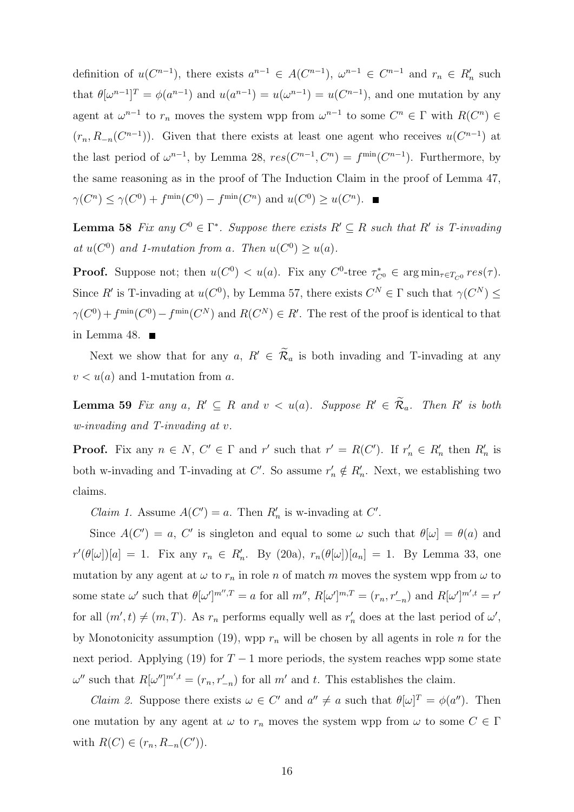definition of  $u(C^{n-1})$ , there exists  $a^{n-1} \in A(C^{n-1})$ ,  $\omega^{n-1} \in C^{n-1}$  and  $r_n \in R'_n$  such that  $\theta[\omega^{n-1}]^T = \phi(a^{n-1})$  and  $u(a^{n-1}) = u(\omega^{n-1}) = u(C^{n-1})$ , and one mutation by any agent at  $\omega^{n-1}$  to  $r_n$  moves the system wpp from  $\omega^{n-1}$  to some  $C^n \in \Gamma$  with  $R(C^n) \in$  $(r_n, R_{-n}(C^{n-1}))$ . Given that there exists at least one agent who receives  $u(C^{n-1})$  at the last period of  $\omega^{n-1}$ , by Lemma 28,  $res(C^{n-1}, C^n) = f^{\min}(C^{n-1})$ . Furthermore, by the same reasoning as in the proof of The Induction Claim in the proof of Lemma 47,  $\gamma(C^n) \leq \gamma(C^0) + f^{\min}(C^0) - f^{\min}(C^n)$  and  $u(C^0) \geq u(C^n)$ .

**Lemma 58** Fix any  $C^0 \in \Gamma^*$ . Suppose there exists  $R' \subseteq R$  such that  $R'$  is T-invading at  $u(C^0)$  and 1-mutation from a. Then  $u(C^0) \geq u(a)$ .

**Proof.** Suppose not; then  $u(C^0) < u(a)$ . Fix any  $C^0$ -tree  $\tau_{C^0}^* \in \arg\min_{\tau \in T_{C^0}} res(\tau)$ . Since R' is T-invading at  $u(C^0)$ , by Lemma 57, there exists  $C^N \in \Gamma$  such that  $\gamma(C^N) \leq$  $\gamma(C^0) + f^{\min}(C^0) - f^{\min}(C^N)$  and  $R(C^N) \in R'$ . The rest of the proof is identical to that in Lemma 48.  $\blacksquare$ 

Next we show that for any  $a, R' \in \widetilde{\mathcal{R}}_a$  is both invading and T-invading at any  $v < u(a)$  and 1-mutation from a.

**Lemma 59** Fix any a,  $R' \subseteq R$  and  $v < u(a)$ . Suppose  $R' \in \mathcal{R}_a$ . Then  $R'$  is both w-invading and T-invading at v.

**Proof.** Fix any  $n \in N$ ,  $C' \in \Gamma$  and  $r'$  such that  $r' = R(C')$ . If  $r'_n \in R'_n$  then  $R'_n$  is both w-invading and T-invading at C'. So assume  $r'_n \notin R'_n$ . Next, we establishing two claims.

*Claim 1.* Assume  $A(C') = a$ . Then  $R'_n$  is w-invading at C'.

Since  $A(C') = a, C'$  is singleton and equal to some  $\omega$  such that  $\theta[\omega] = \theta(a)$  and  $r'(\theta[\omega])[a] = 1$ . Fix any  $r_n \in R'_n$ . By (20a),  $r_n(\theta[\omega])[a_n] = 1$ . By Lemma 33, one mutation by any agent at  $\omega$  to  $r_n$  in role n of match m moves the system wpp from  $\omega$  to some state  $\omega'$  such that  $\theta[\omega']^{m'',T} = a$  for all  $m'', R[\omega']^{m,T} = (r_n, r'_{-n})$  and  $R[\omega']^{m',t} = r'$ for all  $(m', t) \neq (m, T)$ . As  $r_n$  performs equally well as  $r'_n$  does at the last period of  $\omega'$ , by Monotonicity assumption (19), wpp  $r_n$  will be chosen by all agents in role n for the next period. Applying (19) for  $T-1$  more periods, the system reaches wpp some state  $\omega''$  such that  $R[\omega'']^{m',t} = (r_n, r'_{-n})$  for all m' and t. This establishes the claim.

*Claim 2.* Suppose there exists  $\omega \in C'$  and  $a'' \neq a$  such that  $\theta[\omega]^T = \phi(a'')$ . Then one mutation by any agent at  $\omega$  to  $r_n$  moves the system wpp from  $\omega$  to some  $C \in \Gamma$ with  $R(C) \in (r_n, R_{-n}(C'))$ .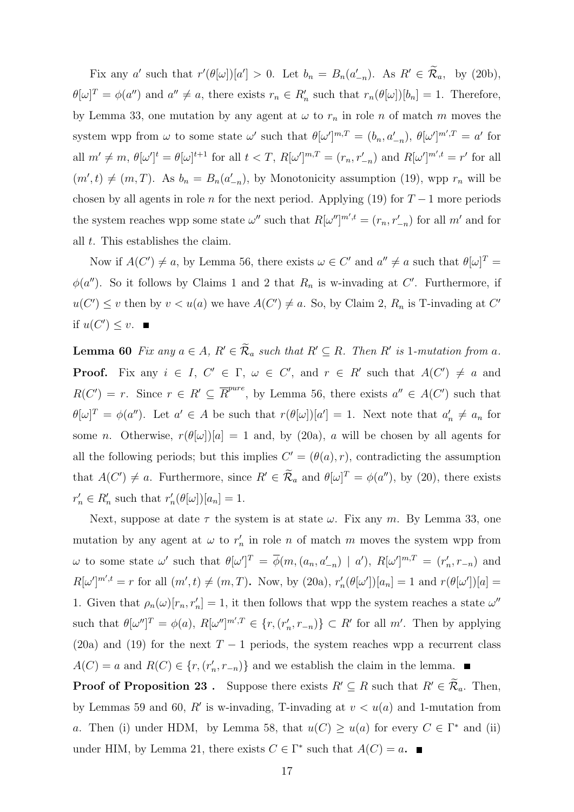Fix any a' such that  $r'(\theta[\omega])[a'] > 0$ . Let  $b_n = B_n(a'_{-n})$ . As  $R' \in \mathcal{R}_a$ , by (20b),  $\theta[\omega]^T = \phi(a'')$  and  $a'' \neq a$ , there exists  $r_n \in R'_n$  such that  $r_n(\theta[\omega])[b_n] = 1$ . Therefore, by Lemma 33, one mutation by any agent at  $\omega$  to  $r_n$  in role n of match m moves the system wpp from  $\omega$  to some state  $\omega'$  such that  $\theta[\omega']^{m,T} = (b_n, a'_{-n}), \theta[\omega']^{m',T} = a'$  for all  $m' \neq m$ ,  $\theta[\omega']^t = \theta[\omega]^{t+1}$  for all  $t < T$ ,  $R[\omega']^{m,T} = (r_n, r'_{-n})$  and  $R[\omega']^{m', t} = r'$  for all  $(m', t) \neq (m, T)$ . As  $b_n = B_n(a'_{-n})$ , by Monotonicity assumption (19), wpp  $r_n$  will be chosen by all agents in role *n* for the next period. Applying (19) for  $T - 1$  more periods the system reaches wpp some state  $\omega''$  such that  $R[\omega'']^{m',t} = (r_n, r'_{-n})$  for all m' and for all t. This establishes the claim.

Now if  $A(C') \neq a$ , by Lemma 56, there exists  $\omega \in C'$  and  $a'' \neq a$  such that  $\theta[\omega]^T =$  $\phi(a'')$ . So it follows by Claims 1 and 2 that  $R_n$  is w-invading at C'. Furthermore, if  $u(C') \leq v$  then by  $v < u(a)$  we have  $A(C') \neq a$ . So, by Claim 2,  $R_n$  is T-invading at  $C'$ if  $u(C') \leq v$ .

**Lemma 60** Fix any  $a \in A$ ,  $R' \in \mathcal{R}_a$  such that  $R' \subseteq R$ . Then  $R'$  is 1-mutation from a. **Proof.** Fix any  $i \in I$ ,  $C' \in \Gamma$ ,  $\omega \in C'$ , and  $r \in R'$  such that  $A(C') \neq a$  and  $R(C') = r$ . Since  $r \in R' \subseteq \overline{R}^{pure}$ , by Lemma 56, there exists  $a'' \in A(C')$  such that  $\theta[\omega]^T = \phi(a'')$ . Let  $a' \in A$  be such that  $r(\theta[\omega])[a'] = 1$ . Next note that  $a'_n \neq a_n$  for some *n*. Otherwise,  $r(\theta[\omega])[a] = 1$  and, by (20a), *a* will be chosen by all agents for all the following periods; but this implies  $C' = (\theta(a), r)$ , contradicting the assumption that  $A(C') \neq a$ . Furthermore, since  $R' \in \mathcal{R}_a$  and  $\theta[\omega]^T = \phi(a'')$ , by (20), there exists  $r'_n \in R'_n$  such that  $r'_n(\theta[\omega])[a_n] = 1$ .

Next, suppose at date  $\tau$  the system is at state  $\omega$ . Fix any m. By Lemma 33, one mutation by any agent at  $\omega$  to  $r'_n$  in role n of match m moves the system wpp from  $ω$  to some state  $ω'$  such that  $θ[ω']^T = \overline{φ}(m, (a_n, a'_{-n}) | a'), R[ω']^{m,T} = (r'_n, r_{-n})$  and  $R[\omega']^{m',t} = r$  for all  $(m',t) \neq (m,T)$ . Now, by  $(20a)$ ,  $r'_n(\theta[\omega'])[a_n] = 1$  and  $r(\theta[\omega'])[a] =$ 1. Given that  $\rho_n(\omega)[r_n, r'_n] = 1$ , it then follows that wpp the system reaches a state  $\omega$ <sup>n</sup> such that  $\theta[\omega'']^T = \phi(a), R[\omega'']^{m',T} \in \{r, (r'_n, r_{-n})\} \subset R'$  for all m'. Then by applying (20a) and (19) for the next  $T-1$  periods, the system reaches wpp a recurrent class  $A(C) = a$  and  $R(C) \in \{r, (r'_n, r_{-n})\}$  and we establish the claim in the lemma.

**Proof of Proposition 23**. Suppose there exists  $R' \subseteq R$  such that  $R' \in \tilde{\mathcal{R}}_a$ . Then, by Lemmas 59 and 60, R' is w-invading, T-invading at  $v < u(a)$  and 1-mutation from a. Then (i) under HDM, by Lemma 58, that  $u(C) \geq u(a)$  for every  $C \in \Gamma^*$  and (ii) under HIM, by Lemma 21, there exists  $C \in \Gamma^*$  such that  $A(C) = a$ .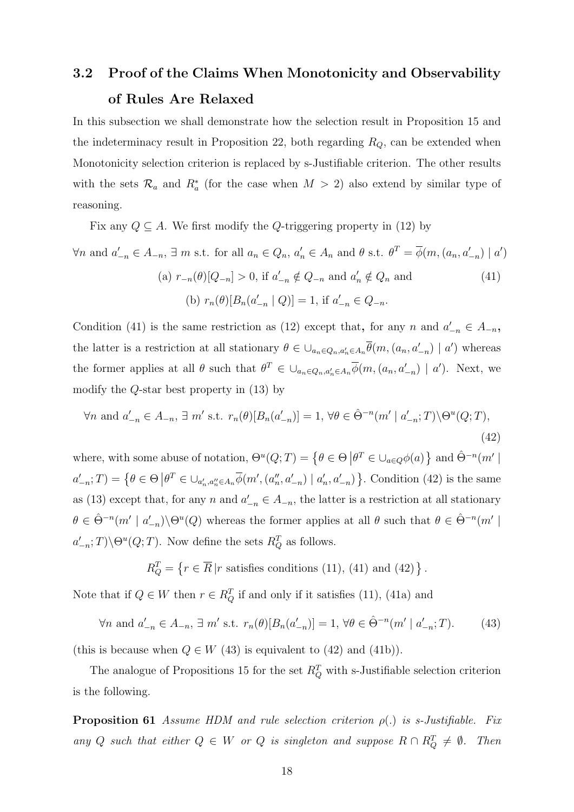# 3.2 Proof of the Claims When Monotonicity and Observability of Rules Are Relaxed

In this subsection we shall demonstrate how the selection result in Proposition 15 and the indeterminacy result in Proposition 22, both regarding  $R_Q$ , can be extended when Monotonicity selection criterion is replaced by s-Justifiable criterion. The other results with the sets  $\mathcal{R}_a$  and  $R^*_a$  (for the case when  $M > 2$ ) also extend by similar type of reasoning.

Fix any  $Q \subseteq A$ . We first modify the Q-triggering property in (12) by

 $\forall n$  and  $a'_{-n} \in A_{-n}$ ,  $\exists m$  s.t. for all  $a_n \in Q_n$ ,  $a'_n \in A_n$  and  $\theta$  s.t.  $\theta^T = \overline{\phi}(m, (a_n, a'_{-n}) \mid a')$ (a)  $r_{-n}(\theta)[Q_{-n}] > 0$ , if  $a'_{-n} \notin Q_{-n}$  and  $a'_{n} \notin Q_n$  and (41)

(b) 
$$
r_n(\theta)[B_n(a'_{-n} | Q)] = 1
$$
, if  $a'_{-n} \in Q_{-n}$ .

Condition (41) is the same restriction as (12) except that, for any n and  $a'_{-n} \in A_{-n}$ , the latter is a restriction at all stationary  $\theta \in \bigcup_{a_n \in Q_n, a'_n \in A_n} \overline{\theta}(m, (a_n, a'_{-n}) \mid a')$  whereas the former applies at all  $\theta$  such that  $\theta^T \in \bigcup_{a_n \in Q_n, a'_n \in A_n} \overline{\phi}(m, (a_n, a'_{-n}) \mid a')$ . Next, we modify the Q-star best property in (13) by

$$
\forall n \text{ and } a'_{-n} \in A_{-n}, \exists m' \text{ s.t. } r_n(\theta)[B_n(a'_{-n})] = 1, \forall \theta \in \hat{\Theta}^{-n}(m' \mid a'_{-n}; T) \setminus \Theta^u(Q; T),
$$
\n(42)

where, with some abuse of notation,  $\Theta^u(Q;T) = \{ \theta \in \Theta \mid \theta^T \in \bigcup_{a \in Q} \phi(a) \}$  and  $\hat{\Theta}^{-n}(m')$  $a'_{-n}$ ;  $T$ ) = { $\theta \in \Theta$  | $\theta^T \in \bigcup_{a'_n, a''_n \in A_n} \overline{\phi}(m', (a''_n, a'_{-n}) \mid a'_n, a'_{-n})$ }. Condition (42) is the same as (13) except that, for any n and  $a'_{-n} \in A_{-n}$ , the latter is a restriction at all stationary  $\theta \in \hat{\Theta}^{-n}(m' \mid a'_{-n})\backslash \Theta^u(Q)$  whereas the former applies at all  $\theta$  such that  $\theta \in \hat{\Theta}^{-n}(m' \mid a'_{-n})$  $a'_{-n}$ ; T)\ $\Theta^u(Q;T)$ . Now define the sets  $R_Q^T$  as follows.

$$
R_Q^T = \{ r \in \overline{R} | r \text{ satisfies conditions (11), (41) and (42)} \}.
$$

Note that if  $Q \in W$  then  $r \in R^T_Q$  if and only if it satisfies (11), (41a) and

$$
\forall n \text{ and } a'_{-n} \in A_{-n}, \exists m' \text{ s.t. } r_n(\theta)[B_n(a'_{-n})] = 1, \forall \theta \in \hat{\Theta}^{-n}(m' \mid a'_{-n}; T). \tag{43}
$$

(this is because when  $Q \in W$  (43) is equivalent to (42) and (41b)).

The analogue of Propositions 15 for the set  $R_Q^T$  with s-Justifiable selection criterion is the following.

**Proposition 61** Assume HDM and rule selection criterion  $\rho(.)$  is s-Justifiable. Fix any Q such that either  $Q \in W$  or Q is singleton and suppose  $R \cap R_Q^T \neq \emptyset$ . Then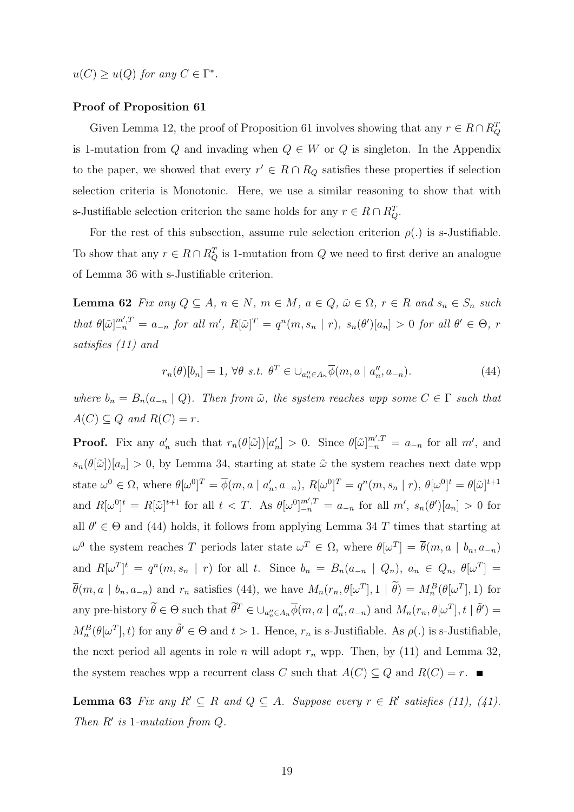$u(C) \geq u(Q)$  for any  $C \in \Gamma^*$ .

#### Proof of Proposition 61

Given Lemma 12, the proof of Proposition 61 involves showing that any  $r \in R \cap R_Q^T$ is 1-mutation from Q and invading when  $Q \in W$  or Q is singleton. In the Appendix to the paper, we showed that every  $r' \in R \cap R_Q$  satisfies these properties if selection selection criteria is Monotonic. Here, we use a similar reasoning to show that with s-Justifiable selection criterion the same holds for any  $r \in R \cap R_Q^T$ .

For the rest of this subsection, assume rule selection criterion  $\rho(.)$  is s-Justifiable. To show that any  $r \in R \cap R_Q^T$  is 1-mutation from Q we need to first derive an analogue of Lemma 36 with s-Justifiable criterion.

Lemma 62 Fix any  $Q \subseteq A$ ,  $n \in N$ ,  $m \in M$ ,  $a \in Q$ ,  $\tilde{\omega} \in \Omega$ ,  $r \in R$  and  $s_n \in S_n$  such that  $\theta[\tilde{\omega}]_{-n}^{m',T} = a_{-n}$  for all m',  $R[\tilde{\omega}]^T = q^n(m, s_n | r)$ ,  $s_n(\theta')[a_n] > 0$  for all  $\theta' \in \Theta$ , r satisfies (11) and

$$
r_n(\theta)[b_n] = 1, \,\forall \theta \,\, s.t. \,\, \theta^T \in \bigcup_{a''_n \in A_n} \overline{\phi}(m, a \mid a''_n, a_{-n}). \tag{44}
$$

where  $b_n = B_n(a_{-n} | Q)$ . Then from  $\tilde{\omega}$ , the system reaches wpp some  $C \in \Gamma$  such that  $A(C) \subseteq Q$  and  $R(C) = r$ .

**Proof.** Fix any  $a'_n$  such that  $r_n(\theta[\tilde{\omega}])[a'_n] > 0$ . Since  $\theta[\tilde{\omega}]_{-n}^{m',T} = a_{-n}$  for all m', and  $s_n(\theta[\tilde{\omega}])[a_n] > 0$ , by Lemma 34, starting at state  $\tilde{\omega}$  the system reaches next date wpp state  $\omega^0 \in \Omega$ , where  $\theta[\omega^0]^T = \overline{\phi}(m, a \mid a'_n, a_{-n}), R[\omega^0]^T = q^n(m, s_n \mid r), \theta[\omega^0]^t = \theta[\tilde{\omega}]^{t+1}$ and  $R[\omega^0]^t = R[\tilde{\omega}]^{t+1}$  for all  $t < T$ . As  $\theta[\omega^0]_{-n}^{m',T} = a_{-n}$  for all  $m'$ ,  $s_n(\theta')[a_n] > 0$  for all  $\theta' \in \Theta$  and (44) holds, it follows from applying Lemma 34 T times that starting at  $ω<sup>0</sup>$  the system reaches T periods later state  $ω<sup>T</sup> ∈ Ω$ , where  $θ[ω<sup>T</sup>] = θ(m, a | b<sub>n</sub>, a<sub>-n</sub>)$ and  $R[\omega^T]^t = q^n(m, s_n | r)$  for all t. Since  $b_n = B_n(a_{-n} | Q_n)$ ,  $a_n \in Q_n$ ,  $\theta[\omega^T] =$  $\overline{\theta}(m, a \mid b_n, a_{-n})$  and  $r_n$  satisfies (44), we have  $M_n(r_n, \theta[\omega^T], 1 \mid \theta) = M_n^B(\theta[\omega^T], 1)$  for any pre-history  $\widetilde{\theta} \in \Theta$  such that  $\widetilde{\theta}^T \in \bigcup_{a''_n \in A_n} \overline{\phi}(m, a \mid a''_n, a_{-n})$  and  $M_n(r_n, \theta[\omega^T], t \mid \widetilde{\theta}') =$  $M_n^B(\theta[\omega^T], t)$  for any  $\tilde{\theta}' \in \Theta$  and  $t > 1$ . Hence,  $r_n$  is s-Justifiable. As  $\rho(.)$  is s-Justifiable, the next period all agents in role n will adopt  $r_n$  wpp. Then, by (11) and Lemma 32, the system reaches wpp a recurrent class C such that  $A(C) \subseteq Q$  and  $R(C) = r$ .

**Lemma 63** Fix any  $R' \subseteq R$  and  $Q \subseteq A$ . Suppose every  $r \in R'$  satisfies (11), (41). Then  $R'$  is 1-mutation from  $Q$ .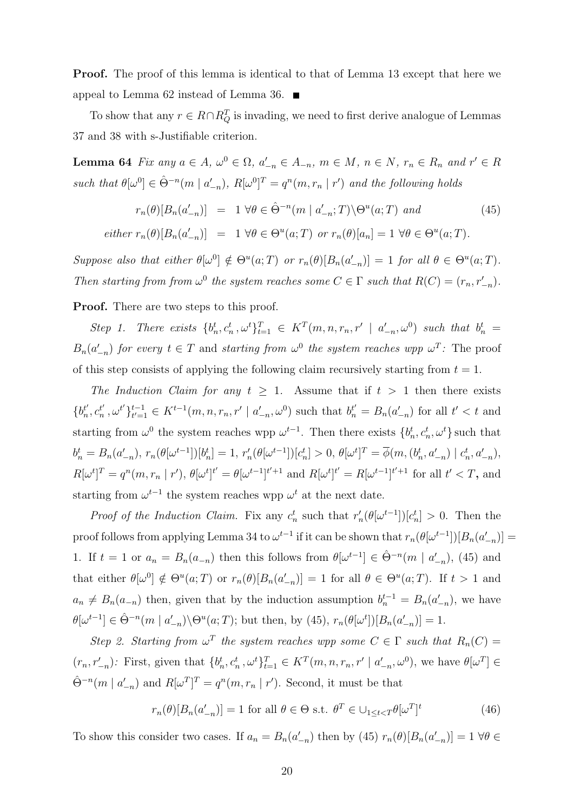Proof. The proof of this lemma is identical to that of Lemma 13 except that here we appeal to Lemma 62 instead of Lemma 36.

To show that any  $r \in R \cap R_Q^T$  is invading, we need to first derive analogue of Lemmas 37 and 38 with s-Justifiable criterion.

**Lemma 64** Fix any  $a \in A$ ,  $\omega^0 \in \Omega$ ,  $a'_{-n} \in A_{-n}$ ,  $m \in M$ ,  $n \in N$ ,  $r_n \in R_n$  and  $r' \in R$ such that  $\theta[\omega^0] \in \hat{\Theta}^{-n}(m \mid a'_{-n}), R[\omega^0]^T = q^n(m, r_n \mid r')$  and the following holds

$$
r_n(\theta)[B_n(a'_{-n})] = 1 \,\forall \theta \in \hat{\Theta}^{-n}(m \mid a'_{-n};T) \setminus \Theta^u(a;T) \text{ and } (45)
$$
  
either  $r_n(\theta)[B_n(a'_{-n})] = 1 \,\forall \theta \in \Theta^u(a;T)$  or  $r_n(\theta)[a_n] = 1 \,\forall \theta \in \Theta^u(a;T)$ . (45)

Suppose also that either  $\theta[\omega^0] \notin \Theta^u(a;T)$  or  $r_n(\theta)[B_n(a'_{-n})] = 1$  for all  $\theta \in \Theta^u(a;T)$ . Then starting from from  $\omega^0$  the system reaches some  $C \in \Gamma$  such that  $R(C) = (r_n, r'_{-n}).$ 

**Proof.** There are two steps to this proof.

Step 1. There exists  $\{b_n^t, c_n^t, \omega^t\}_{t=1}^T \in K^T(m, n, r_n, r' \mid a'_{-n}, \omega^0)$  such that  $b_n^t =$  $B_n(a'_{-n})$  for every  $t \in T$  and starting from  $\omega^0$  the system reaches wpp  $\omega^T$ . The proof of this step consists of applying the following claim recursively starting from  $t = 1$ .

The Induction Claim for any  $t \geq 1$ . Assume that if  $t > 1$  then there exists  ${b_n^{t'}}$  $t'_n, c_n^{t'}$  $_{n}^{t^{\prime }},\omega ^{t^{\prime }}\}_{t^{\prime }=1}^{t-1}$  $t_{t-1}^{t-1} \in K^{t-1}(m, n, r_n, r' | a'_{-n}, \omega^0)$  such that  $b_n^{t'} = B_n(a'_{-n})$  for all  $t' < t$  and starting from  $\omega^0$  the system reaches wpp  $\omega^{t-1}$ . Then there exists  $\{b_n^t, c_n^t, \omega^t\}$  such that  $b_n^t = B_n(a'_{-n}), r_n(\theta[\omega^{t-1}])[b_n^t] = 1, r'_n(\theta[\omega^{t-1}])[c_n^t] > 0, \theta[\omega^t]^T = \overline{\phi}(m, (b_n^t, a'_{-n}) | c_n^t, a'_{-n}),$  $R[\omega^t]^T = q^n(m, r_n | r'), \, \theta[\omega^t]^{t'} = \theta[\omega^{t-1}]^{t'+1}$  and  $R[\omega^t]^{t'} = R[\omega^{t-1}]^{t'+1}$  for all  $t' < T$ , and starting from  $\omega^{t-1}$  the system reaches wpp  $\omega^t$  at the next date.

*Proof of the Induction Claim.* Fix any  $c_n^t$  such that  $r'_n(\theta[\omega^{t-1}])[c_n^t] > 0$ . Then the proof follows from applying Lemma 34 to  $\omega^{t-1}$  if it can be shown that  $r_n(\theta[\omega^{t-1}])[B_n(a'_{-n})]=$ 1. If  $t = 1$  or  $a_n = B_n(a_{-n})$  then this follows from  $\theta[\omega^{t-1}] \in \hat{\Theta}^{-n}(m \mid a'_{-n}),$  (45) and that either  $\theta[\omega^0] \notin \Theta^u(a;T)$  or  $r_n(\theta)[B_n(a'_{-n})] = 1$  for all  $\theta \in \Theta^u(a;T)$ . If  $t > 1$  and  $a_n \neq B_n(a_{-n})$  then, given that by the induction assumption  $b_n^{t-1} = B_n(a'_{-n})$ , we have  $\theta[\omega^{t-1}] \in \hat{\Theta}^{-n}(m \mid a'_{-n}) \setminus \Theta^u(a;T)$ ; but then, by (45),  $r_n(\theta[\omega^t])[B_n(a'_{-n})]=1$ .

Step 2. Starting from  $\omega^T$  the system reaches wpp some  $C \in \Gamma$  such that  $R_n(C) =$  $(r_n, r'_{-n})$ : First, given that  $\{b_n^t, c_n^t, \omega^t\}_{t=1}^T \in K^T(m, n, r_n, r' \mid a'_{-n}, \omega^0)$ , we have  $\theta[\omega^T] \in$  $\hat{\Theta}^{-n}(m \mid a'_{-n})$  and  $R[\omega^T]^T = q^n(m, r_n \mid r')$ . Second, it must be that

$$
r_n(\theta)[B_n(a'_{-n})] = 1 \text{ for all } \theta \in \Theta \text{ s.t. } \theta^T \in \bigcup_{1 \le t < T} \theta[\omega^T]^t \tag{46}
$$

To show this consider two cases. If  $a_n = B_n(a'_{-n})$  then by (45)  $r_n(\theta)[B_n(a'_{-n})] = 1 \,\forall \theta \in \Theta$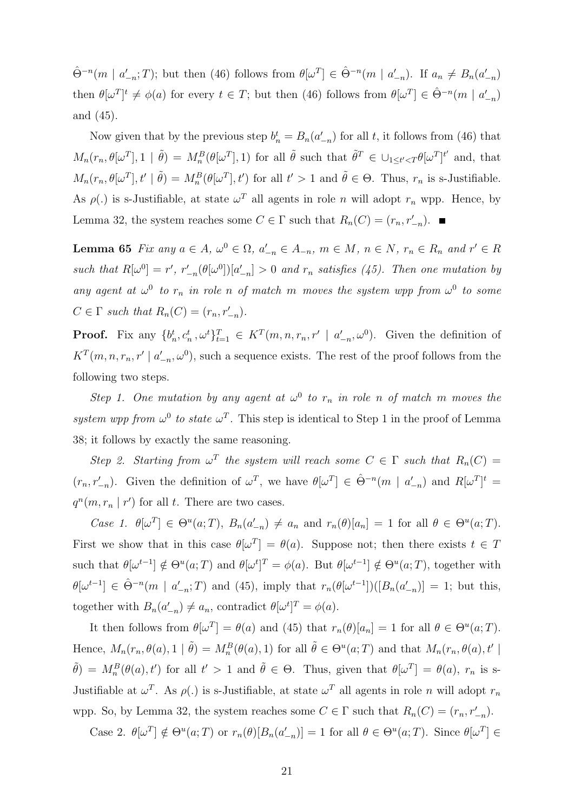$\hat{\Theta}^{-n}(m \mid a'_{-n}; T)$ ; but then (46) follows from  $\theta[\omega^T] \in \hat{\Theta}^{-n}(m \mid a'_{-n})$ . If  $a_n \neq B_n(a'_{-n})$ then  $\theta[\omega^T]^t \neq \phi(a)$  for every  $t \in T$ ; but then (46) follows from  $\theta[\omega^T] \in \hat{\Theta}^{-n}(m \mid a'_{-n})$ and (45).

Now given that by the previous step  $b_n^t = B_n(a'_{-n})$  for all t, it follows from (46) that  $M_n(r_n, \theta[\omega^T], 1 | \tilde{\theta}) = M_n^B(\theta[\omega^T], 1)$  for all  $\tilde{\theta}$  such that  $\tilde{\theta}^T \in \bigcup_{1 \leq t' < T} \theta[\omega^T]^{t'}$  and, that  $M_n(r_n, \theta[\omega^T], t' \mid \tilde{\theta}) = M_n^B(\theta[\omega^T], t')$  for all  $t' > 1$  and  $\tilde{\theta} \in \Theta$ . Thus,  $r_n$  is s-Justifiable. As  $\rho(.)$  is s-Justifiable, at state  $\omega^T$  all agents in role n will adopt  $r_n$  wpp. Hence, by Lemma 32, the system reaches some  $C \in \Gamma$  such that  $R_n(C) = (r_n, r'_{-n}).$ 

**Lemma 65** Fix any  $a \in A$ ,  $\omega^0 \in \Omega$ ,  $a'_{-n} \in A_{-n}$ ,  $m \in M$ ,  $n \in N$ ,  $r_n \in R_n$  and  $r' \in R$ such that  $R[\omega^0] = r'$ ,  $r'_{-n}(\theta[\omega^0])[a'_{-n}] > 0$  and  $r_n$  satisfies (45). Then one mutation by any agent at  $\omega^0$  to  $r_n$  in role n of match m moves the system wpp from  $\omega^0$  to some  $C \in \Gamma$  such that  $R_n(C) = (r_n, r'_{-n}).$ 

**Proof.** Fix any  $\{b_n^t, c_n^t, \omega^t\}_{t=1}^T \in K^T(m, n, r_n, r' \mid a'_{-n}, \omega^0)$ . Given the definition of  $K^{T}(m, n, r_n, r' | a'_{-n}, \omega^0)$ , such a sequence exists. The rest of the proof follows from the following two steps.

Step 1. One mutation by any agent at  $\omega^0$  to  $r_n$  in role n of match m moves the system wpp from  $\omega^0$  to state  $\omega^T$ . This step is identical to Step 1 in the proof of Lemma 38; it follows by exactly the same reasoning.

Step 2. Starting from  $\omega^T$  the system will reach some  $C \in \Gamma$  such that  $R_n(C) =$  $(r_n, r'_{-n})$ . Given the definition of  $\omega^T$ , we have  $\theta[\omega^T] \in \hat{\Theta}^{-n}(m \mid a'_{-n})$  and  $R[\omega^T]^t =$  $q^n(m, r_n | r')$  for all t. There are two cases.

Case 1.  $\theta[\omega^T] \in \Theta^u(a;T), B_n(a'_{-n}) \neq a_n$  and  $r_n(\theta)[a_n] = 1$  for all  $\theta \in \Theta^u(a;T)$ . First we show that in this case  $\theta[\omega^T] = \theta(a)$ . Suppose not; then there exists  $t \in T$ such that  $\theta[\omega^{t-1}] \notin \Theta^u(a;T)$  and  $\theta[\omega^t]^T = \phi(a)$ . But  $\theta[\omega^{t-1}] \notin \Theta^u(a;T)$ , together with  $\theta[\omega^{t-1}] \in \hat{\Theta}^{-n}(m \mid a'_{-n};T)$  and (45), imply that  $r_n(\theta[\omega^{t-1}])([B_n(a'_{-n})] = 1$ ; but this, together with  $B_n(a'_{-n}) \neq a_n$ , contradict  $\theta[\omega^t]^T = \phi(a)$ .

It then follows from  $\theta[\omega^T] = \theta(a)$  and (45) that  $r_n(\theta)[a_n] = 1$  for all  $\theta \in \Theta^u(a;T)$ . Hence,  $M_n(r_n, \theta(a), 1 | \tilde{\theta}) = M_n^B(\theta(a), 1)$  for all  $\tilde{\theta} \in \Theta^u(a; T)$  and that  $M_n(r_n, \theta(a), t | \tilde{\theta})$  $\tilde{\theta}$ ) =  $M_n^B(\theta(a), t')$  for all  $t' > 1$  and  $\tilde{\theta} \in \Theta$ . Thus, given that  $\theta[\omega^T] = \theta(a), r_n$  is s-Justifiable at  $\omega^T$ . As  $\rho(.)$  is s-Justifiable, at state  $\omega^T$  all agents in role n will adopt  $r_n$ wpp. So, by Lemma 32, the system reaches some  $C \in \Gamma$  such that  $R_n(C) = (r_n, r'_{-n})$ .

Case 2.  $\theta[\omega^T] \notin \Theta^u(a;T)$  or  $r_n(\theta)[B_n(a'_{-n})] = 1$  for all  $\theta \in \Theta^u(a;T)$ . Since  $\theta[\omega^T] \in$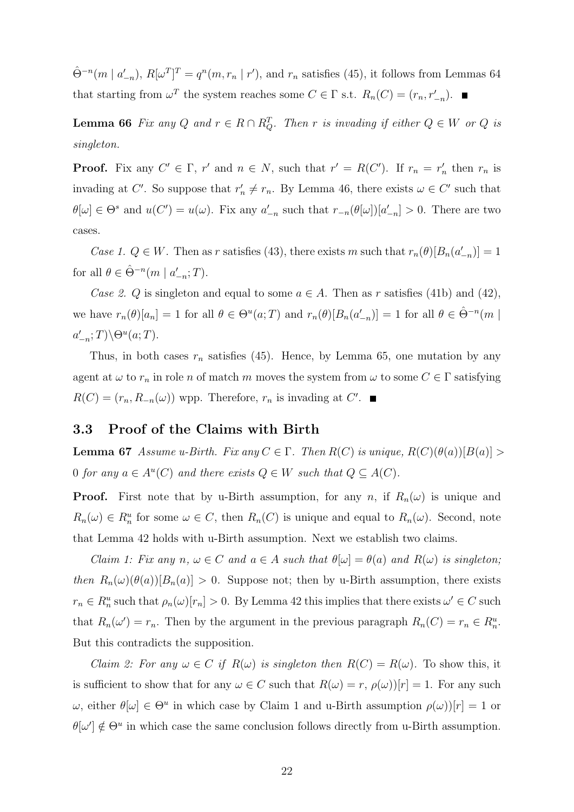$\hat{\Theta}^{-n}(m \mid a'_{-n}), R[\omega^T]^T = q^n(m, r_n \mid r'),$  and  $r_n$  satisfies (45), it follows from Lemmas 64 that starting from  $\omega^T$  the system reaches some  $C \in \Gamma$  s.t.  $R_n(C) = (r_n, r'_{-n}).$ 

**Lemma 66** Fix any Q and  $r \in R \cap R_Q^T$ . Then r is invading if either  $Q \in W$  or Q is singleton.

**Proof.** Fix any  $C' \in \Gamma$ ,  $r'$  and  $n \in N$ , such that  $r' = R(C')$ . If  $r_n = r'_n$  then  $r_n$  is invading at C'. So suppose that  $r'_n \neq r_n$ . By Lemma 46, there exists  $\omega \in C'$  such that  $\theta[\omega] \in \Theta^s$  and  $u(C') = u(\omega)$ . Fix any  $a'_{-n}$  such that  $r_{-n}(\theta[\omega])[a'_{-n}] > 0$ . There are two cases.

*Case 1.*  $Q \in W$ . Then as r satisfies (43), there exists m such that  $r_n(\theta)[B_n(a'_{-n})] = 1$ for all  $\theta \in \hat{\Theta}^{-n}(m \mid a'_{-n}; T)$ .

Case 2. Q is singleton and equal to some  $a \in A$ . Then as r satisfies (41b) and (42), we have  $r_n(\theta)[a_n] = 1$  for all  $\theta \in \Theta^u(a;T)$  and  $r_n(\theta)[B_n(a'_{-n})] = 1$  for all  $\theta \in \hat{\Theta}^{-n}(m)$  $a'_{-n}$ ; T) \ $\Theta^u(a; T)$ .

Thus, in both cases  $r_n$  satisfies (45). Hence, by Lemma 65, one mutation by any agent at  $\omega$  to  $r_n$  in role n of match m moves the system from  $\omega$  to some  $C \in \Gamma$  satisfying  $R(C) = (r_n, R_{-n}(\omega))$  wpp. Therefore,  $r_n$  is invading at C'.

### 3.3 Proof of the Claims with Birth

**Lemma 67** Assume u-Birth. Fix any  $C \in \Gamma$ . Then  $R(C)$  is unique,  $R(C)(\theta(a))[B(a)] >$ 0 for any  $a \in A^u(C)$  and there exists  $Q \in W$  such that  $Q \subseteq A(C)$ .

**Proof.** First note that by u-Birth assumption, for any n, if  $R_n(\omega)$  is unique and  $R_n(\omega) \in R_n^u$  for some  $\omega \in C$ , then  $R_n(C)$  is unique and equal to  $R_n(\omega)$ . Second, note that Lemma 42 holds with u-Birth assumption. Next we establish two claims.

Claim 1: Fix any  $n, \omega \in C$  and  $a \in A$  such that  $\theta[\omega] = \theta(a)$  and  $R(\omega)$  is singleton; then  $R_n(\omega)(\theta(a))[B_n(a)] > 0$ . Suppose not; then by u-Birth assumption, there exists  $r_n \in R_n^u$  such that  $\rho_n(\omega)[r_n] > 0$ . By Lemma 42 this implies that there exists  $\omega' \in C$  such that  $R_n(\omega') = r_n$ . Then by the argument in the previous paragraph  $R_n(C) = r_n \in R_n^u$ . But this contradicts the supposition.

*Claim 2: For any*  $\omega \in C$  *if*  $R(\omega)$  *is singleton then*  $R(C) = R(\omega)$ . To show this, it is sufficient to show that for any  $\omega \in C$  such that  $R(\omega) = r$ ,  $\rho(\omega)[r] = 1$ . For any such  $ω$ , either  $θ[ω] ∈ Θ<sup>u</sup>$  in which case by Claim 1 and u-Birth assumption  $ρ(ω))[r] = 1$  or  $\theta[\omega'] \notin \Theta^u$  in which case the same conclusion follows directly from u-Birth assumption.